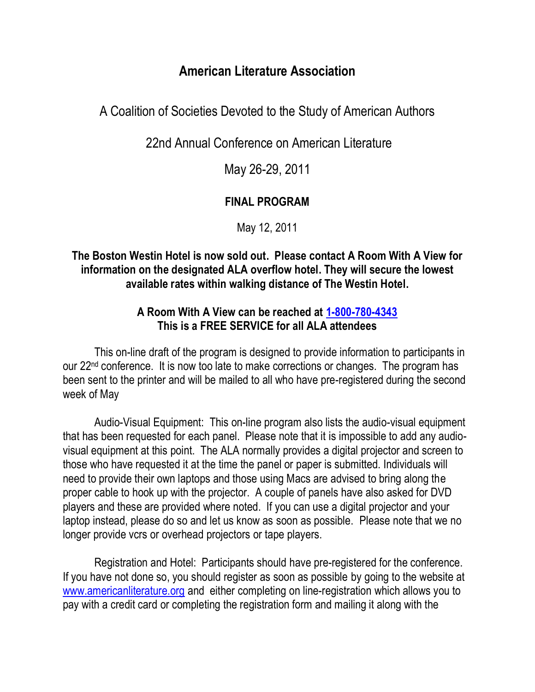# **American Literature Association**

A Coalition of Societies Devoted to the Study of American Authors

22nd Annual Conference on American Literature

May 26-29, 2011

# **FINAL PROGRAM**

May 12, 2011

# **The Boston Westin Hotel is now sold out. Please contact A Room With A View for information on the designated ALA overflow hotel. They will secure the lowest available rates within walking distance of The Westin Hotel.**

# **A Room With A View can be reached at [1-800-780-4343](callto:+11-800-780-4343) This is a FREE SERVICE for all ALA attendees**

This on-line draft of the program is designed to provide information to participants in our 22<sup>nd</sup> conference. It is now too late to make corrections or changes. The program has been sent to the printer and will be mailed to all who have pre-registered during the second week of May

Audio-Visual Equipment: This on-line program also lists the audio-visual equipment that has been requested for each panel. Please note that it is impossible to add any audiovisual equipment at this point. The ALA normally provides a digital projector and screen to those who have requested it at the time the panel or paper is submitted. Individuals will need to provide their own laptops and those using Macs are advised to bring along the proper cable to hook up with the projector. A couple of panels have also asked for DVD players and these are provided where noted. If you can use a digital projector and your laptop instead, please do so and let us know as soon as possible. Please note that we no longer provide vcrs or overhead projectors or tape players.

Registration and Hotel: Participants should have pre-registered for the conference. If you have not done so, you should register as soon as possible by going to the website at [www.americanliterature.org](http://www.americanliterature.org/) and either completing on line-registration which allows you to pay with a credit card or completing the registration form and mailing it along with the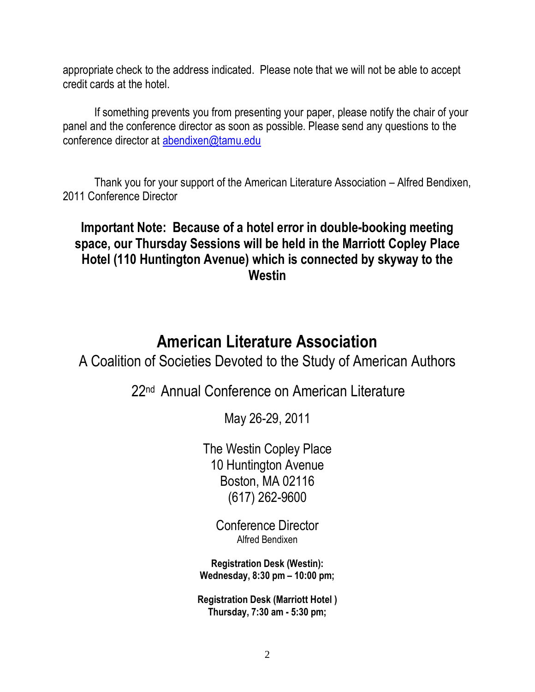appropriate check to the address indicated. Please note that we will not be able to accept credit cards at the hotel.

If something prevents you from presenting your paper, please notify the chair of your panel and the conference director as soon as possible. Please send any questions to the conference director at [abendixen@tamu.edu](mailto:abendixen@tamu.edu)

Thank you for your support of the American Literature Association – Alfred Bendixen, 2011 Conference Director

# **Important Note: Because of a hotel error in double-booking meeting space, our Thursday Sessions will be held in the Marriott Copley Place Hotel (110 Huntington Avenue) which is connected by skyway to the Westin**

# **American Literature Association**

A Coalition of Societies Devoted to the Study of American Authors

22<sup>nd</sup> Annual Conference on American Literature

May 26-29, 2011

The Westin Copley Place 10 Huntington Avenue Boston, MA 02116 (617) 262-9600

Conference Director Alfred Bendixen

**Registration Desk (Westin): Wednesday, 8:30 pm – 10:00 pm;**

**Registration Desk (Marriott Hotel ) Thursday, 7:30 am - 5:30 pm;**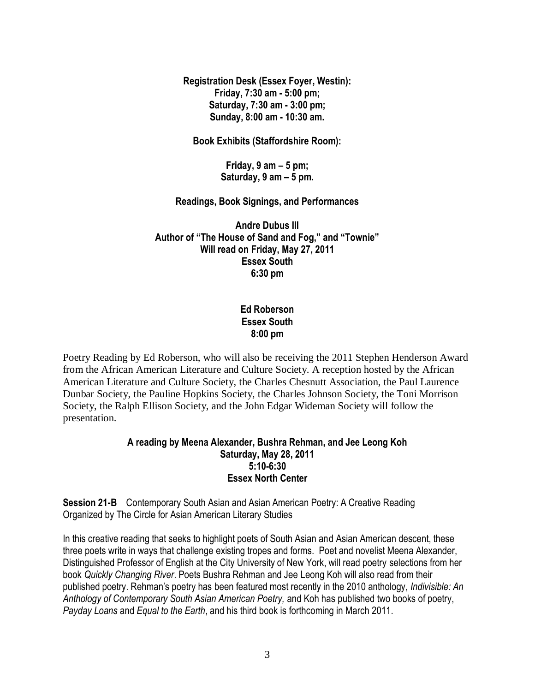**Registration Desk (Essex Foyer, Westin): Friday, 7:30 am - 5:00 pm; Saturday, 7:30 am - 3:00 pm; Sunday, 8:00 am - 10:30 am.**

**Book Exhibits (Staffordshire Room):** 

**Friday, 9 am – 5 pm; Saturday, 9 am – 5 pm.**

**Readings, Book Signings, and Performances**

**Andre Dubus III** Author of "The House of Sand and Fog," and "Townie" **Will read on Friday, May 27, 2011 Essex South 6:30 pm**

### **Ed Roberson Essex South 8:00 pm**

Poetry Reading by Ed Roberson, who will also be receiving the 2011 Stephen Henderson Award from the African American Literature and Culture Society. A reception hosted by the African American Literature and Culture Society, the Charles Chesnutt Association, the Paul Laurence Dunbar Society, the Pauline Hopkins Society, the Charles Johnson Society, the Toni Morrison Society, the Ralph Ellison Society, and the John Edgar Wideman Society will follow the presentation.

### **A reading by Meena Alexander, Bushra Rehman, and Jee Leong Koh Saturday, May 28, 2011 5:10-6:30 Essex North Center**

**Session 21-B** Contemporary South Asian and Asian American Poetry: A Creative Reading Organized by The Circle for Asian American Literary Studies

In this creative reading that seeks to highlight poets of South Asian and Asian American descent, these three poets write in ways that challenge existing tropes and forms. Poet and novelist Meena Alexander, Distinguished Professor of English at the City University of New York, will read poetry selections from her book *Quickly Changing River*. Poets Bushra Rehman and Jee Leong Koh will also read from their published poetry. Rehman's poetry has been featured most recently in the 2010 anthology*, Indivisible: An Anthology of Contemporary South Asian American Poetry,* and Koh has published two books of poetry, *Payday Loans* and *Equal to the Earth*, and his third book is forthcoming in March 2011.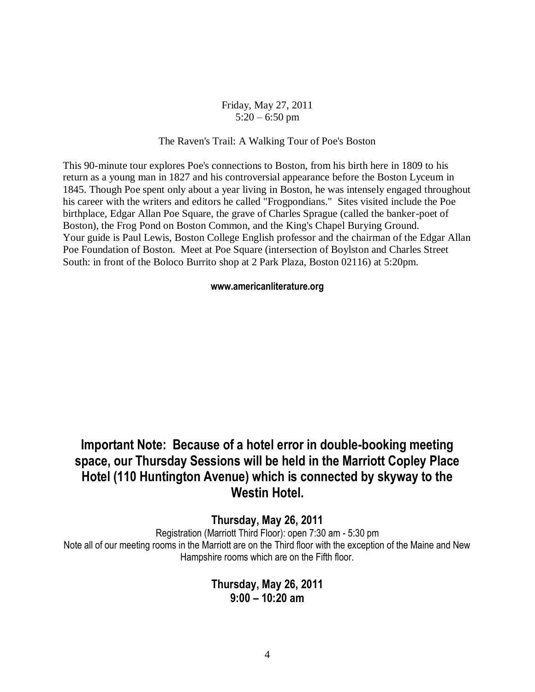### Friday, May 27, 2011  $5:20 - 6:50$  pm

#### The Raven's Trail: A Walking Tour of Poe's Boston

This 90-minute tour explores Poe's connections to Boston, from his birth here in 1809 to his return as a young man in 1827 and his controversial appearance before the Boston Lyceum in 1845. Though Poe spent only about a year living in Boston, he was intensely engaged throughout his career with the writers and editors he called "Frogpondians." Sites visited include the Poe birthplace, Edgar Allan Poe Square, the grave of Charles Sprague (called the banker-poet of Boston), the Frog Pond on Boston Common, and the King's Chapel Burying Ground. Your guide is Paul Lewis, Boston College English professor and the chairman of the Edgar Allan Poe Foundation of Boston. Meet at Poe Square (intersection of Boylston and Charles Street South: in front of the Boloco Burrito shop at 2 Park Plaza, Boston 02116) at 5:20pm.

#### **www.americanliterature.org**

# **Important Note: Because of a hotel error in double-booking meeting space, our Thursday Sessions will be held in the Marriott Copley Place Hotel (110 Huntington Avenue) which is connected by skyway to the Westin Hotel.**

### **Thursday, May 26, 2011**

Registration (Marriott Third Floor): open 7:30 am - 5:30 pm Note all of our meeting rooms in the Marriott are on the Third floor with the exception of the Maine and New Hampshire rooms which are on the Fifth floor.

## **Thursday, May 26, 2011 9:00 – 10:20 am**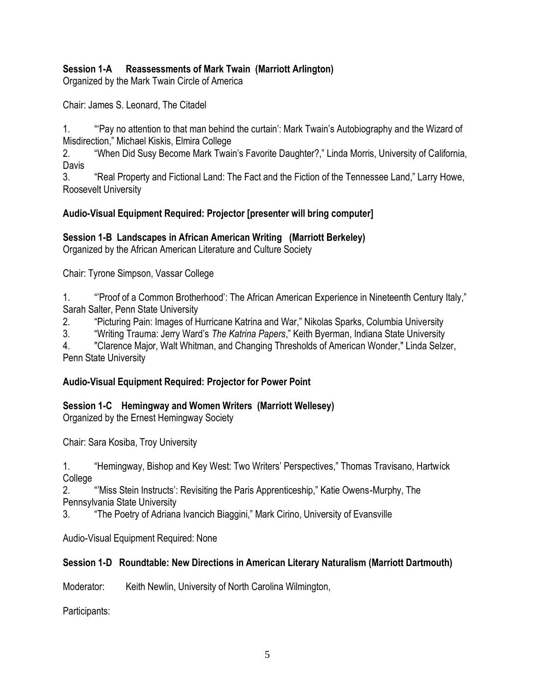## **Session 1-A Reassessments of Mark Twain (Marriott Arlington)**

Organized by the Mark Twain Circle of America

Chair: James S. Leonard, The Citadel

1. ""Pay no attention to that man behind the curtain': Mark Twain's Autobiography and the Wizard of Misdirection," Michael Kiskis, Elmira College

2. "When Did Susy Become Mark Twain's Favorite Daughter?," Linda Morris, University of California, Davis

3. "Real Property and Fictional Land: The Fact and the Fiction of the Tennessee Land," Larry Howe, Roosevelt University

### **Audio-Visual Equipment Required: Projector [presenter will bring computer]**

### **Session 1-B Landscapes in African American Writing (Marriott Berkeley)**

Organized by the African American Literature and Culture Society

Chair: Tyrone Simpson, Vassar College

1. "Proof of a Common Brotherhood': The African American Experience in Nineteenth Century Italy," Sarah Salter, Penn State University

2. "Picturing Pain: Images of Hurricane Katrina and War," Nikolas Sparks, Columbia University

3. ―Writing Trauma: Jerry Ward's *The Katrina Papers*,‖ Keith Byerman, Indiana State University

4. "Clarence Major, Walt Whitman, and Changing Thresholds of American Wonder," Linda Selzer, Penn State University

### **Audio-Visual Equipment Required: Projector for Power Point**

### **Session 1-C Hemingway and Women Writers (Marriott Wellesey)**

Organized by the Ernest Hemingway Society

Chair: Sara Kosiba, Troy University

1. **The Hemingway, Bishop and Key West: Two Writers' Perspectives," Thomas Travisano, Hartwick College** 

2. ""Miss Stein Instructs': Revisiting the Paris Apprenticeship," Katie Owens-Murphy, The Pennsylvania State University

3. **The Poetry of Adriana Ivancich Biaggini,**" Mark Cirino, University of Evansville

Audio-Visual Equipment Required: None

### **Session 1-D Roundtable: New Directions in American Literary Naturalism (Marriott Dartmouth)**

Moderator: Keith Newlin, University of North Carolina Wilmington,

Participants: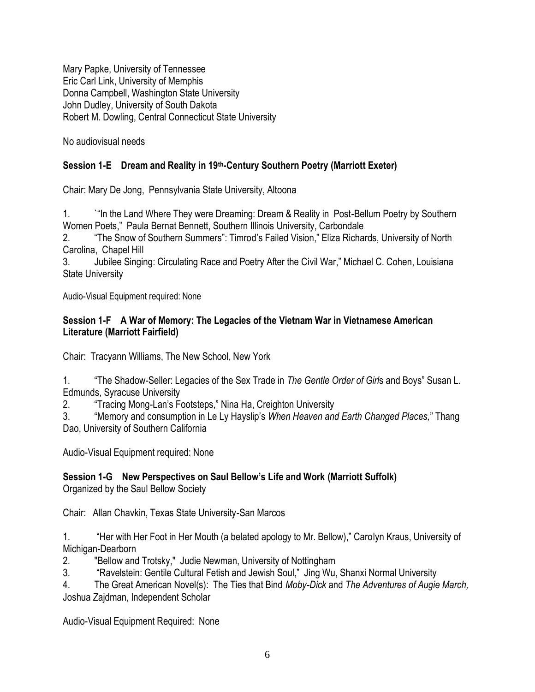Mary Papke, University of Tennessee Eric Carl Link, University of Memphis Donna Campbell, Washington State University John Dudley, University of South Dakota Robert M. Dowling, Central Connecticut State University

No audiovisual needs

# **Session 1-E Dream and Reality in 19th-Century Southern Poetry (Marriott Exeter)**

Chair: Mary De Jong, Pennsylvania State University, Altoona

1. ``"In the Land Where They were Dreaming: Dream & Reality in Post-Bellum Poetry by Southern Women Poets," Paula Bernat Bennett, Southern Illinois University, Carbondale

2. **The Snow of Southern Summers**": Timrod's Failed Vision," Eliza Richards, University of North Carolina, Chapel Hill

3. Jubilee Singing: Circulating Race and Poetry After the Civil War," Michael C. Cohen, Louisiana State University

Audio-Visual Equipment required: None

### **Session 1-F A War of Memory: The Legacies of the Vietnam War in Vietnamese American Literature (Marriott Fairfield)**

Chair: Tracyann Williams, The New School, New York

1. ―The Shadow-Seller: Legacies of the Sex Trade in *The Gentle Order of Girl*s and Boys‖ Susan L. Edmunds, Syracuse University

2. **Tracing Mong-Lan's Footsteps," Nina Ha, Creighton University** 

3. ―Memory and consumption in Le Ly Hayslip's *When Heaven and Earth Changed Places,*‖ Thang Dao, University of Southern California

Audio-Visual Equipment required: None

# **Session 1-G New Perspectives on Saul Bellow's Life and Work (Marriott Suffolk)**

Organized by the Saul Bellow Society

Chair: Allan Chavkin, Texas State University-San Marcos

1. **Her with Her Foot in Her Mouth (a belated apology to Mr. Bellow),**" Carolyn Kraus, University of Michigan-Dearborn

2. "Bellow and Trotsky," Judie Newman, University of Nottingham

3. **ARAVERT And The Cultural Fetish and Jewish Soul,**" Jing Wu, Shanxi Normal University

4. The Great American Novel(s): The Ties that Bind *Moby-Dick* and *The Adventures of Augie March,*  Joshua Zajdman, Independent Scholar

Audio-Visual Equipment Required: None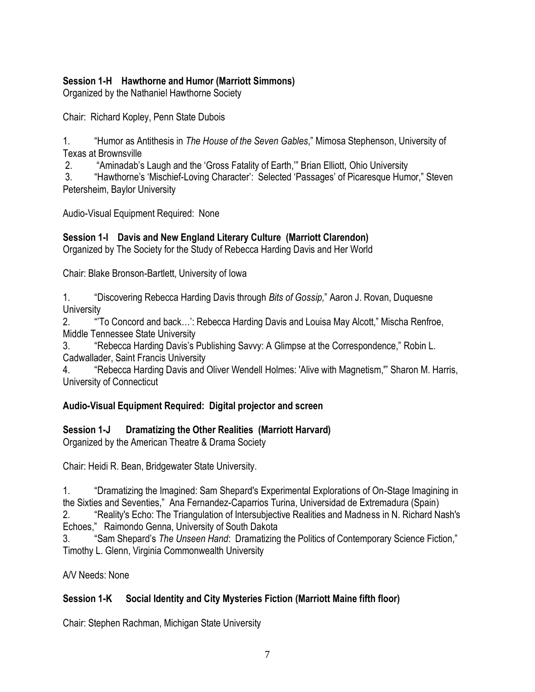## **Session 1-H Hawthorne and Humor (Marriott Simmons)**

Organized by the Nathaniel Hawthorne Society

Chair: Richard Kopley, Penn State Dubois

1. ―Humor as Antithesis in *The House of the Seven Gables*,‖ Mimosa Stephenson, University of Texas at Brownsville

2. "Aminadab's Laugh and the 'Gross Fatality of Earth," Brian Elliott, Ohio University

3. "Hawthorne's 'Mischief-Loving Character': Selected 'Passages' of Picaresque Humor," Steven Petersheim, Baylor University

Audio-Visual Equipment Required: None

## **Session 1-I Davis and New England Literary Culture (Marriott Clarendon)**

Organized by The Society for the Study of Rebecca Harding Davis and Her World

Chair: Blake Bronson-Bartlett, University of Iowa

1. ―Discovering Rebecca Harding Davis through *Bits of Gossip,*‖ Aaron J. Rovan, Duquesne **University** 

2. "To Concord and back...': Rebecca Harding Davis and Louisa May Alcott," Mischa Renfroe, Middle Tennessee State University

3. "Rebecca Harding Davis's Publishing Savvy: A Glimpse at the Correspondence," Robin L. Cadwallader, Saint Francis University

4. "Rebecca Harding Davis and Oliver Wendell Holmes: 'Alive with Magnetism," Sharon M. Harris, University of Connecticut

### **Audio-Visual Equipment Required: Digital projector and screen**

# **Session 1-J Dramatizing the Other Realities (Marriott Harvard)**

Organized by the American Theatre & Drama Society

Chair: Heidi R. Bean, Bridgewater State University.

1. **The Imaginal induce is a straight in Shepard's Experimental Explorations of On-Stage Imagining in** the Sixties and Seventies,‖ Ana Fernandez-Caparrios Turina, Universidad de Extremadura (Spain)

2. "Reality's Echo: The Triangulation of Intersubjective Realities and Madness in N. Richard Nash's Echoes," Raimondo Genna, University of South Dakota

3. **Sam Shepard's The Unseen Hand: Dramatizing the Politics of Contemporary Science Fiction,"** Timothy L. Glenn, Virginia Commonwealth University

A/V Needs: None

# **Session 1-K Social Identity and City Mysteries Fiction (Marriott Maine fifth floor)**

Chair: Stephen Rachman, Michigan State University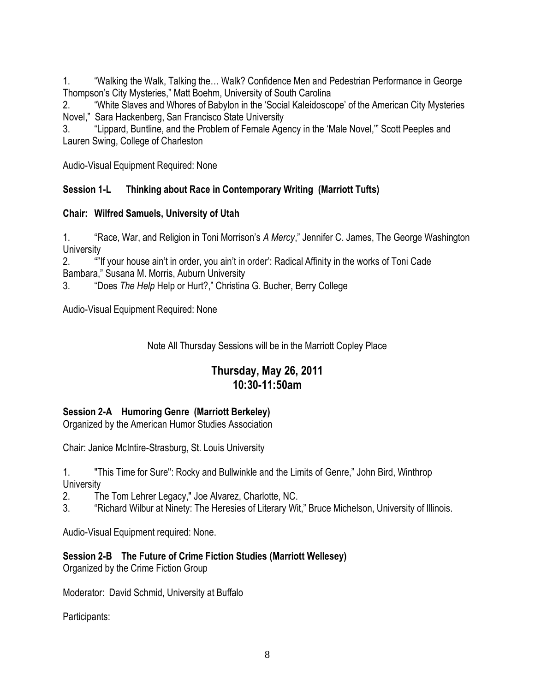1. ―Walking the Walk, Talking the… Walk? Confidence Men and Pedestrian Performance in George Thompson's City Mysteries," Matt Boehm, University of South Carolina

2. "White Slaves and Whores of Babylon in the 'Social Kaleidoscope' of the American City Mysteries Novel," Sara Hackenberg, San Francisco State University

3. "Lippard, Buntline, and the Problem of Female Agency in the 'Male Novel," Scott Peeples and Lauren Swing, College of Charleston

Audio-Visual Equipment Required: None

### **Session 1-L Thinking about Race in Contemporary Writing (Marriott Tufts)**

### **Chair: Wilfred Samuels, University of Utah**

1. **A "Race, War, and Religion in Toni Morrison's A Mercy," Jennifer C. James, The George Washington University** 

2. ―‖If your house ain't in order, you ain't in order': Radical Affinity in the works of Toni Cade Bambara," Susana M. Morris, Auburn University

3. ―Does *The Help* Help or Hurt?,‖ Christina G. Bucher, Berry College

Audio-Visual Equipment Required: None

Note All Thursday Sessions will be in the Marriott Copley Place

# **Thursday, May 26, 2011 10:30-11:50am**

### **Session 2-A Humoring Genre (Marriott Berkeley)**

Organized by the American Humor Studies Association

Chair: Janice McIntire-Strasburg, St. Louis University

1. "This Time for Sure": Rocky and Bullwinkle and the Limits of Genre," John Bird, Winthrop **University** 

2. The Tom Lehrer Legacy," Joe Alvarez, Charlotte, NC.

3. "Richard Wilbur at Ninety: The Heresies of Literary Wit," Bruce Michelson, University of Illinois.

Audio-Visual Equipment required: None.

# **Session 2-B The Future of Crime Fiction Studies (Marriott Wellesey)**

Organized by the Crime Fiction Group

Moderator: David Schmid, University at Buffalo

Participants: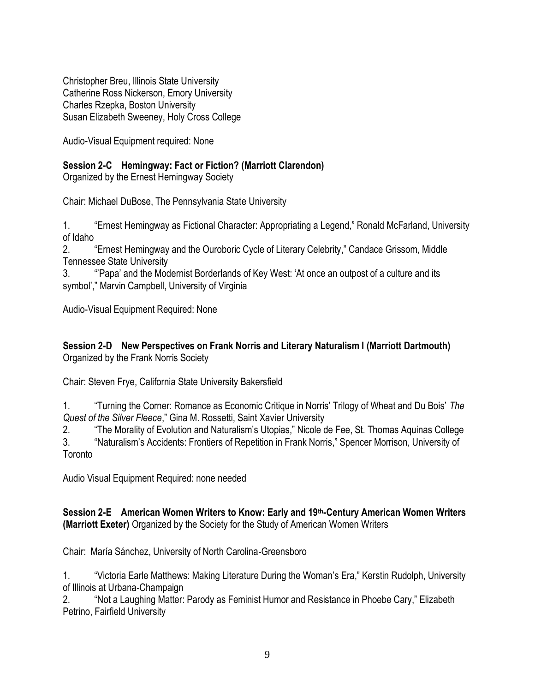Christopher Breu, Illinois State University Catherine Ross Nickerson, Emory University Charles Rzepka, Boston University Susan Elizabeth Sweeney, Holy Cross College

Audio-Visual Equipment required: None

# **Session 2-C Hemingway: Fact or Fiction? (Marriott Clarendon)**

Organized by the Ernest Hemingway Society

Chair: Michael DuBose, The Pennsylvania State University

1. **Ernest Hemingway as Fictional Character: Appropriating a Legend," Ronald McFarland, University** of Idaho

2. **Ernest Hemingway and the Ouroboric Cycle of Literary Celebrity," Candace Grissom, Middle** Tennessee State University

3. ―'Papa' and the Modernist Borderlands of Key West: ‗At once an outpost of a culture and its symbol'," Marvin Campbell, University of Virginia

Audio-Visual Equipment Required: None

### **Session 2-D New Perspectives on Frank Norris and Literary Naturalism I (Marriott Dartmouth)** Organized by the Frank Norris Society

Chair: Steven Frye, California State University Bakersfield

1. ―Turning the Corner: Romance as Economic Critique in Norris' Trilogy of Wheat and Du Bois' *The Quest of the Silver Fleece*,‖ Gina M. Rossetti, Saint Xavier University

2. **The Morality of Evolution and Naturalism's Utopias," Nicole de Fee, St. Thomas Aquinas College** 

3. "Naturalism's Accidents: Frontiers of Repetition in Frank Norris," Spencer Morrison, University of **Toronto** 

Audio Visual Equipment Required: none needed

### **Session 2-E American Women Writers to Know: Early and 19th-Century American Women Writers (Marriott Exeter)** Organized by the Society for the Study of American Women Writers

Chair: María Sánchez, University of North Carolina-Greensboro

1. "Victoria Earle Matthews: Making Literature During the Woman's Era," Kerstin Rudolph, University of Illinois at Urbana-Champaign

2. "Not a Laughing Matter: Parody as Feminist Humor and Resistance in Phoebe Cary," Elizabeth Petrino, Fairfield University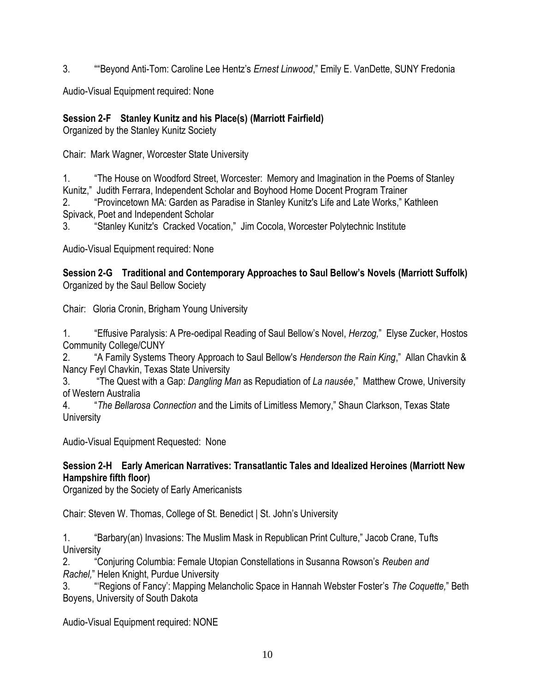3. **<sup>""</sup>Beyond Anti-Tom: Caroline Lee Hentz's** *Ernest Linwood***," Emily E. VanDette, SUNY Fredonia** 

Audio-Visual Equipment required: None

## **Session 2-F Stanley Kunitz and his Place(s) (Marriott Fairfield)**

Organized by the Stanley Kunitz Society

Chair: Mark Wagner, Worcester State University

1. **The House on Woodford Street, Worcester: Memory and Imagination in the Poems of Stanley** Kunitz," Judith Ferrara, Independent Scholar and Boyhood Home Docent Program Trainer

2. "Provincetown MA: Garden as Paradise in Stanley Kunitz's Life and Late Works," Kathleen Spivack, Poet and Independent Scholar

3. 
"Stanley Kunitz's Cracked Vocation," Jim Cocola, Worcester Polytechnic Institute

Audio-Visual Equipment required: None

**Session 2-G Traditional and Contemporary Approaches to Saul Bellow's Novels (Marriott Suffolk)** Organized by the Saul Bellow Society

Chair: Gloria Cronin, Brigham Young University

1. ―Effusive Paralysis: A Pre-oedipal Reading of Saul Bellow's Novel, *Herzog,*‖ Elyse Zucker, Hostos Community College/CUNY

2. ―A Family Systems Theory Approach to Saul Bellow's *Henderson the Rain King*,‖ Allan Chavkin & Nancy Feyl Chavkin, Texas State University

3. ―The Quest with a Gap: *Dangling Man* as Repudiation of *La nausée*,‖ Matthew Crowe, University of Western Australia

4. ―*The Bellarosa Connection* and the Limits of Limitless Memory,‖ Shaun Clarkson, Texas State **University** 

Audio-Visual Equipment Requested: None

### **Session 2-H Early American Narratives: Transatlantic Tales and Idealized Heroines (Marriott New Hampshire fifth floor)**

Organized by the Society of Early Americanists

Chair: Steven W. Thomas, College of St. Benedict | St. John's University

1. **The Barbary(an) Invasions: The Muslim Mask in Republican Print Culture,**" Jacob Crane, Tufts **University** 

2. ―Conjuring Columbia: Female Utopian Constellations in Susanna Rowson's *Reuben and Rachel,*" Helen Knight, Purdue University

3. ―‗Regions of Fancy': Mapping Melancholic Space in Hannah Webster Foster's *The Coquette,*‖ Beth Boyens, University of South Dakota

Audio-Visual Equipment required: NONE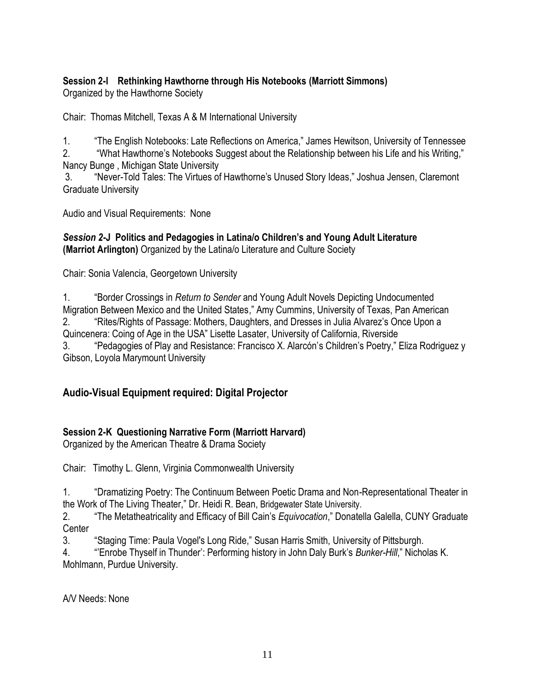# **Session 2-I Rethinking Hawthorne through His Notebooks (Marriott Simmons)**

Organized by the Hawthorne Society

Chair: Thomas Mitchell, Texas A & M International University

1. ―The English Notebooks: Late Reflections on America,‖ James Hewitson, University of Tennessee

2. "What Hawthorne's Notebooks Suggest about the Relationship between his Life and his Writing," Nancy Bunge , Michigan State University

3. "Never-Told Tales: The Virtues of Hawthorne's Unused Story Ideas," Joshua Jensen, Claremont Graduate University

Audio and Visual Requirements: None

### *Session 2-***J Politics and Pedagogies in Latina/o Children's and Young Adult Literature (Marriot Arlington)** Organized by the Latina/o Literature and Culture Society

Chair: Sonia Valencia, Georgetown University

1. **Aborder Crossings in** *Return to Sender* **and Young Adult Novels Depicting Undocumented** Migration Between Mexico and the United States," Amy Cummins, University of Texas, Pan American 2. "Rites/Rights of Passage: Mothers, Daughters, and Dresses in Julia Alvarez's Once Upon a Quincenera: Coing of Age in the USA" Lisette Lasater, University of California, Riverside 3. "Pedagogies of Play and Resistance: Francisco X. Alarcón's Children's Poetry," Eliza Rodriguez y Gibson, Loyola Marymount University

# **Audio-Visual Equipment required: Digital Projector**

# **Session 2-K Questioning Narrative Form (Marriott Harvard)**

Organized by the American Theatre & Drama Society

Chair: Timothy L. Glenn, Virginia Commonwealth University

1. **The Steph and The Continuum Between Poetic Drama and Non-Representational Theater in** the Work of The Living Theater," Dr. Heidi R. Bean, Bridgewater State University.

2. **The Metatheatricality and Efficacy of Bill Cain's** *Equivocation*," Donatella Galella, CUNY Graduate **Center** 

3. Staging Time: Paula Vogel's Long Ride," Susan Harris Smith, University of Pittsburgh.

4. **The Thyself in Thunder': Performing history in John Daly Burk's** *Bunker-Hill***," Nicholas K.** Mohlmann, Purdue University.

A/V Needs: None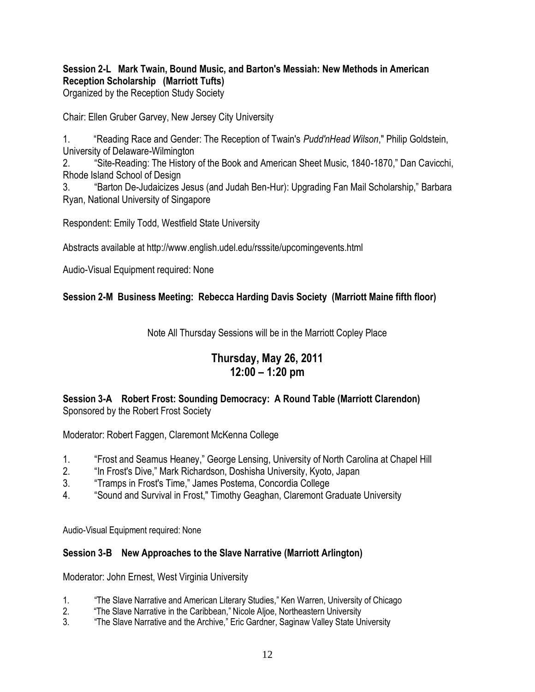### **Session 2-L Mark Twain, Bound Music, and Barton's Messiah: New Methods in American Reception Scholarship (Marriott Tufts)**

Organized by the Reception Study Society

Chair: Ellen Gruber Garvey, New Jersey City University

1. **A Reading Race and Gender: The Reception of Twain's** *Pudd'nHead Wilson***," Philip Goldstein,** University of Delaware-Wilmington

2. 
"Site-Reading: The History of the Book and American Sheet Music, 1840-1870," Dan Cavicchi, Rhode Island School of Design

3. 
"Barton De-Judaicizes Jesus (and Judah Ben-Hur): Upgrading Fan Mail Scholarship," Barbara Ryan, National University of Singapore

Respondent: Emily Todd, Westfield State University

Abstracts available at http://www.english.udel.edu/rsssite/upcomingevents.html

Audio-Visual Equipment required: None

## **Session 2-M Business Meeting: Rebecca Harding Davis Society (Marriott Maine fifth floor)**

Note All Thursday Sessions will be in the Marriott Copley Place

# **Thursday, May 26, 2011 12:00 – 1:20 pm**

### **Session 3-A Robert Frost: Sounding Democracy: A Round Table (Marriott Clarendon)** Sponsored by the Robert Frost Society

Moderator: Robert Faggen, Claremont McKenna College

- 1. "Frost and Seamus Heaney," George Lensing, University of North Carolina at Chapel Hill
- 2. 
"In Frost's Dive," Mark Richardson, Doshisha University, Kyoto, Japan
- 3. 
"Tramps in Frost's Time," James Postema, Concordia College
- 4. "Sound and Survival in Frost," Timothy Geaghan, Claremont Graduate University

Audio-Visual Equipment required: None

### **Session 3-B New Approaches to the Slave Narrative (Marriott Arlington)**

Moderator: John Ernest, West Virginia University

- 1. The Slave Narrative and American Literary Studies," Ken Warren, University of Chicago
- 2. 
"The Slave Narrative in the Caribbean," Nicole Aljoe, Northeastern University
- 3. "The Slave Narrative and the Archive," Eric Gardner, Saginaw Valley State University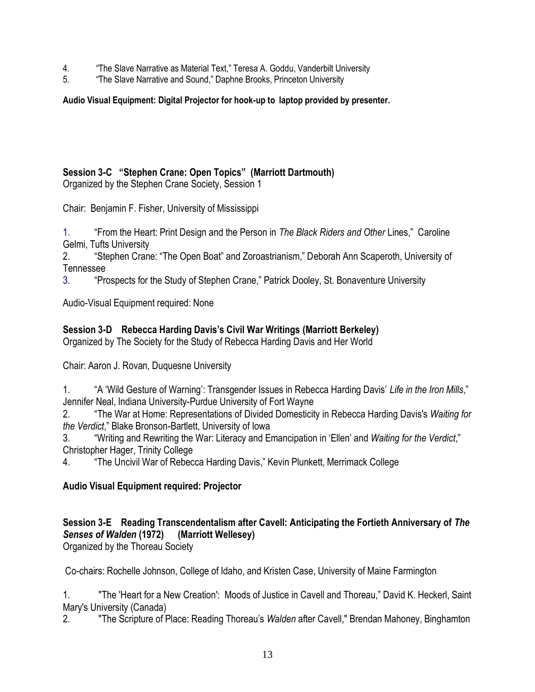- 4. 
"The Slave Narrative as Material Text," Teresa A. Goddu, Vanderbilt University
- 5. **The Slave Narrative and Sound," Daphne Brooks, Princeton University**

### **Audio Visual Equipment: Digital Projector for hook-up to laptop provided by presenter.**

### **Session 3-C ―Stephen Crane: Open Topics‖ (Marriott Dartmouth)**

Organized by the Stephen Crane Society, Session 1

Chair: Benjamin F. Fisher, University of Mississippi

1. ―From the Heart: Print Design and the Person in *The Black Riders and Other* Lines,‖ Caroline Gelmi, Tufts University

2. 
"Stephen Crane: "The Open Boat" and Zoroastrianism," Deborah Ann Scaperoth, University of Tennessee

3. **The Prospects for the Study of Stephen Crane,**" Patrick Dooley, St. Bonaventure University

Audio-Visual Equipment required: None

### **Session 3-D Rebecca Harding Davis's Civil War Writings (Marriott Berkeley)**

Organized by The Society for the Study of Rebecca Harding Davis and Her World

Chair: Aaron J. Rovan, Duquesne University

1. "A 'Wild Gesture of Warning': Transgender Issues in Rebecca Harding Davis' Life in the Iron Mills," Jennifer Neal, Indiana University-Purdue University of Fort Wayne

2. ―The War at Home: Representations of Divided Domesticity in Rebecca Harding Davis's *Waiting for the Verdict*,‖ Blake Bronson-Bartlett, University of Iowa

3. "Writing and Rewriting the War: Literacy and Emancipation in 'Ellen' and *Waiting for the Verdict*," Christopher Hager, Trinity College

4. **The Uncivil War of Rebecca Harding Davis," Kevin Plunkett, Merrimack College** 

### **Audio Visual Equipment required: Projector**

## **Session 3-E Reading Transcendentalism after Cavell: Anticipating the Fortieth Anniversary of** *The Senses of Walden* **(1972) (Marriott Wellesey)**

Organized by the Thoreau Society

Co-chairs: Rochelle Johnson, College of Idaho, and Kristen Case, University of Maine Farmington

1. "The 'Heart for a New Creation': Moods of Justice in Cavell and Thoreau," David K. Heckerl, Saint Mary's University (Canada)

2. "The Scripture of Place: Reading Thoreau's *Walden* after Cavell," Brendan Mahoney, Binghamton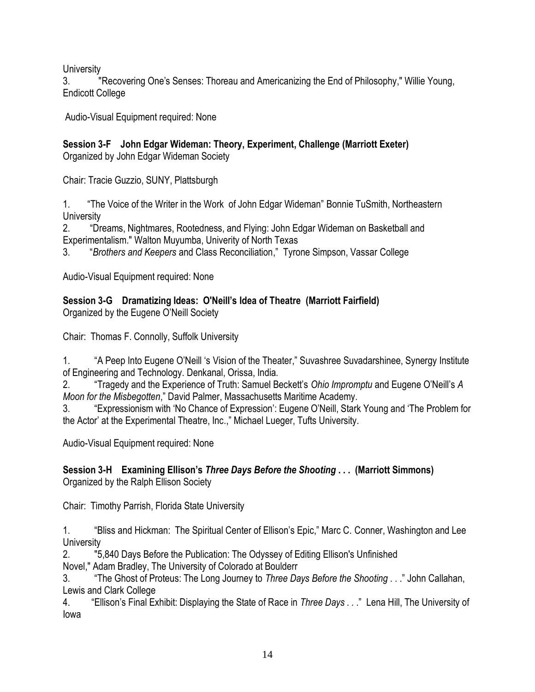**University** 

3. "Recovering One's Senses: Thoreau and Americanizing the End of Philosophy," Willie Young, Endicott College

Audio-Visual Equipment required: None

**Session 3-F John Edgar Wideman: Theory, Experiment, Challenge (Marriott Exeter)**

Organized by John Edgar Wideman Society

Chair: Tracie Guzzio, SUNY, Plattsburgh

1. "The Voice of the Writer in the Work of John Edgar Wideman" Bonnie TuSmith, Northeastern **University** 

2. **The Theams, Nightmares, Rootedness, and Flying: John Edgar Wideman on Basketball and** Experimentalism." Walton Muyumba, Univerity of North Texas

3. ―*Brothers and Keepers* and Class Reconciliation,‖ Tyrone Simpson, Vassar College

Audio-Visual Equipment required: None

**Session 3-G Dramatizing Ideas: O'Neill's Idea of Theatre (Marriott Fairfield)** Organized by the Eugene O'Neill Society

Chair: Thomas F. Connolly, Suffolk University

1. **A Peep Into Eugene O'Neill 's Vision of the Theater," Suvashree Suvadarshinee, Synergy Institute** of Engineering and Technology. Denkanal, Orissa, India.

2. ―Tragedy and the Experience of Truth: Samuel Beckett's *Ohio Impromptu* and Eugene O'Neill's *A Moon for the Misbegotten*," David Palmer, Massachusetts Maritime Academy.

3. "Expressionism with 'No Chance of Expression': Eugene O'Neill, Stark Young and 'The Problem for the Actor' at the Experimental Theatre, Inc.," Michael Lueger, Tufts University.

Audio-Visual Equipment required: None

### **Session 3-H Examining Ellison's** *Three Days Before the Shooting* **. . . (Marriott Simmons)** Organized by the Ralph Ellison Society

Chair: Timothy Parrish, Florida State University

1. **The Hights and Hickman: The Spiritual Center of Ellison's Epic," Marc C. Conner, Washington and Lee University** 

2. "5,840 Days Before the Publication: The Odyssey of Editing Ellison's Unfinished

Novel," Adam Bradley, The University of Colorado at Boulderr

3. ―The Ghost of Proteus: The Long Journey to *Three Days Before the Shooting* . . .‖ John Callahan, Lewis and Clark College

4. "Ellison's Final Exhibit: Displaying the State of Race in *Three Days . .* ." Lena Hill, The University of Iowa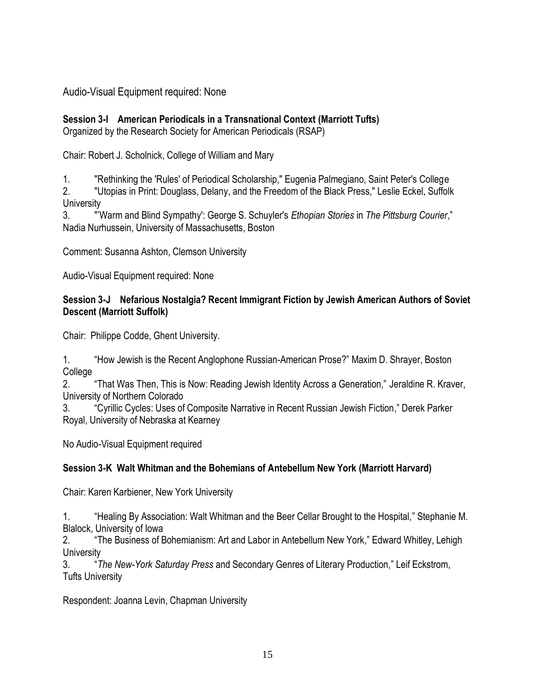Audio-Visual Equipment required: None

# **Session 3-I American Periodicals in a Transnational Context (Marriott Tufts)**

Organized by the Research Society for American Periodicals (RSAP)

Chair: Robert J. Scholnick, College of William and Mary

1. "Rethinking the 'Rules' of Periodical Scholarship," Eugenia Palmegiano, Saint Peter's College

2. "Utopias in Print: Douglass, Delany, and the Freedom of the Black Press," Leslie Eckel, Suffolk **University** 

3. "'Warm and Blind Sympathy': George S. Schuyler's *Ethopian Stories* in *The Pittsburg Courier*,‖ Nadia Nurhussein, University of Massachusetts, Boston

Comment: Susanna Ashton, Clemson University

Audio-Visual Equipment required: None

### **Session 3-J Nefarious Nostalgia? Recent Immigrant Fiction by Jewish American Authors of Soviet Descent (Marriott Suffolk)**

Chair: Philippe Codde, Ghent University.

1. "How Jewish is the Recent Anglophone Russian-American Prose?" Maxim D. Shrayer, Boston College

2. **That Was Then, This is Now: Reading Jewish Identity Across a Generation," Jeraldine R. Kraver,** University of Northern Colorado

3. **The Cyrillic Cycles: Uses of Composite Narrative in Recent Russian Jewish Fiction," Derek Parker** Royal, University of Nebraska at Kearney

No Audio-Visual Equipment required

# **Session 3-K Walt Whitman and the Bohemians of Antebellum New York (Marriott Harvard)**

Chair: Karen Karbiener, New York University

1. ―Healing By Association: Walt Whitman and the Beer Cellar Brought to the Hospital,‖ Stephanie M. Blalock, University of Iowa

2. "The Business of Bohemianism: Art and Labor in Antebellum New York," Edward Whitley, Lehigh **University** 

3. ―*The New-York Saturday Press* and Secondary Genres of Literary Production,‖ Leif Eckstrom, Tufts University

Respondent: Joanna Levin, Chapman University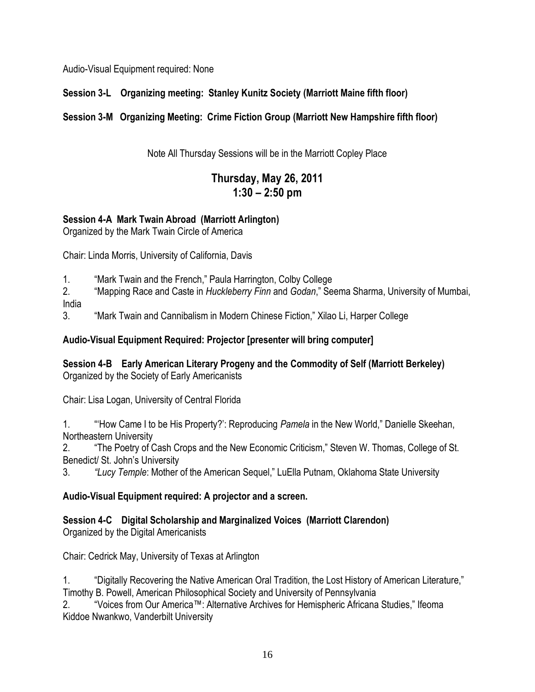Audio-Visual Equipment required: None

# **Session 3-L Organizing meeting: Stanley Kunitz Society (Marriott Maine fifth floor)**

# **Session 3-M Organizing Meeting: Crime Fiction Group (Marriott New Hampshire fifth floor)**

Note All Thursday Sessions will be in the Marriott Copley Place

# **Thursday, May 26, 2011 1:30 – 2:50 pm**

# **Session 4-A Mark Twain Abroad (Marriott Arlington)**

Organized by the Mark Twain Circle of America

Chair: Linda Morris, University of California, Davis

1. "Mark Twain and the French," Paula Harrington, Colby College

2. ―Mapping Race and Caste in *Huckleberry Finn* and *Godan*,‖ Seema Sharma, University of Mumbai, India

3. **Example The Twain and Cannibalism in Modern Chinese Fiction,**" Xilao Li, Harper College

## **Audio-Visual Equipment Required: Projector [presenter will bring computer]**

**Session 4-B Early American Literary Progeny and the Commodity of Self (Marriott Berkeley)** Organized by the Society of Early Americanists

Chair: Lisa Logan, University of Central Florida

1. **A "How Came I to be His Property?': Reproducing** *Pamela* **in the New World," Danielle Skeehan,** Northeastern University

2. **The Poetry of Cash Crops and the New Economic Criticism,**" Steven W. Thomas, College of St. Benedict/ St. John's University

3. *"Lucy Temple:* Mother of the American Sequel," LuElla Putnam, Oklahoma State University

# **Audio-Visual Equipment required: A projector and a screen.**

# **Session 4-C Digital Scholarship and Marginalized Voices (Marriott Clarendon)**

Organized by the Digital Americanists

Chair: Cedrick May, University of Texas at Arlington

1. "Digitally Recovering the Native American Oral Tradition, the Lost History of American Literature," Timothy B. Powell, American Philosophical Society and University of Pennsylvania

2. "Voices from Our America™: Alternative Archives for Hemispheric Africana Studies," Ifeoma Kiddoe Nwankwo, Vanderbilt University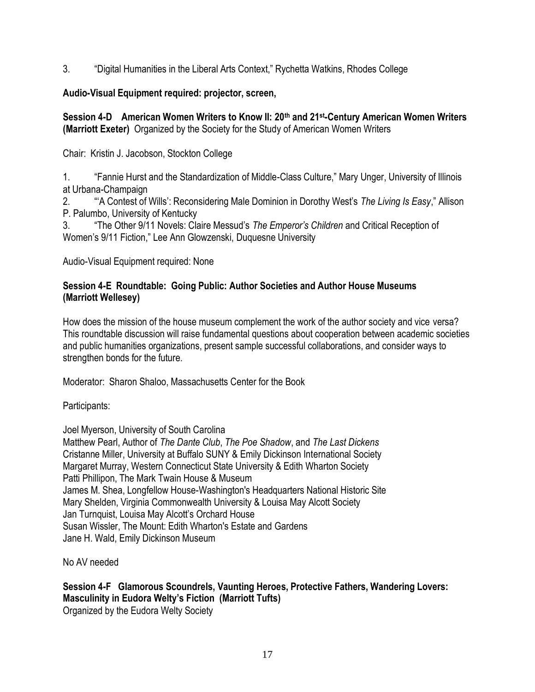3. "Digital Humanities in the Liberal Arts Context," Rychetta Watkins, Rhodes College

## **Audio-Visual Equipment required: projector, screen,**

**Session 4-D American Women Writers to Know II: 20th and 21st-Century American Women Writers (Marriott Exeter)** Organized by the Society for the Study of American Women Writers

Chair: Kristin J. Jacobson, Stockton College

1. **The Fannie Hurst and the Standardization of Middle-Class Culture,**" Mary Unger, University of Illinois at Urbana-Champaign

2. **A "A Contest of Wills': Reconsidering Male Dominion in Dorothy West's The Living Is Easy," Allison** P. Palumbo, University of Kentucky

3. ―The Other 9/11 Novels: Claire Messud's *The Emperor's Children* and Critical Reception of Women's 9/11 Fiction," Lee Ann Glowzenski, Duquesne University

Audio-Visual Equipment required: None

### **Session 4-E Roundtable: Going Public: Author Societies and Author House Museums (Marriott Wellesey)**

How does the mission of the house museum complement the work of the author society and vice versa? This roundtable discussion will raise fundamental questions about cooperation between academic societies and public humanities organizations, present sample successful collaborations, and consider ways to strengthen bonds for the future.

Moderator: Sharon Shaloo, Massachusetts Center for the Book

Participants:

Joel Myerson, University of South Carolina

Matthew Pearl, Author of *The Dante Club*, *The Poe Shadow*, and *The Last Dickens* Cristanne Miller, University at Buffalo SUNY & Emily Dickinson International Society Margaret Murray, Western Connecticut State University & Edith Wharton Society Patti Phillipon, The Mark Twain House & Museum James M. Shea, Longfellow House-Washington's Headquarters National Historic Site Mary Shelden, Virginia Commonwealth University & Louisa May Alcott Society Jan Turnquist, Louisa May Alcott's Orchard House Susan Wissler, The Mount: Edith Wharton's Estate and Gardens Jane H. Wald, Emily Dickinson Museum

No AV needed

**Session 4-F Glamorous Scoundrels, Vaunting Heroes, Protective Fathers, Wandering Lovers: Masculinity in Eudora Welty's Fiction (Marriott Tufts)** Organized by the Eudora Welty Society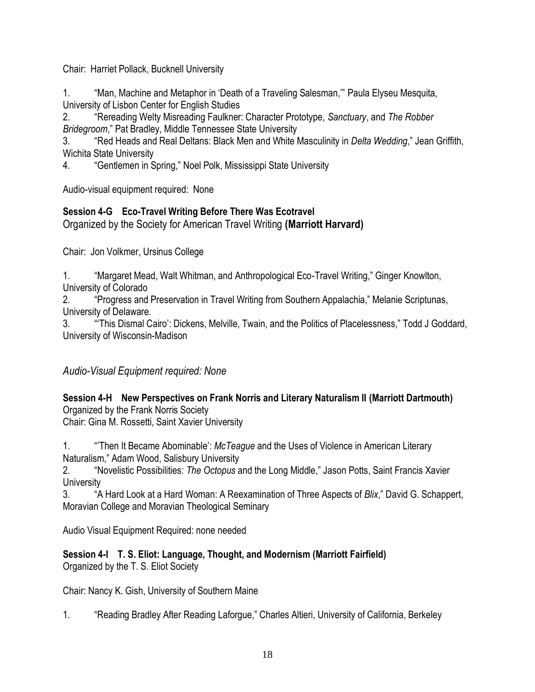Chair: Harriet Pollack, Bucknell University

1. "Man, Machine and Metaphor in 'Death of a Traveling Salesman," Paula Elyseu Mesquita, University of Lisbon Center for English Studies

2. ―Rereading Welty Misreading Faulkner: Character Prototype, *Sanctuary*, and *The Robber*  **Bridegroom," Pat Bradley, Middle Tennessee State University** 

3. ―Red Heads and Real Deltans: Black Men and White Masculinity in *Delta Wedding*,‖ Jean Griffith, Wichita State University

4. **Charage 1. A. A. A. A. S. A. A. A. A. S. A. A. S. A. S. A. S. A. S. A. S. A. S. A. S. A. S. A. S. A. S. A. S. A. S. A. S. A. S. A. S. A. S. A. S. A. S. A. S. A. S. A. S. A. S. A. S. A. S. A. S. A. S. A. S. A. S. A. S.** 

Audio-visual equipment required: None

# **Session 4-G Eco-Travel Writing Before There Was Ecotravel**

Organized by the Society for American Travel Writing **(Marriott Harvard)**

Chair: Jon Volkmer, Ursinus College

1. "Margaret Mead, Walt Whitman, and Anthropological Eco-Travel Writing," Ginger Knowlton, University of Colorado

2. "Progress and Preservation in Travel Writing from Southern Appalachia," Melanie Scriptunas, University of Delaware.

3. ―‗This Dismal Cairo': Dickens, Melville, Twain, and the Politics of Placelessness,‖ Todd J Goddard, University of Wisconsin-Madison

# *Audio-Visual Equipment required: None*

**Session 4-H New Perspectives on Frank Norris and Literary Naturalism II (Marriott Dartmouth)** Organized by the Frank Norris Society

Chair: Gina M. Rossetti, Saint Xavier University

1. ―'Then It Became Abominable': *McTeague* and the Uses of Violence in American Literary Naturalism," Adam Wood, Salisbury University

2. ―Novelistic Possibilities: *The Octopus* and the Long Middle,‖ Jason Potts, Saint Francis Xavier **University** 

3. ―A Hard Look at a Hard Woman: A Reexamination of Three Aspects of *Blix*,‖ David G. Schappert, Moravian College and Moravian Theological Seminary

Audio Visual Equipment Required: none needed

### **Session 4-I T. S. Eliot: Language, Thought, and Modernism (Marriott Fairfield)** Organized by the T. S. Eliot Society

Chair: Nancy K. Gish, University of Southern Maine

1. "Reading Bradley After Reading Laforgue," Charles Altieri, University of California, Berkeley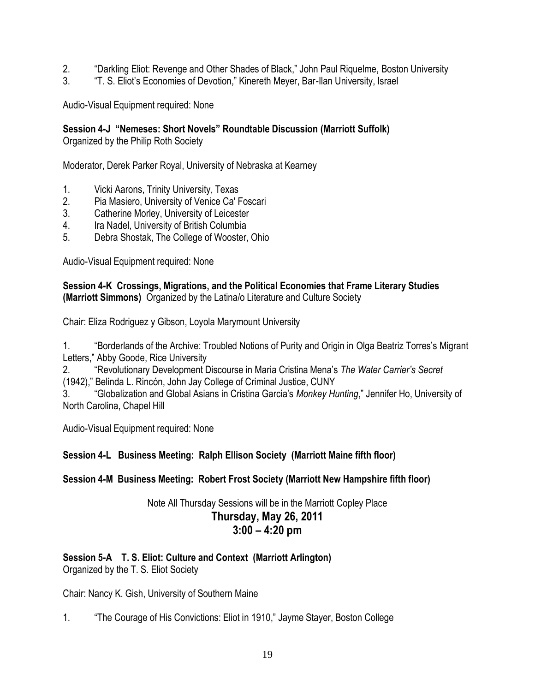- 2. "Darkling Eliot: Revenge and Other Shades of Black," John Paul Riquelme, Boston University
- 3. 
"T. S. Eliot's Economies of Devotion," Kinereth Meyer, Bar-Ilan University, Israel

Audio-Visual Equipment required: None

### **Session 4-J "Nemeses: Short Novels" Roundtable Discussion (Marriott Suffolk)**

Organized by the Philip Roth Society

Moderator, Derek Parker Royal, University of Nebraska at Kearney

- 1. Vicki Aarons, Trinity University, Texas
- 2. Pia Masiero, University of Venice Ca' Foscari
- 3. Catherine Morley, University of Leicester
- 4. Ira Nadel, University of British Columbia
- 5. Debra Shostak, The College of Wooster, Ohio

Audio-Visual Equipment required: None

### **Session 4-K Crossings, Migrations, and the Political Economies that Frame Literary Studies (Marriott Simmons)** Organized by the Latina/o Literature and Culture Society

Chair: Eliza Rodriguez y Gibson, Loyola Marymount University

1. "Borderlands of the Archive: Troubled Notions of Purity and Origin in Olga Beatriz Torres's Migrant Letters," Abby Goode, Rice University

2. ―Revolutionary Development Discourse in Maria Cristina Mena's *The Water Carrier's Secret* (1942)," Belinda L. Rincón, John Jay College of Criminal Justice, CUNY

3. ―Globalization and Global Asians in Cristina Garcia's *Monkey Hunting*,‖ Jennifer Ho, University of North Carolina, Chapel Hill

Audio-Visual Equipment required: None

### **Session 4-L Business Meeting: Ralph Ellison Society (Marriott Maine fifth floor)**

### **Session 4-M Business Meeting: Robert Frost Society (Marriott New Hampshire fifth floor)**

### Note All Thursday Sessions will be in the Marriott Copley Place **Thursday, May 26, 2011 3:00 – 4:20 pm**

### **Session 5-A T. S. Eliot: Culture and Context (Marriott Arlington)**

Organized by the T. S. Eliot Society

Chair: Nancy K. Gish, University of Southern Maine

1. The Courage of His Convictions: Eliot in 1910," Jayme Stayer, Boston College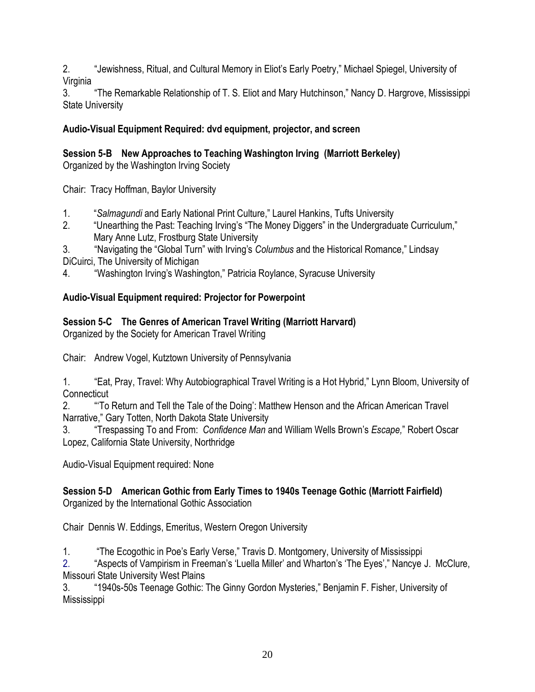2. 
"Jewishness, Ritual, and Cultural Memory in Eliot's Early Poetry," Michael Spiegel, University of Virginia

3. **The Remarkable Relationship of T. S. Eliot and Mary Hutchinson,**" Nancy D. Hargrove, Mississippi State University

# **Audio-Visual Equipment Required: dvd equipment, projector, and screen**

# **Session 5-B New Approaches to Teaching Washington Irving (Marriott Berkeley)**

Organized by the Washington Irving Society

Chair: Tracy Hoffman, Baylor University

- 1. **Salmagundi and Early National Print Culture,**" Laurel Hankins, Tufts University
- 2. "Unearthing the Past: Teaching Irving's "The Money Diggers" in the Undergraduate Curriculum," Mary Anne Lutz, Frostburg State University

3. "Navigating the "Global Turn" with Irving's *Columbus* and the Historical Romance," Lindsay DiCuirci, The University of Michigan

4. ―Washington Irving's Washington,‖ Patricia Roylance, Syracuse University

# **Audio-Visual Equipment required: Projector for Powerpoint**

# **Session 5-C The Genres of American Travel Writing (Marriott Harvard)**

Organized by the Society for American Travel Writing

Chair: Andrew Vogel, Kutztown University of Pennsylvania

1. "Eat, Pray, Travel: Why Autobiographical Travel Writing is a Hot Hybrid," Lynn Bloom, University of **Connecticut** 

2. ―‗To Return and Tell the Tale of the Doing': Matthew Henson and the African American Travel Narrative," Gary Totten, North Dakota State University

3. ―Trespassing To and From: *Confidence Man* and William Wells Brown's *Escape,*‖ Robert Oscar Lopez, California State University, Northridge

Audio-Visual Equipment required: None

### **Session 5-D American Gothic from Early Times to 1940s Teenage Gothic (Marriott Fairfield)** Organized by the International Gothic Association

Chair Dennis W. Eddings, Emeritus, Western Oregon University

1. **The Ecogothic in Poe's Early Verse,**" Travis D. Montgomery, University of Mississippi

2. 
"Aspects of Vampirism in Freeman's 'Luella Miller' and Wharton's 'The Eyes'," Nancye J. McClure, Missouri State University West Plains

3. "1940s-50s Teenage Gothic: The Ginny Gordon Mysteries," Benjamin F. Fisher, University of Mississippi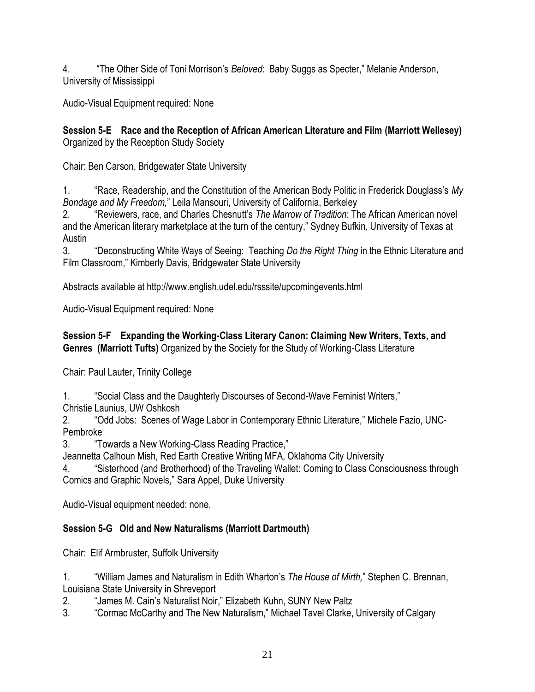4. **The Other Side of Toni Morrison's** *Beloved***: Baby Suggs as Specter," Melanie Anderson,** University of Mississippi

Audio-Visual Equipment required: None

**Session 5-E Race and the Reception of African American Literature and Film (Marriott Wellesey)** Organized by the Reception Study Society

Chair: Ben Carson, Bridgewater State University

1. ―Race, Readership, and the Constitution of the American Body Politic in Frederick Douglass's *My Bondage and My Freedom,*‖ Leila Mansouri, University of California, Berkeley

2. ―Reviewers, race, and Charles Chesnutt's *The Marrow of Tradition*: The African American novel and the American literary marketplace at the turn of the century," Sydney Bufkin, University of Texas at Austin

3. ―Deconstructing White Ways of Seeing: Teaching *Do the Right Thing* in the Ethnic Literature and Film Classroom," Kimberly Davis, Bridgewater State University

Abstracts available at http://www.english.udel.edu/rsssite/upcomingevents.html

Audio-Visual Equipment required: None

**Session 5-F Expanding the Working-Class Literary Canon: Claiming New Writers, Texts, and Genres (Marriott Tufts)** Organized by the Society for the Study of Working-Class Literature

Chair: Paul Lauter, Trinity College

1. "Social Class and the Daughterly Discourses of Second-Wave Feminist Writers,"

Christie Launius, UW Oshkosh

2. "Odd Jobs: Scenes of Wage Labor in Contemporary Ethnic Literature," Michele Fazio, UNC-Pembroke

3. **Towards a New Working-Class Reading Practice,"** 

Jeannetta Calhoun Mish, Red Earth Creative Writing MFA, Oklahoma City University

4. ―Sisterhood (and Brotherhood) of the Traveling Wallet: Coming to Class Consciousness through Comics and Graphic Novels," Sara Appel, Duke University

Audio-Visual equipment needed: none.

# **Session 5-G Old and New Naturalisms (Marriott Dartmouth)**

Chair: Elif Armbruster, Suffolk University

1. ―William James and Naturalism in Edith Wharton's *The House of Mirth,*‖ Stephen C. Brennan, Louisiana State University in Shreveport

2. **Augmer 19. Augmer Studies Communist Superson Communist Communist Communist Communist Communist Communist Communist Communist Communist Communist Communist Communist Communist Communist Communist Communist Communist Co** 

3. **Cormac McCarthy and The New Naturalism,**" Michael Tavel Clarke, University of Calgary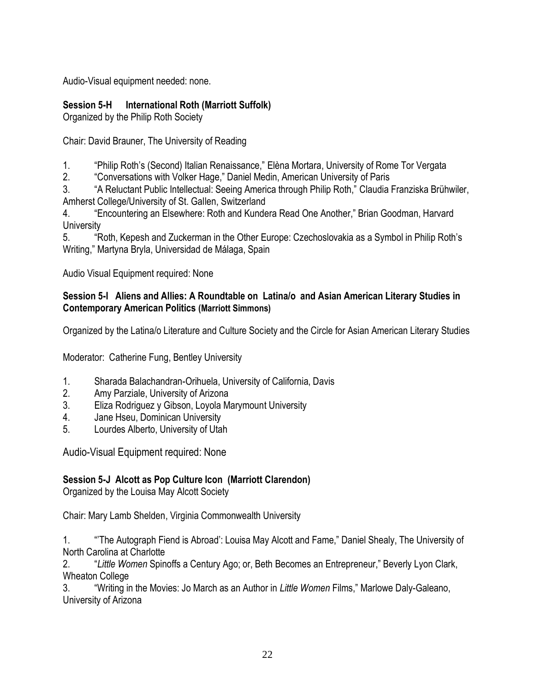Audio-Visual equipment needed: none.

## **Session 5-H International Roth (Marriott Suffolk)**

Organized by the Philip Roth Society

Chair: David Brauner, The University of Reading

- 1. **Thillip Roth's (Second) Italian Renaissance,**" Elèna Mortara, University of Rome Tor Vergata
- 2. **Conversations with Volker Hage," Daniel Medin, American University of Paris**

3. "A Reluctant Public Intellectual: Seeing America through Philip Roth," Claudia Franziska Brühwiler, Amherst College/University of St. Gallen, Switzerland

4. **Encountering an Elsewhere: Roth and Kundera Read One Another," Brian Goodman, Harvard University** 

5. "Hoth, Kepesh and Zuckerman in the Other Europe: Czechoslovakia as a Symbol in Philip Roth's Writing," Martyna Bryla, Universidad de Málaga, Spain

Audio Visual Equipment required: None

### **Session 5-I Aliens and Allies: A Roundtable on Latina/o and Asian American Literary Studies in Contemporary American Politics (Marriott Simmons)**

Organized by the Latina/o Literature and Culture Society and the Circle for Asian American Literary Studies

Moderator: Catherine Fung, Bentley University

- 1. Sharada Balachandran-Orihuela, University of California, Davis
- 2. Amy Parziale, University of Arizona
- 3. Eliza Rodriguez y Gibson, Loyola Marymount University
- 4. Jane Hseu, Dominican University
- 5. Lourdes Alberto, University of Utah

Audio-Visual Equipment required: None

### **Session 5-J Alcott as Pop Culture Icon (Marriott Clarendon)**

Organized by the Louisa May Alcott Society

Chair: Mary Lamb Shelden, Virginia Commonwealth University

1. **The Autograph Fiend is Abroad**': Louisa May Alcott and Fame," Daniel Shealy, The University of North Carolina at Charlotte

2. ―*Little Women* Spinoffs a Century Ago; or, Beth Becomes an Entrepreneur,‖ Beverly Lyon Clark, Wheaton College

3. ―Writing in the Movies: Jo March as an Author in *Little Women* Films,‖ Marlowe Daly-Galeano, University of Arizona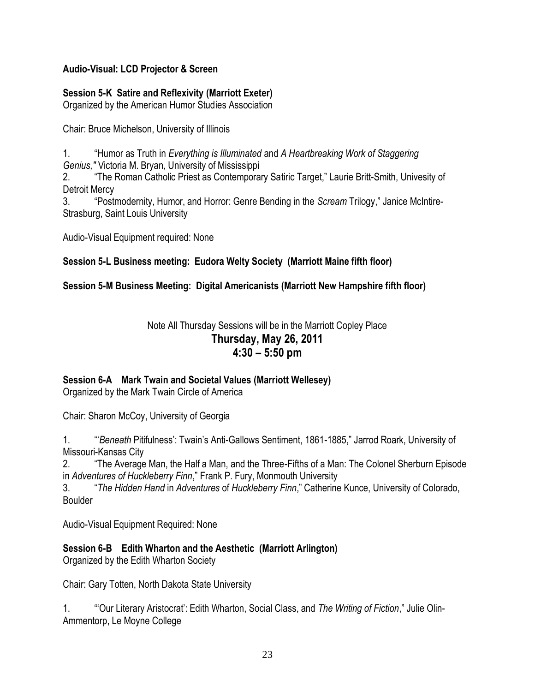### **Audio-Visual: LCD Projector & Screen**

### **Session 5-K Satire and Reflexivity (Marriott Exeter)**

Organized by the American Humor Studies Association

Chair: Bruce Michelson, University of Illinois

1. ―Humor as Truth in *Everything is Illuminated* and *A Heartbreaking Work of Staggering Genius,"* Victoria M. Bryan, University of Mississippi

2. **The Roman Catholic Priest as Contemporary Satiric Target," Laurie Britt-Smith, Univesity of** Detroit Mercy

3. ―Postmodernity, Humor, and Horror: Genre Bending in the *Scream* Trilogy,‖ Janice McIntire-Strasburg, Saint Louis University

Audio-Visual Equipment required: None

### **Session 5-L Business meeting: Eudora Welty Society (Marriott Maine fifth floor)**

### **Session 5-M Business Meeting: Digital Americanists (Marriott New Hampshire fifth floor)**

## Note All Thursday Sessions will be in the Marriott Copley Place **Thursday, May 26, 2011 4:30 – 5:50 pm**

### **Session 6-A Mark Twain and Societal Values (Marriott Wellesey)**

Organized by the Mark Twain Circle of America

Chair: Sharon McCoy, University of Georgia

1. ―‗*Beneath* Pitifulness': Twain's Anti-Gallows Sentiment, 1861-1885,‖ Jarrod Roark, University of Missouri-Kansas City

2. ―The Average Man, the Half a Man, and the Three-Fifths of a Man: The Colonel Sherburn Episode in *Adventures of Huckleberry Finn*," Frank P. Fury, Monmouth University

3. ―*The Hidden Hand* in *Adventures* of *Huckleberry Finn*,‖ Catherine Kunce, University of Colorado, Boulder

Audio-Visual Equipment Required: None

**Session 6-B Edith Wharton and the Aesthetic (Marriott Arlington)**

Organized by the Edith Wharton Society

Chair: Gary Totten, North Dakota State University

1. ―‗Our Literary Aristocrat': Edith Wharton, Social Class, and *The Writing of Fiction*,‖ Julie Olin-Ammentorp, Le Moyne College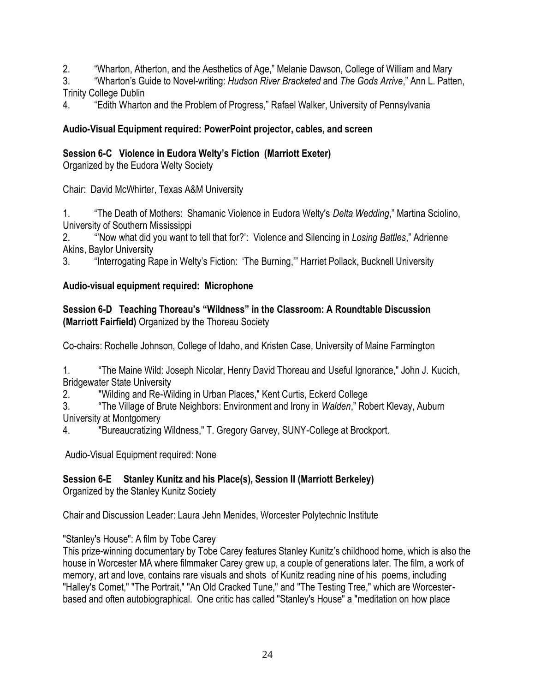- 2. "Wharton, Atherton, and the Aesthetics of Age," Melanie Dawson, College of William and Mary
- 3. ―Wharton's Guide to Novel-writing: *Hudson River Bracketed* and *The Gods Arrive*,‖ Ann L. Patten, Trinity College Dublin
- 4. **Edith Wharton and the Problem of Progress,**" Rafael Walker, University of Pennsylvania

## **Audio-Visual Equipment required: PowerPoint projector, cables, and screen**

## **Session 6-C Violence in Eudora Welty's Fiction (Marriott Exeter)**

Organized by the Eudora Welty Society

Chair: David McWhirter, Texas A&M University

1. ―The Death of Mothers: Shamanic Violence in Eudora Welty's *Delta Wedding*,‖ Martina Sciolino, University of Southern Mississippi

2. ―'Now what did you want to tell that for?': Violence and Silencing in *Losing Battles*,‖ Adrienne Akins, Baylor University

3. "Interrogating Rape in Welty's Fiction: 'The Burning," Harriet Pollack, Bucknell University

### **Audio-visual equipment required: Microphone**

### **Session 6-D Teaching Thoreau's ―Wildness‖ in the Classroom: A Roundtable Discussion (Marriott Fairfield)** Organized by the Thoreau Society

Co-chairs: Rochelle Johnson, College of Idaho, and Kristen Case, University of Maine Farmington

1. **The Maine Wild: Joseph Nicolar, Henry David Thoreau and Useful Ignorance," John J. Kucich,** Bridgewater State University

2. "Wilding and Re-Wilding in Urban Places," Kent Curtis, Eckerd College

3. ―The Village of Brute Neighbors: Environment and Irony in *Walden*,‖ Robert Klevay, Auburn University at Montgomery

4. "Bureaucratizing Wildness," T. Gregory Garvey, SUNY-College at Brockport.

Audio-Visual Equipment required: None

# **Session 6-E Stanley Kunitz and his Place(s), Session II (Marriott Berkeley)**

Organized by the Stanley Kunitz Society

Chair and Discussion Leader: Laura Jehn Menides, Worcester Polytechnic Institute

"Stanley's House": A film by Tobe Carey

This prize-winning documentary by Tobe Carey features Stanley Kunitz's childhood home, which is also the house in Worcester MA where filmmaker Carey grew up, a couple of generations later. The film, a work of memory, art and love, contains rare visuals and shots of Kunitz reading nine of his poems, including "Halley's Comet," "The Portrait," "An Old Cracked Tune," and "The Testing Tree," which are Worcesterbased and often autobiographical. One critic has called "Stanley's House" a "meditation on how place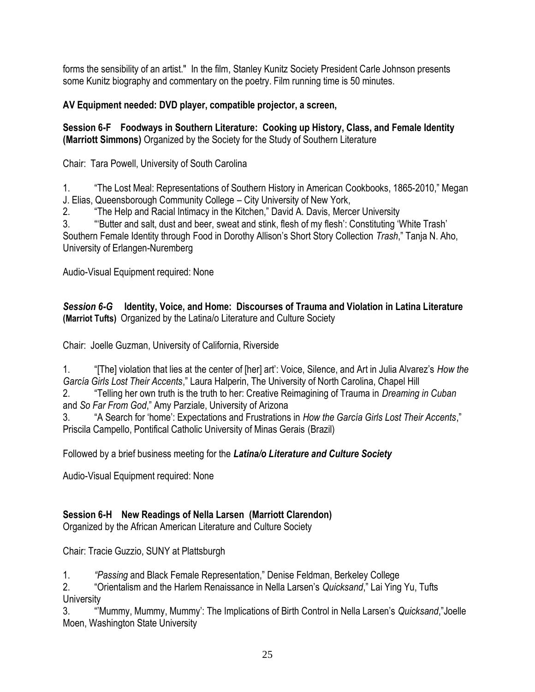forms the sensibility of an artist." In the film, Stanley Kunitz Society President Carle Johnson presents some Kunitz biography and commentary on the poetry. Film running time is 50 minutes.

## **AV Equipment needed: DVD player, compatible projector, a screen,**

## **Session 6-F Foodways in Southern Literature: Cooking up History, Class, and Female Identity (Marriott Simmons)** Organized by the Society for the Study of Southern Literature

Chair: Tara Powell, University of South Carolina

1. **The Lost Meal: Representations of Southern History in American Cookbooks, 1865-2010," Megan** J. Elias, Queensborough Community College – City University of New York,

2. **The Help and Racial Intimacy in the Kitchen,**" David A. Davis, Mercer University

3. ""Butter and salt, dust and beer, sweat and stink, flesh of my flesh': Constituting 'White Trash' Southern Female Identity through Food in Dorothy Allison's Short Story Collection *Trash*," Tanja N. Aho, University of Erlangen-Nuremberg

Audio-Visual Equipment required: None

### *Session 6-G* **Identity, Voice, and Home: Discourses of Trauma and Violation in Latina Literature (Marriot Tufts)** Organized by the Latina/o Literature and Culture Society

Chair: Joelle Guzman, University of California, Riverside

| "[The] violation that lies at the center of [her] art': Voice, Silence, and Art in Julia Alvarez's How the |
|------------------------------------------------------------------------------------------------------------|
| García Girls Lost Their Accents," Laura Halperin, The University of North Carolina, Chapel Hill            |

2. ―Telling her own truth is the truth to her: Creative Reimagining of Trauma in *Dreaming in Cuban* and *So Far From God*," Amy Parziale, University of Arizona

3. "A Search for 'home': Expectations and Frustrations in *How the Garcia Girls Lost Their Accents*," Priscila Campello, Pontifical Catholic University of Minas Gerais (Brazil)

Followed by a brief business meeting for the *Latina/o Literature and Culture Society*

Audio-Visual Equipment required: None

# **Session 6-H New Readings of Nella Larsen (Marriott Clarendon)**

Organized by the African American Literature and Culture Society

Chair: Tracie Guzzio, SUNY at Plattsburgh

1. *"Passing* and Black Female Representation,‖ Denise Feldman, Berkeley College

2. **The "Orientalism and the Harlem Renaissance in Nella Larsen's** *Quicksand***," Lai Ying Yu, Tufts University** 

3. "Mummy, Mummy, Mummy': The Implications of Birth Control in Nella Larsen's *Quicksand*,"Joelle Moen, Washington State University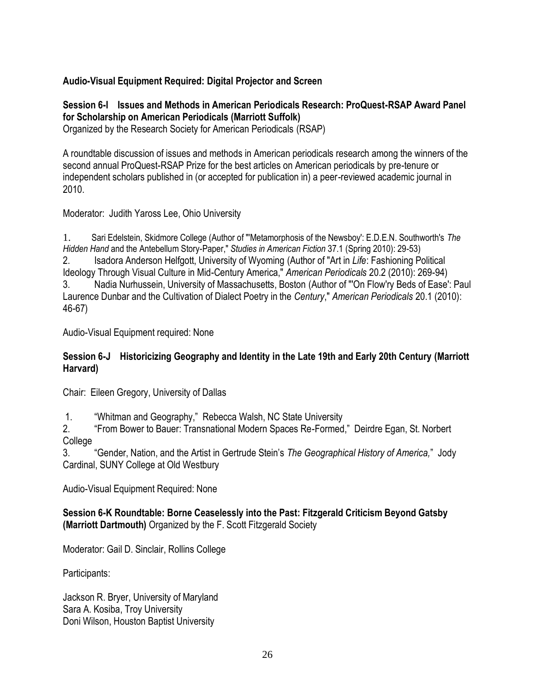## **Audio-Visual Equipment Required: Digital Projector and Screen**

### **Session 6-I Issues and Methods in American Periodicals Research: ProQuest-RSAP Award Panel for Scholarship on American Periodicals (Marriott Suffolk)**

Organized by the Research Society for American Periodicals (RSAP)

A roundtable discussion of issues and methods in American periodicals research among the winners of the second annual ProQuest-RSAP Prize for the best articles on American periodicals by pre-tenure or independent scholars published in (or accepted for publication in) a peer-reviewed academic journal in 2010.

Moderator: Judith Yaross Lee, Ohio University

1. Sari Edelstein, Skidmore College (Author of "'Metamorphosis of the Newsboy': E.D.E.N. Southworth's *The Hidden Hand* and the Antebellum Story-Paper," *Studies in American Fiction* 37.1 (Spring 2010): 29-53) 2. Isadora Anderson Helfgott, University of Wyoming (Author of "Art in *Life*: Fashioning Political Ideology Through Visual Culture in Mid-Century America," *American Periodicals* 20.2 (2010): 269-94) 3. Nadia Nurhussein, University of Massachusetts, Boston (Author of "'On Flow'ry Beds of Ease': Paul Laurence Dunbar and the Cultivation of Dialect Poetry in the *Century*," *American Periodicals* 20.1 (2010): 46-67)

Audio-Visual Equipment required: None

### **Session 6-J Historicizing Geography and Identity in the Late 19th and Early 20th Century (Marriott Harvard)**

Chair: Eileen Gregory, University of Dallas

1. "Whitman and Geography," Rebecca Walsh, NC State University

2. "From Bower to Bauer: Transnational Modern Spaces Re-Formed," Deirdre Egan, St. Norbert College

3. ―Gender, Nation, and the Artist in Gertrude Stein's *The Geographical History of America,*‖ Jody Cardinal, SUNY College at Old Westbury

Audio-Visual Equipment Required: None

**Session 6-K Roundtable: Borne Ceaselessly into the Past: Fitzgerald Criticism Beyond Gatsby (Marriott Dartmouth)** Organized by the F. Scott Fitzgerald Society

Moderator: Gail D. Sinclair, Rollins College

Participants:

Jackson R. Bryer, University of Maryland Sara A. Kosiba, Troy University Doni Wilson, Houston Baptist University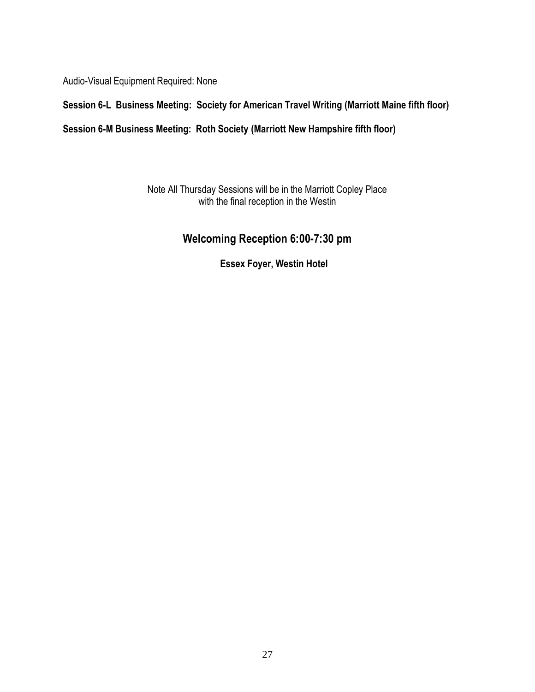Audio-Visual Equipment Required: None

## **Session 6-L Business Meeting: Society for American Travel Writing (Marriott Maine fifth floor)**

### **Session 6-M Business Meeting: Roth Society (Marriott New Hampshire fifth floor)**

Note All Thursday Sessions will be in the Marriott Copley Place with the final reception in the Westin

# **Welcoming Reception 6:00-7:30 pm**

**Essex Foyer, Westin Hotel**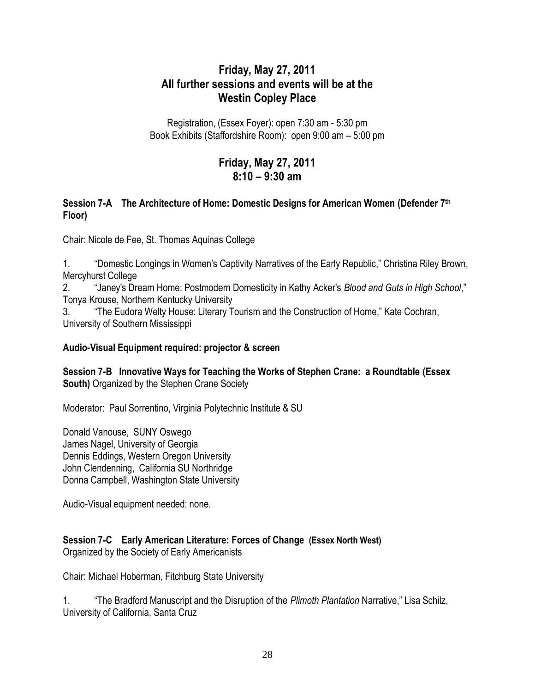# **Friday, May 27, 2011 All further sessions and events will be at the Westin Copley Place**

Registration, (Essex Foyer): open 7:30 am - 5:30 pm Book Exhibits (Staffordshire Room): open 9:00 am – 5:00 pm

# **Friday, May 27, 2011 8:10 – 9:30 am**

### **Session 7-A The Architecture of Home: Domestic Designs for American Women (Defender 7th Floor)**

Chair: Nicole de Fee, St. Thomas Aquinas College

1. "Domestic Longings in Women's Captivity Narratives of the Early Republic," Christina Riley Brown, Mercyhurst College

2. **Alter Steam Home: Postmodern Domesticity in Kathy Acker's** *Blood and Guts in High School***,"** Tonya Krouse, Northern Kentucky University

3. The Eudora Welty House: Literary Tourism and the Construction of Home," Kate Cochran, University of Southern Mississippi

### **Audio-Visual Equipment required: projector & screen**

**Session 7-B Innovative Ways for Teaching the Works of Stephen Crane: a Roundtable (Essex South)** Organized by the Stephen Crane Society

Moderator: Paul Sorrentino, Virginia Polytechnic Institute & SU

Donald Vanouse, SUNY Oswego James Nagel, University of Georgia Dennis Eddings, Western Oregon University John Clendenning, California SU Northridge Donna Campbell, Washington State University

Audio-Visual equipment needed: none.

### **Session 7-C Early American Literature: Forces of Change (Essex North West)** Organized by the Society of Early Americanists

Chair: Michael Hoberman, Fitchburg State University

1. **The Bradford Manuscript and the Disruption of the** *Plimoth Plantation* **Narrative," Lisa Schilz,** University of California, Santa Cruz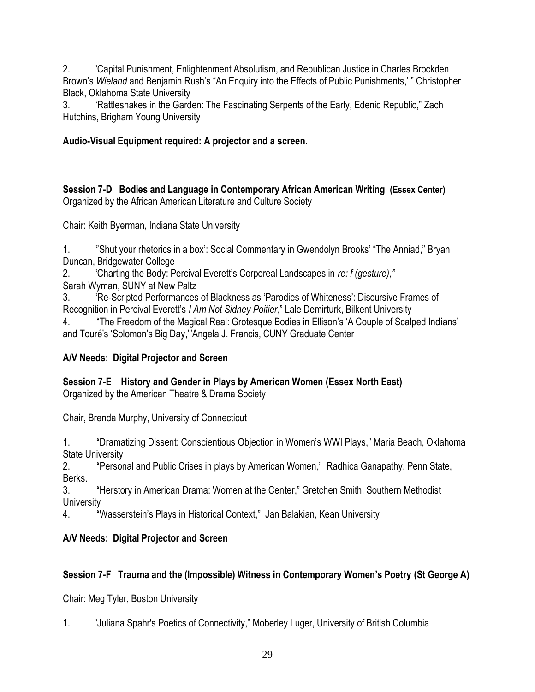2. ―Capital Punishment, Enlightenment Absolutism, and Republican Justice in Charles Brockden Brown's *Wieland* and Benjamin Rush's "An Enquiry into the Effects of Public Punishments,' " Christopher Black, Oklahoma State University

3. **ARA FRAttlesnakes in the Garden: The Fascinating Serpents of the Early, Edenic Republic," Zach** Hutchins, Brigham Young University

## **Audio-Visual Equipment required: A projector and a screen.**

**Session 7-D Bodies and Language in Contemporary African American Writing (Essex Center)** Organized by the African American Literature and Culture Society

Chair: Keith Byerman, Indiana State University

1. "Shut your rhetorics in a box': Social Commentary in Gwendolyn Brooks' "The Anniad," Bryan Duncan, Bridgewater College

2. ―Charting the Body: Percival Everett's Corporeal Landscapes in *re: f (gesture)*,*"*

Sarah Wyman, SUNY at New Paltz

3. ―Re-Scripted Performances of Blackness as ‗Parodies of Whiteness': Discursive Frames of Recognition in Percival Everett's *I Am Not Sidney Poitier*," Lale Demirturk, Bilkent University

4. ―The Freedom of the Magical Real: Grotesque Bodies in Ellison's ‗A Couple of Scalped Indians' and Touré's 'Solomon's Big Day,""Angela J. Francis, CUNY Graduate Center

# **A/V Needs: Digital Projector and Screen**

### **Session 7-E History and Gender in Plays by American Women (Essex North East)** Organized by the American Theatre & Drama Society

Chair, Brenda Murphy, University of Connecticut

1. "Tramatizing Dissent: Conscientious Objection in Women's WWI Plays," Maria Beach, Oklahoma State University

2. **The Personal and Public Crises in plays by American Women,**" Radhica Ganapathy, Penn State, Berks.

3. **The Herstory in American Drama: Women at the Center,**" Gretchen Smith, Southern Methodist **University** 

4. "Wasserstein's Plays in Historical Context," Jan Balakian, Kean University

# **A/V Needs: Digital Projector and Screen**

# **Session 7-F Trauma and the (Impossible) Witness in Contemporary Women's Poetry (St George A)**

Chair: Meg Tyler, Boston University

1. "Juliana Spahr's Poetics of Connectivity," Moberley Luger, University of British Columbia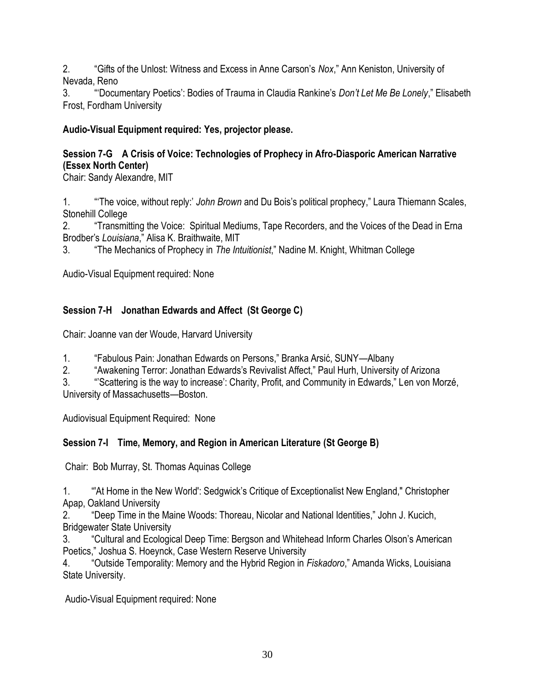2. ―Gifts of the Unlost: Witness and Excess in Anne Carson's *Nox*,‖ Ann Keniston, University of Nevada, Reno

3. ""Documentary Poetics': Bodies of Trauma in Claudia Rankine's *Don't Let Me Be Lonely*," Elisabeth Frost, Fordham University

## **Audio-Visual Equipment required: Yes, projector please.**

## **Session 7-G A Crisis of Voice: Technologies of Prophecy in Afro-Diasporic American Narrative (Essex North Center)**

Chair: Sandy Alexandre, MIT

1. **"**The voice, without reply:' *John Brown* and Du Bois's political prophecy," Laura Thiemann Scales, Stonehill College

2. ―Transmitting the Voice: Spiritual Mediums, Tape Recorders, and the Voices of the Dead in Erna Brodber's *Louisiana*,‖ Alisa K. Braithwaite, MIT

3. ―The Mechanics of Prophecy in *The Intuitionist*,‖ Nadine M. Knight, Whitman College

Audio-Visual Equipment required: None

# **Session 7-H Jonathan Edwards and Affect (St George C)**

Chair: Joanne van der Woude, Harvard University

1. ―Fabulous Pain: Jonathan Edwards on Persons,‖ Branka Arsić, SUNY—Albany

2. "Awakening Terror: Jonathan Edwards's Revivalist Affect," Paul Hurh, University of Arizona

3. "Scattering is the way to increase': Charity, Profit, and Community in Edwards," Len von Morzé, University of Massachusetts—Boston.

Audiovisual Equipment Required: None

# **Session 7-I Time, Memory, and Region in American Literature (St George B)**

Chair: Bob Murray, St. Thomas Aquinas College

1. ―'At Home in the New World': Sedgwick's Critique of Exceptionalist New England," Christopher Apap, Oakland University

2. "Deep Time in the Maine Woods: Thoreau, Nicolar and National Identities," John J. Kucich, Bridgewater State University

3. ―Cultural and Ecological Deep Time: Bergson and Whitehead Inform Charles Olson's American Poetics," Joshua S. Hoeynck, Case Western Reserve University

4. 
"Outside Temporality: Memory and the Hybrid Region in *Fiskadoro*," Amanda Wicks, Louisiana State University.

Audio-Visual Equipment required: None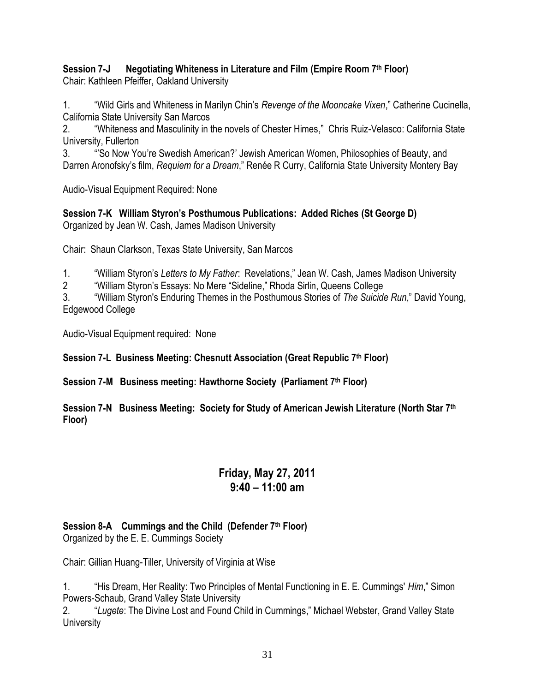#### **Session 7-J Negotiating Whiteness in Literature and Film (Empire Room 7th Floor)**  Chair: Kathleen Pfeiffer, Oakland University

1. ―Wild Girls and Whiteness in Marilyn Chin's *Revenge of the Mooncake Vixen*,‖ Catherine Cucinella, California State University San Marcos

2. "Whiteness and Masculinity in the novels of Chester Himes," Chris Ruiz-Velasco: California State University, Fullerton

3. ―'So Now You're Swedish American?' Jewish American Women, Philosophies of Beauty, and Darren Aronofsky's film, *Requiem for a Dream*," Renée R Curry, California State University Montery Bay

Audio-Visual Equipment Required: None

**Session 7-K William Styron's Posthumous Publications: Added Riches (St George D)** Organized by Jean W. Cash, James Madison University

Chair: Shaun Clarkson, Texas State University, San Marcos

1. ―William Styron's *Letters to My Father*: Revelations,‖ Jean W. Cash, James Madison University

2 
"William Styron's Essays: No Mere "Sideline," Rhoda Sirlin, Queens College

3. ―William Styron's Enduring Themes in the Posthumous Stories of *The Suicide Run*,‖ David Young, Edgewood College

Audio-Visual Equipment required: None

**Session 7-L Business Meeting: Chesnutt Association (Great Republic 7th Floor)**

**Session 7-M Business meeting: Hawthorne Society (Parliament 7th Floor)**

### **Session 7-N Business Meeting: Society for Study of American Jewish Literature (North Star 7th Floor)**

# **Friday, May 27, 2011 9:40 – 11:00 am**

# **Session 8-A Cummings and the Child (Defender 7th Floor)**

Organized by the E. E. Cummings Society

Chair: Gillian Huang-Tiller, University of Virginia at Wise

1. "His Dream, Her Reality: Two Principles of Mental Functioning in E. E. Cummings' *Him*," Simon Powers-Schaub, Grand Valley State University

2. ―*Lugete*: The Divine Lost and Found Child in Cummings,‖ Michael Webster, Grand Valley State **University**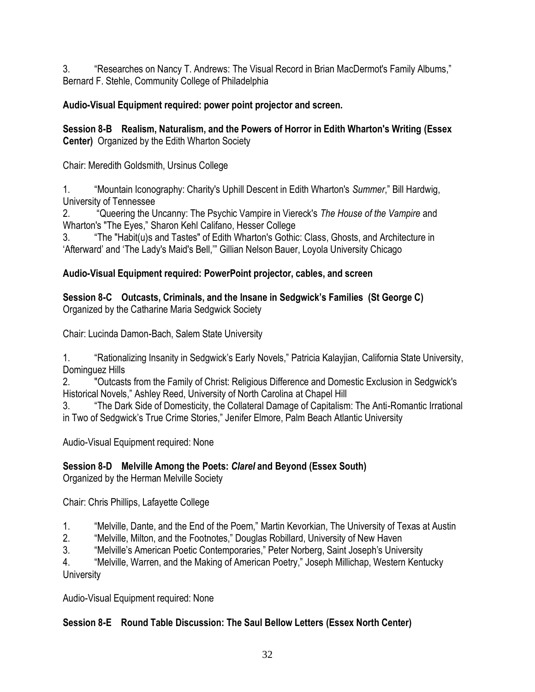3. The Searches on Nancy T. Andrews: The Visual Record in Brian MacDermot's Family Albums," Bernard F. Stehle, Community College of Philadelphia

## **Audio-Visual Equipment required: power point projector and screen.**

### **Session 8-B Realism, Naturalism, and the Powers of Horror in Edith Wharton's Writing (Essex Center)** Organized by the Edith Wharton Society

Chair: Meredith Goldsmith, Ursinus College

1. "Mountain Iconography: Charity's Uphill Descent in Edith Wharton's *Summer*," Bill Hardwig, University of Tennessee

2. ―Queering the Uncanny: The Psychic Vampire in Viereck's *The House of the Vampire* and Wharton's "The Eyes," Sharon Kehl Califano, Hesser College

3. ―The "Habit(u)s and Tastes" of Edith Wharton's Gothic: Class, Ghosts, and Architecture in 'Afterward' and 'The Lady's Maid's Bell," Gillian Nelson Bauer, Loyola University Chicago

## **Audio-Visual Equipment required: PowerPoint projector, cables, and screen**

**Session 8-C Outcasts, Criminals, and the Insane in Sedgwick's Families (St George C)** Organized by the Catharine Maria Sedgwick Society

Chair: Lucinda Damon-Bach, Salem State University

1. "Sationalizing Insanity in Sedgwick's Early Novels," Patricia Kalayjian, California State University, Dominguez Hills

2. "Outcasts from the Family of Christ: Religious Difference and Domestic Exclusion in Sedgwick's Historical Novels," Ashley Reed, University of North Carolina at Chapel Hill

3. ―The Dark Side of Domesticity, the Collateral Damage of Capitalism: The Anti-Romantic Irrational in Two of Sedgwick's True Crime Stories," Jenifer Elmore, Palm Beach Atlantic University

Audio-Visual Equipment required: None

# **Session 8-D Melville Among the Poets:** *Clarel* **and Beyond (Essex South)**

Organized by the Herman Melville Society

Chair: Chris Phillips, Lafayette College

- 1. "Melville, Dante, and the End of the Poem," Martin Kevorkian, The University of Texas at Austin
- 2. "Melville, Milton, and the Footnotes," Douglas Robillard, University of New Haven
- 3. 
"Melville's American Poetic Contemporaries," Peter Norberg, Saint Joseph's University

4. "Melville, Warren, and the Making of American Poetry," Joseph Millichap, Western Kentucky **University** 

Audio-Visual Equipment required: None

# **Session 8-E Round Table Discussion: The Saul Bellow Letters (Essex North Center)**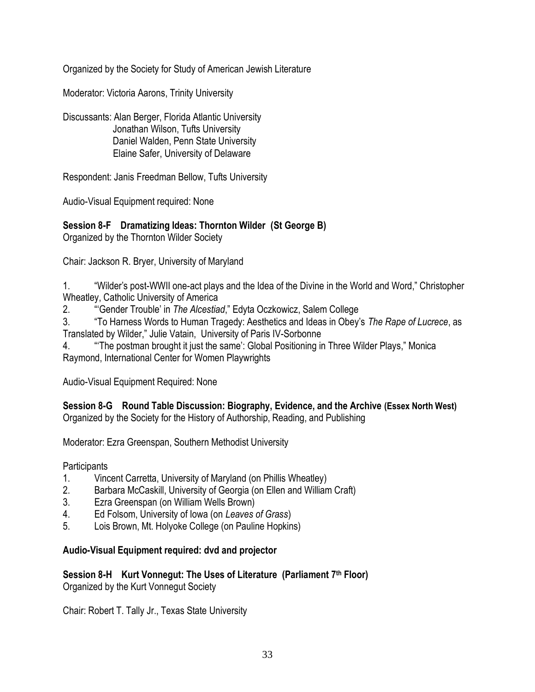Organized by the Society for Study of American Jewish Literature

Moderator: Victoria Aarons, Trinity University

Discussants: Alan Berger, Florida Atlantic University Jonathan Wilson, Tufts University Daniel Walden, Penn State University Elaine Safer, University of Delaware

Respondent: Janis Freedman Bellow, Tufts University

Audio-Visual Equipment required: None

### **Session 8-F Dramatizing Ideas: Thornton Wilder (St George B)** Organized by the Thornton Wilder Society

Chair: Jackson R. Bryer, University of Maryland

1. "Wilder's post-WWII one-act plays and the Idea of the Divine in the World and Word," Christopher Wheatley, Catholic University of America

2. ―‗Gender Trouble' in *The Alcestiad*,‖ Edyta Oczkowicz, Salem College

3. ―To Harness Words to Human Tragedy: Aesthetics and Ideas in Obey's *The Rape of Lucrece*, as Translated by Wilder," Julie Vatain, University of Paris IV-Sorbonne

4. **A**  "The postman brought it just the same': Global Positioning in Three Wilder Plays," Monica Raymond, International Center for Women Playwrights

Audio-Visual Equipment Required: None

**Session 8-G Round Table Discussion: Biography, Evidence, and the Archive (Essex North West)** Organized by the Society for the History of Authorship, Reading, and Publishing

Moderator: Ezra Greenspan, Southern Methodist University

**Participants** 

- 1. Vincent Carretta, University of Maryland (on Phillis Wheatley)
- 2. Barbara McCaskill, University of Georgia (on Ellen and William Craft)
- 3. Ezra Greenspan (on William Wells Brown)
- 4. Ed Folsom, University of Iowa (on *Leaves of Grass*)
- 5. Lois Brown, Mt. Holyoke College (on Pauline Hopkins)

### **Audio-Visual Equipment required: dvd and projector**

**Session 8-H Kurt Vonnegut: The Uses of Literature (Parliament 7th Floor)** Organized by the Kurt Vonnegut Society

Chair: Robert T. Tally Jr., Texas State University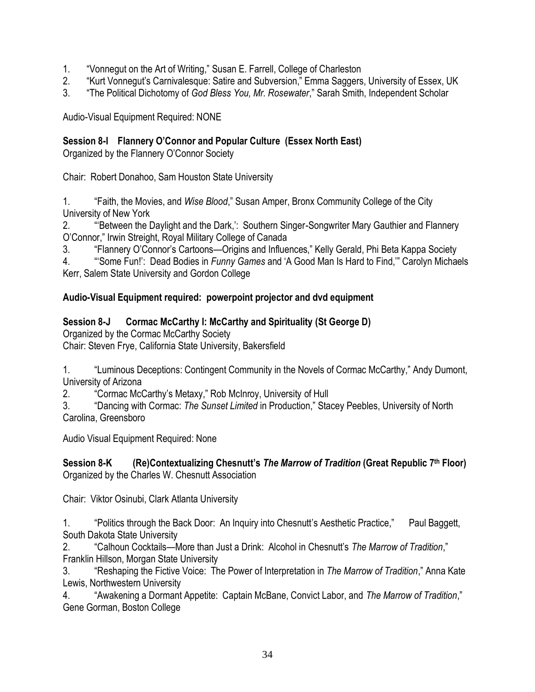- 1. "Vonnegut on the Art of Writing," Susan E. Farrell, College of Charleston
- 2. "Kurt Vonnegut's Carnivalesque: Satire and Subversion," Emma Saggers, University of Essex, UK
- 3. **The Political Dichotomy of** *God Bless You, Mr. Rosewater*," Sarah Smith, Independent Scholar

Audio-Visual Equipment Required: NONE

## **Session 8-I Flannery O'Connor and Popular Culture (Essex North East)**

Organized by the Flannery O'Connor Society

Chair: Robert Donahoo, Sam Houston State University

1. **Faith, the Movies, and Wise Blood,**" Susan Amper, Bronx Community College of the City University of New York

2. **A "Between the Daylight and the Dark,': Southern Singer-Songwriter Mary Gauthier and Flannery** O'Connor," Irwin Streight, Royal Military College of Canada

3. "Flannery O'Connor's Cartoons—Origins and Influences," Kelly Gerald, Phi Beta Kappa Society

4. ―‗Some Fun!': Dead Bodies in *Funny Games* and ‗A Good Man Is Hard to Find,'‖ Carolyn Michaels Kerr, Salem State University and Gordon College

# **Audio-Visual Equipment required: powerpoint projector and dvd equipment**

## **Session 8-J Cormac McCarthy I: McCarthy and Spirituality (St George D)**

Organized by the Cormac McCarthy Society

Chair: Steven Frye, California State University, Bakersfield

1. **Luminous Deceptions: Contingent Community in the Novels of Cormac McCarthy," Andy Dumont,** University of Arizona

2. Cormac McCarthy's Metaxy," Rob McInroy, University of Hull

3. ―Dancing with Cormac: *The Sunset Limited* in Production,‖ Stacey Peebles, University of North Carolina, Greensboro

Audio Visual Equipment Required: None

### **Session 8-K (Re)Contextualizing Chesnutt's** *The Marrow of Tradition* **(Great Republic 7 th Floor)** Organized by the Charles W. Chesnutt Association

Chair: Viktor Osinubi, Clark Atlanta University

1. "Politics through the Back Door: An Inquiry into Chesnutt's Aesthetic Practice," Paul Baggett, South Dakota State University

2. ―Calhoun Cocktails—More than Just a Drink: Alcohol in Chesnutt's *The Marrow of Tradition*,‖ Franklin Hillson, Morgan State University

3. "Reshaping the Fictive Voice: The Power of Interpretation in *The Marrow of Tradition*," Anna Kate Lewis, Northwestern University

4. "Awakening a Dormant Appetite: Captain McBane, Convict Labor, and The Marrow of Tradition," Gene Gorman, Boston College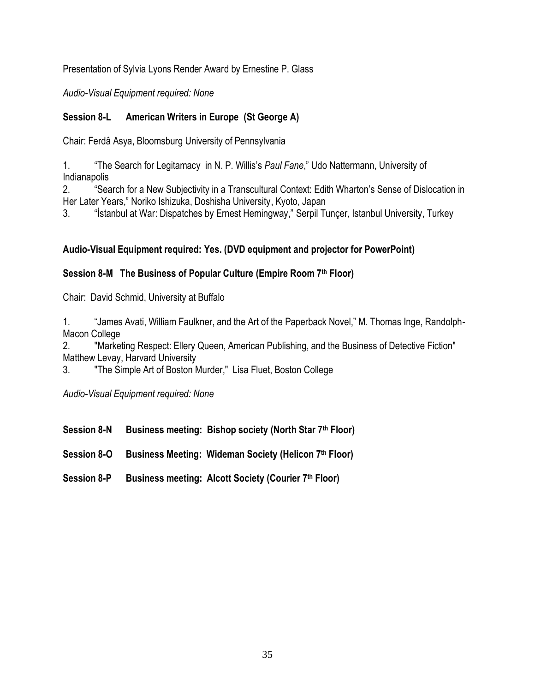Presentation of Sylvia Lyons Render Award by Ernestine P. Glass

*Audio-Visual Equipment required: None*

## **Session 8-L American Writers in Europe (St George A)**

Chair: Ferdâ Asya, Bloomsburg University of Pennsylvania

1. **The Search for Legitamacy in N. P. Willis's Paul Fane," Udo Nattermann, University of** Indianapolis

2. 
"Search for a New Subjectivity in a Transcultural Context: Edith Wharton's Sense of Dislocation in Her Later Years," Noriko Ishizuka, Doshisha University, Kyoto, Japan

3. "Istanbul at War: Dispatches by Ernest Hemingway," Serpil Tuncer, Istanbul University, Turkey

## **Audio-Visual Equipment required: Yes. (DVD equipment and projector for PowerPoint)**

## **Session 8-M The Business of Popular Culture (Empire Room 7th Floor)**

Chair: David Schmid, University at Buffalo

1. "James Avati, William Faulkner, and the Art of the Paperback Novel," M. Thomas Inge, Randolph-Macon College

2. "Marketing Respect: Ellery Queen, American Publishing, and the Business of Detective Fiction" Matthew Levay, Harvard University

3. "The Simple Art of Boston Murder," Lisa Fluet, Boston College

*Audio-Visual Equipment required: None*

**Session 8-N Business meeting: Bishop society (North Star 7th Floor)**

**Session 8-O Business Meeting: Wideman Society (Helicon 7th Floor)** 

**Session 8-P Business meeting: Alcott Society (Courier 7th Floor)**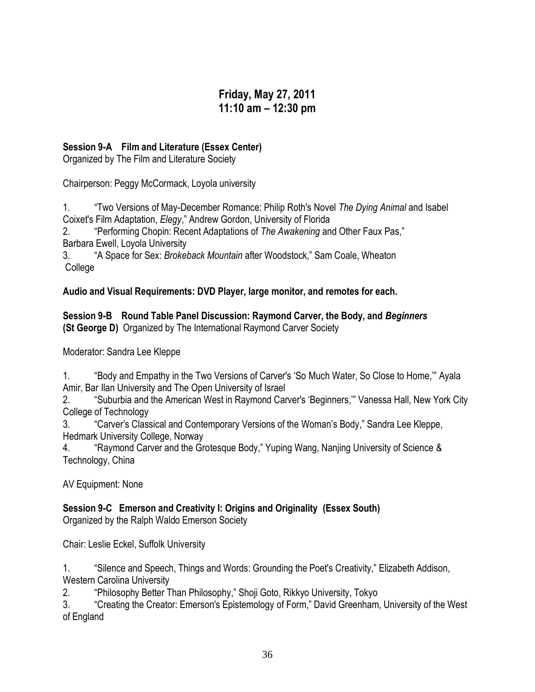# **Friday, May 27, 2011 11:10 am – 12:30 pm**

### **Session 9-A Film and Literature (Essex Center)**

Organized by The Film and Literature Society

Chairperson: Peggy McCormack, Loyola university

1. ―Two Versions of May-December Romance: Philip Roth's Novel *The Dying Animal* and Isabel Coixet's Film Adaptation, *Elegy*,‖ Andrew Gordon, University of Florida

2. **The Performing Chopin: Recent Adaptations of** *The Awakening* **and Other Faux Pas,"** Barbara Ewell, Loyola University

3. ―A Space for Sex: *Brokeback Mountain* after Woodstock,‖ Sam Coale, Wheaton College

**Audio and Visual Requirements: DVD Player, large monitor, and remotes for each.**

**Session 9-B Round Table Panel Discussion: Raymond Carver, the Body, and** *Beginners* **(St George D)** Organized by The International Raymond Carver Society

Moderator: Sandra Lee Kleppe

1. "Body and Empathy in the Two Versions of Carver's 'So Much Water, So Close to Home," Ayala Amir, Bar Ilan University and The Open University of Israel

2. "Suburbia and the American West in Raymond Carver's 'Beginners," Vanessa Hall, New York City College of Technology

3. **The Carver's Classical and Contemporary Versions of the Woman's Body," Sandra Lee Kleppe,** Hedmark University College, Norway

4. **ACCOM** "Raymond Carver and the Grotesque Body," Yuping Wang, Nanjing University of Science & Technology, China

AV Equipment: None

**Session 9-C Emerson and Creativity I: Origins and Originality (Essex South)** Organized by the Ralph Waldo Emerson Society

Chair: Leslie Eckel, Suffolk University

1. "Silence and Speech, Things and Words: Grounding the Poet's Creativity," Elizabeth Addison, Western Carolina University

2. **A "Philosophy Better Than Philosophy," Shoji Goto, Rikkyo University, Tokyo** 

3. "Creating the Creator: Emerson's Epistemology of Form," David Greenham, University of the West of England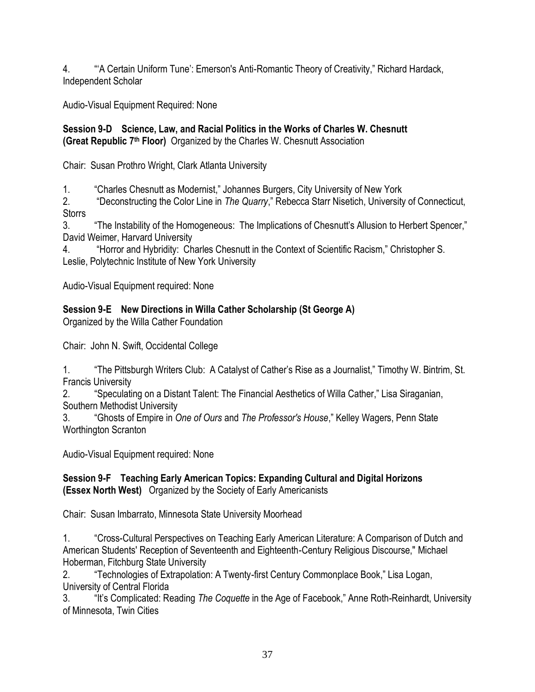4. **A Certain Uniform Tune': Emerson's Anti-Romantic Theory of Creativity," Richard Hardack,** Independent Scholar

Audio-Visual Equipment Required: None

#### **Session 9-D Science, Law, and Racial Politics in the Works of Charles W. Chesnutt (Great Republic 7 th Floor)** Organized by the Charles W. Chesnutt Association

Chair: Susan Prothro Wright, Clark Atlanta University

1. **Charles Chesnutt as Modernist,**" Johannes Burgers, City University of New York

2. ―Deconstructing the Color Line in *The Quarry*,‖ Rebecca Starr Nisetich, University of Connecticut, **Storrs** 

3. **The Instability of the Homogeneous: The Implications of Chesnutt's Allusion to Herbert Spencer,"** David Weimer, Harvard University

4. **Horror and Hybridity: Charles Chesnutt in the Context of Scientific Racism," Christopher S.** Leslie, Polytechnic Institute of New York University

Audio-Visual Equipment required: None

# **Session 9-E New Directions in Willa Cather Scholarship (St George A)**

Organized by the Willa Cather Foundation

Chair: John N. Swift, Occidental College

|                           | "The Pittsburgh Writers Club: A Catalyst of Cather's Rise as a Journalist," Timothy W. Bintrim, St. |
|---------------------------|-----------------------------------------------------------------------------------------------------|
| <b>Francis University</b> |                                                                                                     |

2. "Speculating on a Distant Talent: The Financial Aesthetics of Willa Cather," Lisa Siraganian, Southern Methodist University

3. **A "**Ghosts of Empire in *One of Ours* and *The Professor's House*," Kelley Wagers, Penn State Worthington Scranton

Audio-Visual Equipment required: None

#### **Session 9-F Teaching Early American Topics: Expanding Cultural and Digital Horizons (Essex North West)** Organized by the Society of Early Americanists

Chair: Susan Imbarrato, Minnesota State University Moorhead

1. ―Cross-Cultural Perspectives on Teaching Early American Literature: A Comparison of Dutch and American Students' Reception of Seventeenth and Eighteenth-Century Religious Discourse," Michael Hoberman, Fitchburg State University

2. **Technologies of Extrapolation: A Twenty-first Century Commonplace Book," Lisa Logan,** University of Central Florida

3. ―It's Complicated: Reading *The Coquette* in the Age of Facebook,‖ Anne Roth-Reinhardt, University of Minnesota, Twin Cities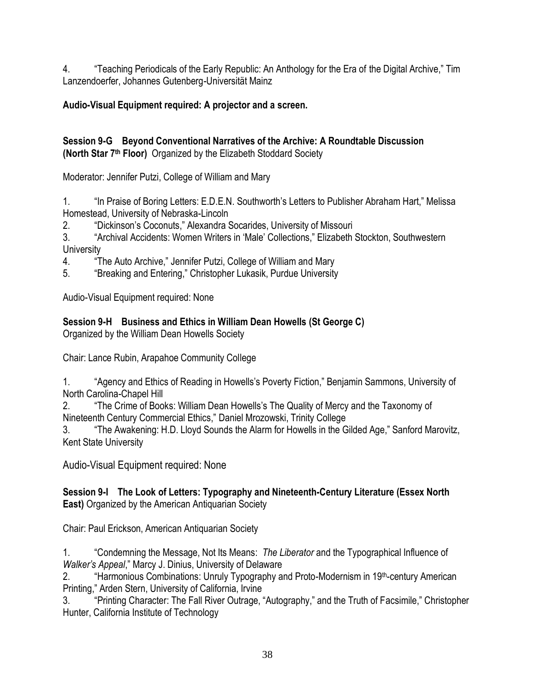4. **Teaching Periodicals of the Early Republic: An Anthology for the Era of the Digital Archive,**" Tim Lanzendoerfer, Johannes Gutenberg-Universität Mainz

# **Audio-Visual Equipment required: A projector and a screen.**

#### **Session 9-G Beyond Conventional Narratives of the Archive: A Roundtable Discussion (North Star 7th Floor)** Organized by the Elizabeth Stoddard Society

Moderator: Jennifer Putzi, College of William and Mary

1. "In Praise of Boring Letters: E.D.E.N. Southworth's Letters to Publisher Abraham Hart," Melissa Homestead, University of Nebraska-Lincoln

2. "Dickinson's Coconuts," Alexandra Socarides, University of Missouri

3. "Archival Accidents: Women Writers in 'Male' Collections," Elizabeth Stockton, Southwestern **University** 

4. **The Auto Archive," Jennifer Putzi, College of William and Mary** 

5. "Breaking and Entering," Christopher Lukasik, Purdue University

Audio-Visual Equipment required: None

# **Session 9-H Business and Ethics in William Dean Howells (St George C)**

Organized by the William Dean Howells Society

Chair: Lance Rubin, Arapahoe Community College

1. "Agency and Ethics of Reading in Howells's Poverty Fiction," Benjamin Sammons, University of North Carolina-Chapel Hill

2. ―The Crime of Books: William Dean Howells's The Quality of Mercy and the Taxonomy of Nineteenth Century Commercial Ethics," Daniel Mrozowski, Trinity College

3. **The Awakening: H.D. Lloyd Sounds the Alarm for Howells in the Gilded Age," Sanford Marovitz,** Kent State University

Audio-Visual Equipment required: None

### **Session 9-I The Look of Letters: Typography and Nineteenth-Century Literature (Essex North East)** Organized by the American Antiquarian Society

Chair: Paul Erickson, American Antiquarian Society

1. ―Condemning the Message, Not Its Means: *The Liberator* and the Typographical Influence of *Walker's Appeal*," Marcy J. Dinius, University of Delaware

2. **A "Harmonious Combinations: Unruly Typography and Proto-Modernism in 19th-century American** Printing," Arden Stern, University of California, Irvine

3. "Printing Character: The Fall River Outrage, "Autography," and the Truth of Facsimile," Christopher Hunter, California Institute of Technology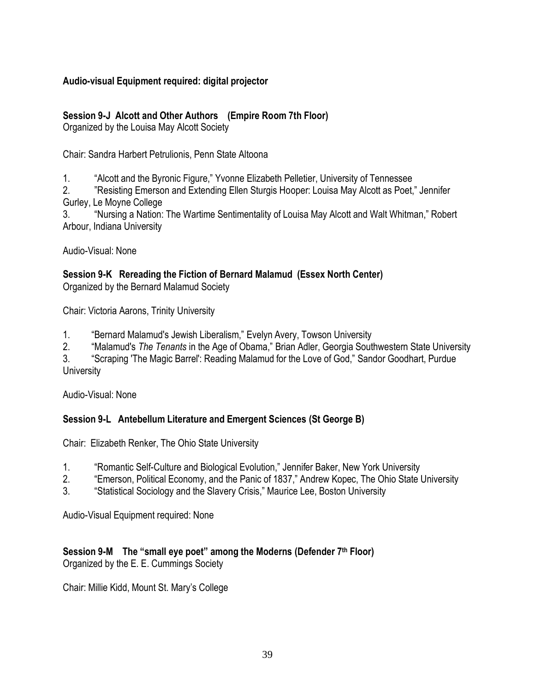#### **Audio-visual Equipment required: digital projector**

#### **Session 9-J Alcott and Other Authors (Empire Room 7th Floor)**

Organized by the Louisa May Alcott Society

Chair: Sandra Harbert Petrulionis, Penn State Altoona

1. "Alcott and the Byronic Figure," Yvonne Elizabeth Pelletier, University of Tennessee

2. "Resisting Emerson and Extending Ellen Sturgis Hooper: Louisa May Alcott as Poet," Jennifer Gurley, Le Moyne College

3. "Nursing a Nation: The Wartime Sentimentality of Louisa May Alcott and Walt Whitman," Robert Arbour, Indiana University

Audio-Visual: None

**Session 9-K Rereading the Fiction of Bernard Malamud (Essex North Center)** Organized by the Bernard Malamud Society

Chair: Victoria Aarons, Trinity University

1. **Example 20 Figure 20 Figure 20 Figure 20 Figure 20 Figure 20 Figure 20 Figure 20 Figure 20 Figure 20 Figure 20 Figure 20 Figure 20 Figure 20 Figure 20 Figure 20 Figure 20 Figure 20 Figure 20 Figure 20 Figure 20 Figure** 

2. "Malamud's *The Tenants* in the Age of Obama," Brian Adler, Georgia Southwestern State University

3. "Scraping 'The Magic Barrel': Reading Malamud for the Love of God," Sandor Goodhart, Purdue **University** 

Audio-Visual: None

#### **Session 9-L Antebellum Literature and Emergent Sciences (St George B)**

Chair: Elizabeth Renker, The Ohio State University

- 1. **A "Romantic Self-Culture and Biological Evolution," Jennifer Baker, New York University**
- 2. **Emerson, Political Economy, and the Panic of 1837," Andrew Kopec, The Ohio State University**
- 3. "Statistical Sociology and the Slavery Crisis," Maurice Lee, Boston University

Audio-Visual Equipment required: None

# **Session 9-M** The "small eye poet" among the Moderns (Defender 7<sup>th</sup> Floor)

Organized by the E. E. Cummings Society

Chair: Millie Kidd, Mount St. Mary's College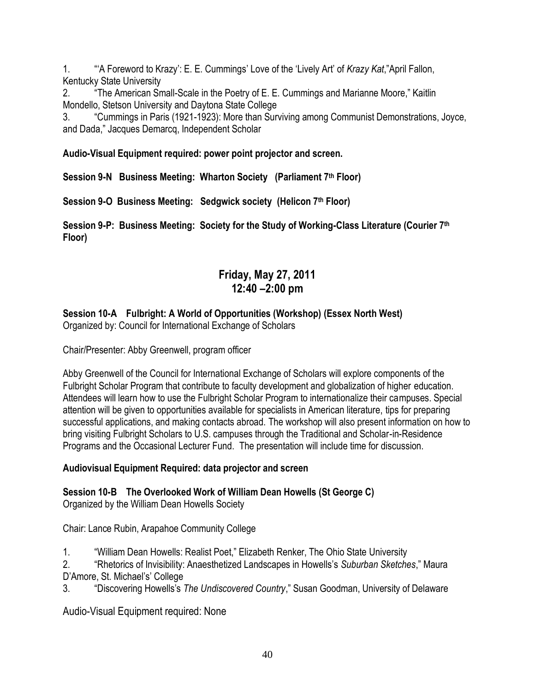1. ―‗A Foreword to Krazy': E. E. Cummings' Love of the ‗Lively Art' of *Krazy Kat*,‖April Fallon, Kentucky State University

2. **The American Small-Scale in the Poetry of E. E. Cummings and Marianne Moore,**" Kaitlin Mondello, Stetson University and Daytona State College

3. ―Cummings in Paris (1921-1923): More than Surviving among Communist Demonstrations, Joyce, and Dada," Jacques Demarcq, Independent Scholar

**Audio-Visual Equipment required: power point projector and screen.** 

**Session 9-N Business Meeting: Wharton Society (Parliament 7th Floor)**

**Session 9-O Business Meeting: Sedgwick society (Helicon 7th Floor)**

**Session 9-P: Business Meeting: Society for the Study of Working-Class Literature (Courier 7th Floor)**

# **Friday, May 27, 2011 12:40 –2:00 pm**

# **Session 10-A Fulbright: A World of Opportunities (Workshop) (Essex North West)**

Organized by: Council for International Exchange of Scholars

Chair/Presenter: Abby Greenwell, program officer

Abby Greenwell of the Council for International Exchange of Scholars will explore components of the Fulbright Scholar Program that contribute to faculty development and globalization of higher education. Attendees will learn how to use the Fulbright Scholar Program to internationalize their campuses. Special attention will be given to opportunities available for specialists in American literature, tips for preparing successful applications, and making contacts abroad. The workshop will also present information on how to bring visiting Fulbright Scholars to U.S. campuses through the Traditional and Scholar-in-Residence Programs and the Occasional Lecturer Fund. The presentation will include time for discussion.

# **Audiovisual Equipment Required: data projector and screen**

# **Session 10-B The Overlooked Work of William Dean Howells (St George C)**

Organized by the William Dean Howells Society

Chair: Lance Rubin, Arapahoe Community College

1. "William Dean Howells: Realist Poet," Elizabeth Renker, The Ohio State University

2. ―Rhetorics of Invisibility: Anaesthetized Landscapes in Howells's *Suburban Sketches*,‖ Maura D'Amore, St. Michael's' College

3. ―Discovering Howells's *The Undiscovered Country*,‖ Susan Goodman, University of Delaware

Audio-Visual Equipment required: None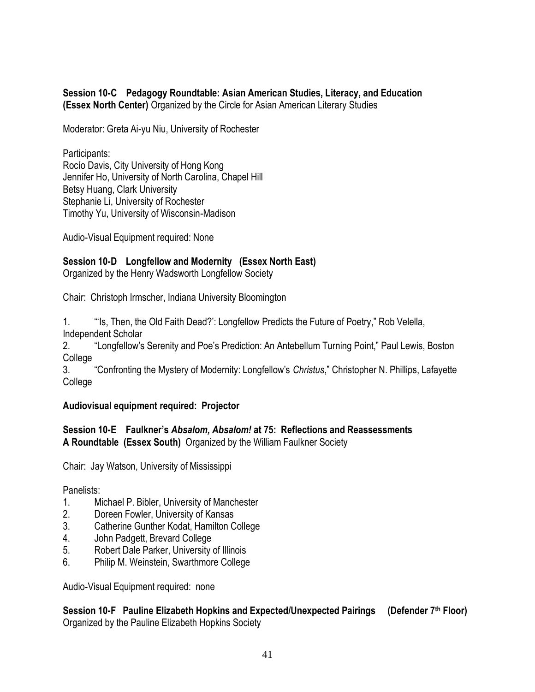#### **Session 10-C Pedagogy Roundtable: Asian American Studies, Literacy, and Education (Essex North Center)** Organized by the Circle for Asian American Literary Studies

Moderator: Greta Ai-yu Niu, University of Rochester

Participants: Rocío Davis, City University of Hong Kong Jennifer Ho, University of North Carolina, Chapel Hill Betsy Huang, Clark University Stephanie Li, University of Rochester Timothy Yu, University of Wisconsin-Madison

Audio-Visual Equipment required: None

### **Session 10-D Longfellow and Modernity (Essex North East)**

Organized by the Henry Wadsworth Longfellow Society

Chair: Christoph Irmscher, Indiana University Bloomington

1. "Is, Then, the Old Faith Dead?': Longfellow Predicts the Future of Poetry," Rob Velella, Independent Scholar

2. "Longfellow's Serenity and Poe's Prediction: An Antebellum Turning Point," Paul Lewis, Boston College

3. ―Confronting the Mystery of Modernity: Longfellow's *Christus*,‖ Christopher N. Phillips, Lafayette College

#### **Audiovisual equipment required: Projector**

#### **Session 10-E Faulkner's** *Absalom, Absalom!* **at 75: Reflections and Reassessments A Roundtable (Essex South)** Organized by the William Faulkner Society

Chair: Jay Watson, University of Mississippi

Panelists:

- 1. Michael P. Bibler, University of Manchester
- 2. Doreen Fowler, University of Kansas
- 3. Catherine Gunther Kodat, Hamilton College
- 4. John Padgett, Brevard College
- 5. Robert Dale Parker, University of Illinois
- 6. Philip M. Weinstein, Swarthmore College

Audio-Visual Equipment required: none

**Session 10-F Pauline Elizabeth Hopkins and Expected/Unexpected Pairings (Defender 7th Floor)**  Organized by the Pauline Elizabeth Hopkins Society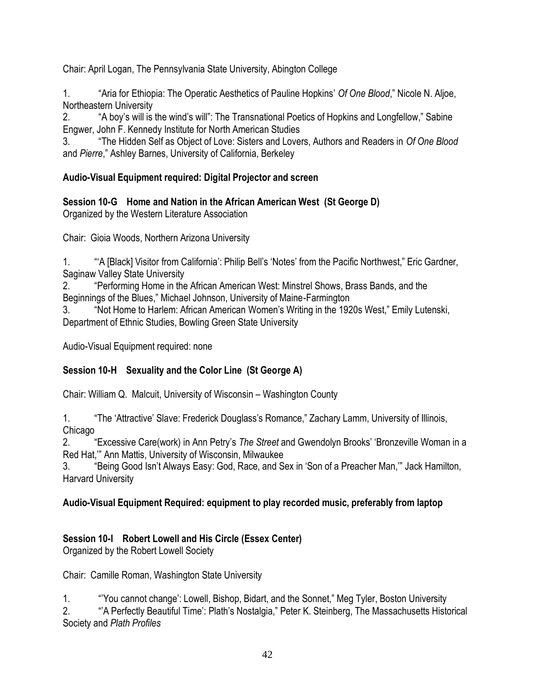Chair: April Logan, The Pennsylvania State University, Abington College

1. ―Aria for Ethiopia: The Operatic Aesthetics of Pauline Hopkins' *Of One Blood*,‖ Nicole N. Aljoe, Northeastern University

2. **A** boy's will is the wind's will": The Transnational Poetics of Hopkins and Longfellow," Sabine Engwer, John F. Kennedy Institute for North American Studies

3. ―The Hidden Self as Object of Love: Sisters and Lovers, Authors and Readers in *Of One Blood* and *Pierre*," Ashley Barnes, University of California, Berkeley

### **Audio-Visual Equipment required: Digital Projector and screen**

**Session 10-G Home and Nation in the African American West (St George D)**

Organized by the Western Literature Association

Chair: Gioia Woods, Northern Arizona University

1. "A [Black] Visitor from California': Philip Bell's 'Notes' from the Pacific Northwest," Eric Gardner, Saginaw Valley State University

2. "Performing Home in the African American West: Minstrel Shows, Brass Bands, and the Beginnings of the Blues," Michael Johnson, University of Maine-Farmington

3. "Not Home to Harlem: African American Women's Writing in the 1920s West," Emily Lutenski, Department of Ethnic Studies, Bowling Green State University

Audio-Visual Equipment required: none

# **Session 10-H Sexuality and the Color Line (St George A)**

Chair: William Q. Malcuit, University of Wisconsin – Washington County

1. **The 'Attractive' Slave: Frederick Douglass's Romance," Zachary Lamm, University of Illinois,** Chicago

2. ―Excessive Care(work) in Ann Petry's *The Street* and Gwendolyn Brooks' ‗Bronzeville Woman in a Red Hat," Ann Mattis, University of Wisconsin, Milwaukee

3. "Being Good Isn't Always Easy: God, Race, and Sex in 'Son of a Preacher Man," Jack Hamilton, Harvard University

# **Audio-Visual Equipment Required: equipment to play recorded music, preferably from laptop**

# **Session 10-I Robert Lowell and His Circle (Essex Center)**

Organized by the Robert Lowell Society

Chair: Camille Roman, Washington State University

1. "You cannot change': Lowell, Bishop, Bidart, and the Sonnet," Meg Tyler, Boston University

2. **A Perfectly Beautiful Time': Plath's Nostalgia,**" Peter K. Steinberg, The Massachusetts Historical Society and *Plath Profiles*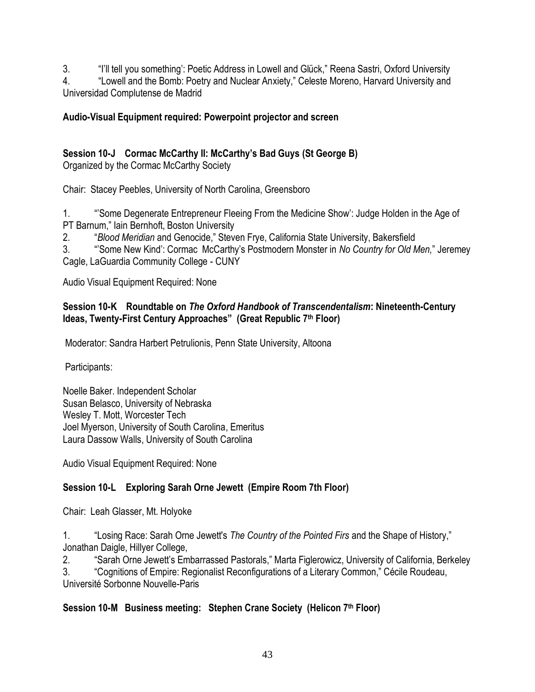3. "I'll tell you something': Poetic Address in Lowell and Glück," Reena Sastri, Oxford University 4. **Lowell and the Bomb: Poetry and Nuclear Anxiety,**" Celeste Moreno, Harvard University and Universidad Complutense de Madrid

#### **Audio-Visual Equipment required: Powerpoint projector and screen**

# **Session 10-J Cormac McCarthy II: McCarthy's Bad Guys (St George B)**

Organized by the Cormac McCarthy Society

Chair: Stacey Peebles, University of North Carolina, Greensboro

1. ―'Some Degenerate Entrepreneur Fleeing From the Medicine Show': Judge Holden in the Age of PT Barnum," Iain Bernhoft, Boston University

2. ―*Blood Meridian* and Genocide,‖ Steven Frye, California State University, Bakersfield

3. ―'Some New Kind': Cormac McCarthy's Postmodern Monster in *No Country for Old Men,*‖ Jeremey Cagle, LaGuardia Community College - CUNY

Audio Visual Equipment Required: None

#### **Session 10-K Roundtable on** *The Oxford Handbook of Transcendentalism***: Nineteenth-Century Ideas, Twenty-First Century Approaches‖ (Great Republic 7th Floor)**

Moderator: Sandra Harbert Petrulionis, Penn State University, Altoona

Participants:

Noelle Baker. Independent Scholar Susan Belasco, University of Nebraska Wesley T. Mott, Worcester Tech Joel Myerson, University of South Carolina, Emeritus Laura Dassow Walls, University of South Carolina

Audio Visual Equipment Required: None

# **Session 10-L Exploring Sarah Orne Jewett (Empire Room 7th Floor)**

Chair: Leah Glasser, Mt. Holyoke

1. ―Losing Race: Sarah Orne Jewett's *The Country of the Pointed Firs* and the Shape of History,‖ Jonathan Daigle, Hillyer College,

2. 
"Sarah Orne Jewett's Embarrassed Pastorals," Marta Figlerowicz, University of California, Berkeley

3. **Cognitions of Empire: Regionalist Reconfigurations of a Literary Common,**" Cécile Roudeau, Université Sorbonne Nouvelle-Paris

# **Session 10-M Business meeting: Stephen Crane Society (Helicon 7th Floor)**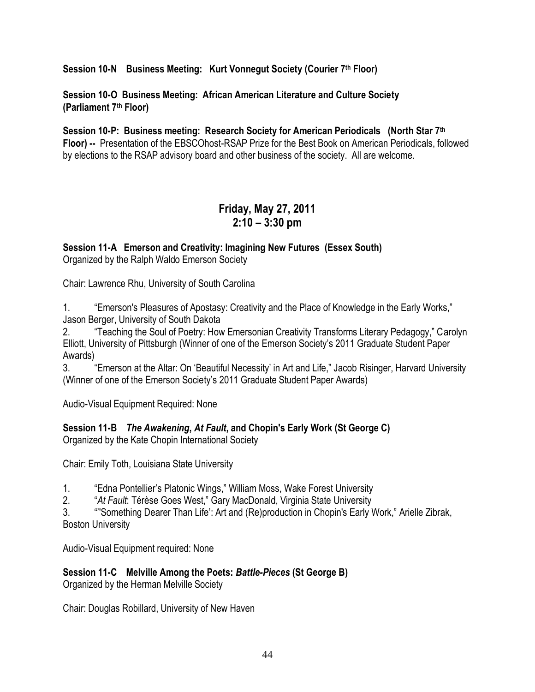**Session 10-N Business Meeting: Kurt Vonnegut Society (Courier 7th Floor)**

**Session 10-O Business Meeting: African American Literature and Culture Society (Parliament 7th Floor)**

**Session 10-P: Business meeting: Research Society for American Periodicals (North Star 7th Floor) --** Presentation of the EBSCOhost-RSAP Prize for the Best Book on American Periodicals, followed by elections to the RSAP advisory board and other business of the society. All are welcome.

# **Friday, May 27, 2011 2:10 – 3:30 pm**

**Session 11-A Emerson and Creativity: Imagining New Futures (Essex South)** Organized by the Ralph Waldo Emerson Society

Chair: Lawrence Rhu, University of South Carolina

1. **Emerson's Pleasures of Apostasy: Creativity and the Place of Knowledge in the Early Works,"** Jason Berger, University of South Dakota

2. **Teaching the Soul of Poetry: How Emersonian Creativity Transforms Literary Pedagogy," Carolyn** Elliott, University of Pittsburgh (Winner of one of the Emerson Society's 2011 Graduate Student Paper Awards)

3. **The Emerson at the Altar: On 'Beautiful Necessity' in Art and Life," Jacob Risinger, Harvard University** (Winner of one of the Emerson Society's 2011 Graduate Student Paper Awards)

Audio-Visual Equipment Required: None

**Session 11-B** *The Awakening***,** *At Fault***, and Chopin's Early Work (St George C)**

Organized by the Kate Chopin International Society

Chair: Emily Toth, Louisiana State University

1. **Edna Pontellier's Platonic Wings," William Moss, Wake Forest University** 

2. **At Fault: Térèse Goes West," Gary MacDonald, Virginia State University** 

3. ""Something Dearer Than Life': Art and (Re)production in Chopin's Early Work," Arielle Zibrak, Boston University

Audio-Visual Equipment required: None

**Session 11-C Melville Among the Poets:** *Battle-Pieces* **(St George B)**

Organized by the Herman Melville Society

Chair: Douglas Robillard, University of New Haven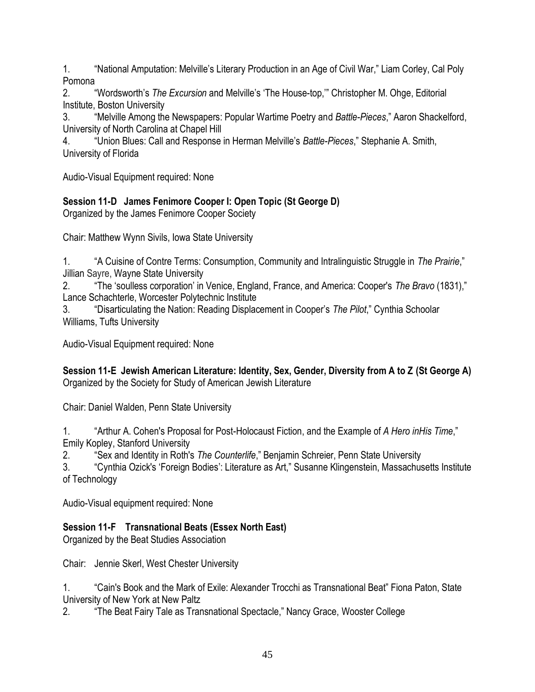1. "Summal Amputation: Melville's Literary Production in an Age of Civil War," Liam Corley, Cal Poly Pomona

2. **A "Wordsworth's** *The Excursion* **and Melville's 'The House-top,'" Christopher M. Ohge, Editorial** Institute, Boston University

3. ―Melville Among the Newspapers: Popular Wartime Poetry and *Battle-Pieces*,‖ Aaron Shackelford, University of North Carolina at Chapel Hill

4. **The Thush and Response in Herman Melville's Battle-Pieces**," Stephanie A. Smith, University of Florida

Audio-Visual Equipment required: None

# **Session 11-D James Fenimore Cooper I: Open Topic (St George D)**

Organized by the James Fenimore Cooper Society

Chair: Matthew Wynn Sivils, Iowa State University

1. ―A Cuisine of Contre Terms: Consumption, Community and Intralinguistic Struggle in *The Prairie*,‖ Jillian Sayre, Wayne State University

2. **The 'soulless corporation' in Venice, England, France, and America: Cooper's** *The Bravo* **(1831),"** Lance Schachterle, Worcester Polytechnic Institute

3. ―Disarticulating the Nation: Reading Displacement in Cooper's *The Pilot*,‖ Cynthia Schoolar Williams, Tufts University

Audio-Visual Equipment required: None

**Session 11-E Jewish American Literature: Identity, Sex, Gender, Diversity from A to Z (St George A)** Organized by the Society for Study of American Jewish Literature

Chair: Daniel Walden, Penn State University

1. **Arthur A. Cohen's Proposal for Post-Holocaust Fiction, and the Example of A Hero inHis Time.**" Emily Kopley, Stanford University

2. 
"Sex and Identity in Roth's *The Counterlife*," Benjamin Schreier, Penn State University

3. 
"Cynthia Ozick's 'Foreign Bodies': Literature as Art," Susanne Klingenstein, Massachusetts Institute of Technology

Audio-Visual equipment required: None

# **Session 11-F Transnational Beats (Essex North East)**

Organized by the Beat Studies Association

Chair: Jennie Skerl, West Chester University

1. ―Cain's Book and the Mark of Exile: Alexander Trocchi as Transnational Beat‖ Fiona Paton, State University of New York at New Paltz

2. **The Beat Fairy Tale as Transnational Spectacle,**" Nancy Grace, Wooster College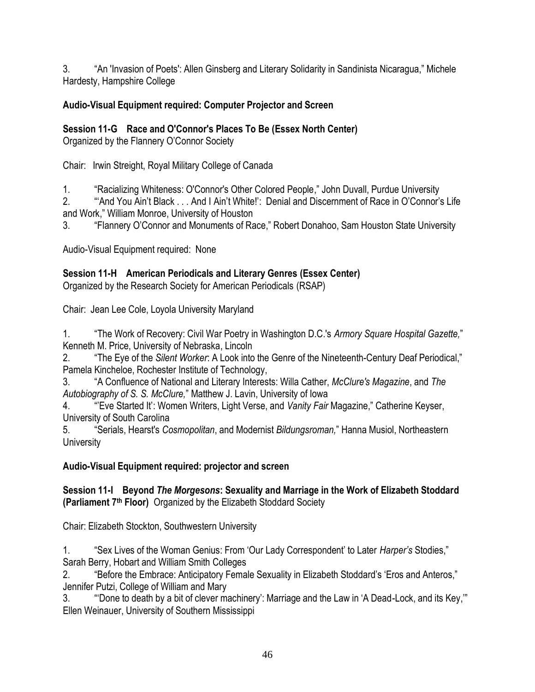3. "An 'Invasion of Poets': Allen Ginsberg and Literary Solidarity in Sandinista Nicaragua," Michele Hardesty, Hampshire College

# **Audio-Visual Equipment required: Computer Projector and Screen**

**Session 11-G Race and O'Connor's Places To Be (Essex North Center)**

Organized by the Flannery O'Connor Society

Chair: Irwin Streight, Royal Military College of Canada

1. "Racializing Whiteness: O'Connor's Other Colored People," John Duvall, Purdue University

2. ―‗And You Ain't Black . . . And I Ain't White!': Denial and Discernment of Race in O'Connor's Life and Work," William Monroe, University of Houston

3. "Flannery O'Connor and Monuments of Race," Robert Donahoo, Sam Houston State University

Audio-Visual Equipment required: None

# **Session 11-H American Periodicals and Literary Genres (Essex Center)**

Organized by the Research Society for American Periodicals (RSAP)

Chair: Jean Lee Cole, Loyola University Maryland

1. ―The Work of Recovery: Civil War Poetry in Washington D.C.'s *Armory Square Hospital Gazette,*‖ Kenneth M. Price, University of Nebraska, Lincoln

2. **The Eye of the Silent Worker: A Look into the Genre of the Nineteenth-Century Deaf Periodical,"** Pamela Kincheloe, Rochester Institute of Technology,

3. ―A Confluence of National and Literary Interests: Willa Cather, *McClure's Magazine*, and *The Autobiography of S. S. McClure,*‖ Matthew J. Lavin, University of Iowa

4. "Eve Started It': Women Writers, Light Verse, and *Vanity Fair Magazine*," Catherine Keyser, University of South Carolina

5. ―Serials, Hearst's *Cosmopolitan*, and Modernist *Bildungsroman,*‖ Hanna Musiol, Northeastern **University** 

# **Audio-Visual Equipment required: projector and screen**

**Session 11-I Beyond** *The Morgesons***: Sexuality and Marriage in the Work of Elizabeth Stoddard (Parliament 7th Floor)** Organized by the Elizabeth Stoddard Society

Chair: Elizabeth Stockton, Southwestern University

1. 
"Sex Lives of the Woman Genius: From 'Our Lady Correspondent' to Later *Harper's* Stodies," Sarah Berry, Hobart and William Smith Colleges

2. **The Full and Septem** Sexuality in Elizabeth Stoddard's 'Eros and Anteros," Jennifer Putzi, College of William and Mary

3. ""Done to death by a bit of clever machinery': Marriage and the Law in 'A Dead-Lock, and its Key,"" Ellen Weinauer, University of Southern Mississippi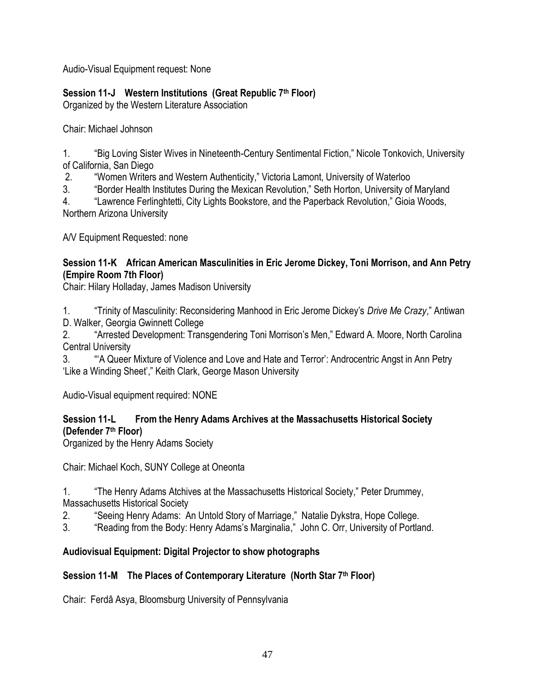Audio-Visual Equipment request: None

# **Session 11-J Western Institutions (Great Republic 7th Floor)**

Organized by the Western Literature Association

Chair: Michael Johnson

1. "Big Loving Sister Wives in Nineteenth-Century Sentimental Fiction," Nicole Tonkovich, University of California, San Diego

2. ―Women Writers and Western Authenticity,‖ Victoria Lamont, University of Waterloo

3. **Aborder Health Institutes During the Mexican Revolution,** Seth Horton, University of Maryland

4. **Lawrence Ferlinghtetti, City Lights Bookstore, and the Paperback Revolution," Gioia Woods,** Northern Arizona University

A/V Equipment Requested: none

#### **Session 11-K African American Masculinities in Eric Jerome Dickey, Toni Morrison, and Ann Petry (Empire Room 7th Floor)**

Chair: Hilary Holladay, James Madison University

1. **Trinity of Masculinity: Reconsidering Manhood in Eric Jerome Dickey's** *Drive Me Crazy***," Antiwan** D. Walker, Georgia Gwinnett College

2. "Arrested Development: Transgendering Toni Morrison's Men," Edward A. Moore, North Carolina Central University

3. ―‗A Queer Mixture of Violence and Love and Hate and Terror': Androcentric Angst in Ann Petry 'Like a Winding Sheet'," Keith Clark, George Mason University

Audio-Visual equipment required: NONE

### **Session 11-L From the Henry Adams Archives at the Massachusetts Historical Society (Defender 7th Floor)**

Organized by the Henry Adams Society

Chair: Michael Koch, SUNY College at Oneonta

1. **The Henry Adams Atchives at the Massachusetts Historical Society," Peter Drummey,** Massachusetts Historical Society

2. **Seeing Henry Adams: An Untold Story of Marriage," Natalie Dykstra, Hope College.** 

3. "Reading from the Body: Henry Adams's Marginalia," John C. Orr, University of Portland.

# **Audiovisual Equipment: Digital Projector to show photographs**

# **Session 11-M The Places of Contemporary Literature (North Star 7th Floor)**

Chair: Ferdâ Asya, Bloomsburg University of Pennsylvania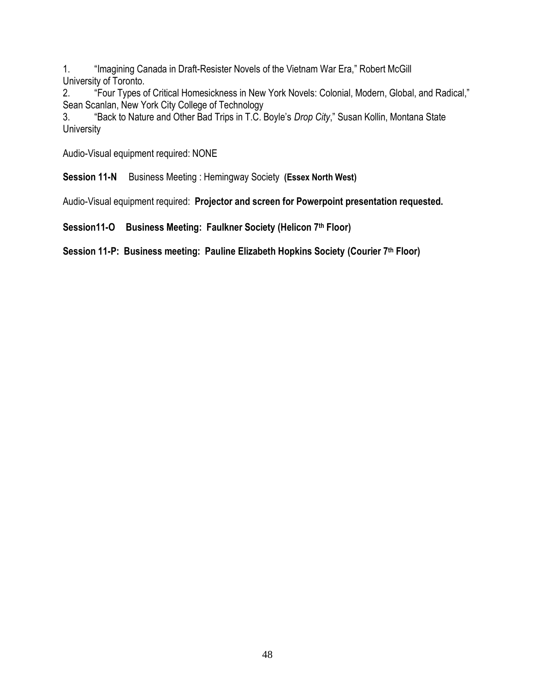1. "Imagining Canada in Draft-Resister Novels of the Vietnam War Era," Robert McGill University of Toronto.

2. "Four Types of Critical Homesickness in New York Novels: Colonial, Modern, Global, and Radical," Sean Scanlan, New York City College of Technology

3. **Absolut the Nature and Other Bad Trips in T.C. Boyle's** *Drop City***," Susan Kollin, Montana State University** 

Audio-Visual equipment required: NONE

**Session 11-N** Business Meeting : Hemingway Society **(Essex North West)**

Audio-Visual equipment required: **Projector and screen for Powerpoint presentation requested.**

**Session11-O Business Meeting: Faulkner Society (Helicon 7th Floor)**

**Session 11-P: Business meeting: Pauline Elizabeth Hopkins Society (Courier 7th Floor)**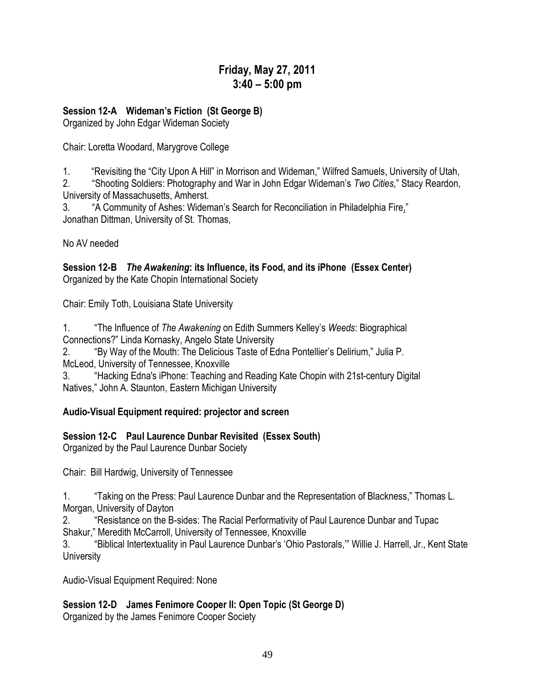# **Friday, May 27, 2011 3:40 – 5:00 pm**

#### **Session 12-A Wideman's Fiction (St George B)**

Organized by John Edgar Wideman Society

Chair: Loretta Woodard, Marygrove College

1. "Revisiting the "City Upon A Hill" in Morrison and Wideman," Wilfred Samuels, University of Utah,

2. ―Shooting Soldiers: Photography and War in John Edgar Wideman's *Two Cities,*‖ Stacy Reardon, University of Massachusetts, Amherst.

3. "A Community of Ashes: Wideman's Search for Reconciliation in Philadelphia Fire," Jonathan Dittman, University of St. Thomas,

No AV needed

**Session 12-B** *The Awakening***: its Influence, its Food, and its iPhone (Essex Center)** Organized by the Kate Chopin International Society

Chair: Emily Toth, Louisiana State University

1. ―The Influence of *The Awakening* on Edith Summers Kelley's *Weeds*: Biographical Connections?‖ Linda Kornasky, Angelo State University

2. "By Way of the Mouth: The Delicious Taste of Edna Pontellier's Delirium," Julia P. McLeod, University of Tennessee, Knoxville

3. "Hacking Edna's iPhone: Teaching and Reading Kate Chopin with 21st-century Digital Natives," John A. Staunton, Eastern Michigan University

# **Audio-Visual Equipment required: projector and screen**

# **Session 12-C Paul Laurence Dunbar Revisited (Essex South)**

Organized by the Paul Laurence Dunbar Society

Chair: Bill Hardwig, University of Tennessee

1. **Taking on the Press: Paul Laurence Dunbar and the Representation of Blackness,**" Thomas L. Morgan, University of Dayton

2. "Resistance on the B-sides: The Racial Performativity of Paul Laurence Dunbar and Tupac Shakur," Meredith McCarroll, University of Tennessee, Knoxville

3. "Biblical Intertextuality in Paul Laurence Dunbar's 'Ohio Pastorals," Willie J. Harrell, Jr., Kent State **University** 

Audio-Visual Equipment Required: None

**Session 12-D James Fenimore Cooper II: Open Topic (St George D)**

Organized by the James Fenimore Cooper Society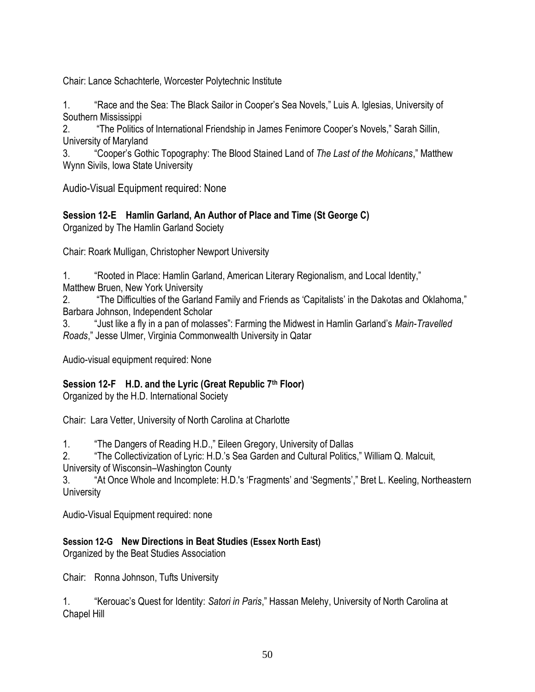Chair: Lance Schachterle, Worcester Polytechnic Institute

1. **A Kids** The Sea: The Black Sailor in Cooper's Sea Novels," Luis A. Iglesias, University of Southern Mississippi

2. **The Politics of International Friendship in James Fenimore Cooper's Novels," Sarah Sillin,** University of Maryland

3. ―Cooper's Gothic Topography: The Blood Stained Land of *The Last of the Mohicans*,‖ Matthew Wynn Sivils, Iowa State University

Audio-Visual Equipment required: None

**Session 12-E Hamlin Garland, An Author of Place and Time (St George C)** Organized by The Hamlin Garland Society

Chair: Roark Mulligan, Christopher Newport University

1. "Rooted in Place: Hamlin Garland, American Literary Regionalism, and Local Identity,"

Matthew Bruen, New York University

2. **The Difficulties of the Garland Family and Friends as 'Capitalists' in the Dakotas and Oklahoma,"** Barbara Johnson, Independent Scholar

3. ―Just like a fly in a pan of molasses‖: Farming the Midwest in Hamlin Garland's *Main-Travelled Roads*,‖ Jesse Ulmer, Virginia Commonwealth University in Qatar

Audio-visual equipment required: None

#### **Session 12-F H.D. and the Lyric (Great Republic 7th Floor)**

Organized by the H.D. International Society

Chair: Lara Vetter, University of North Carolina at Charlotte

1. The Dangers of Reading H.D.," Eileen Gregory, University of Dallas

2. **The Collectivization of Lyric: H.D.'s Sea Garden and Cultural Politics," William Q. Malcuit,** University of Wisconsin–Washington County

3. "At Once Whole and Incomplete: H.D.'s 'Fragments' and 'Segments'," Bret L. Keeling, Northeastern **University** 

Audio-Visual Equipment required: none

#### **Session 12-G New Directions in Beat Studies (Essex North East)**

Organized by the Beat Studies Association

Chair: Ronna Johnson, Tufts University

1. ―Kerouac's Quest for Identity: *Satori in Paris*,‖ Hassan Melehy, University of North Carolina at Chapel Hill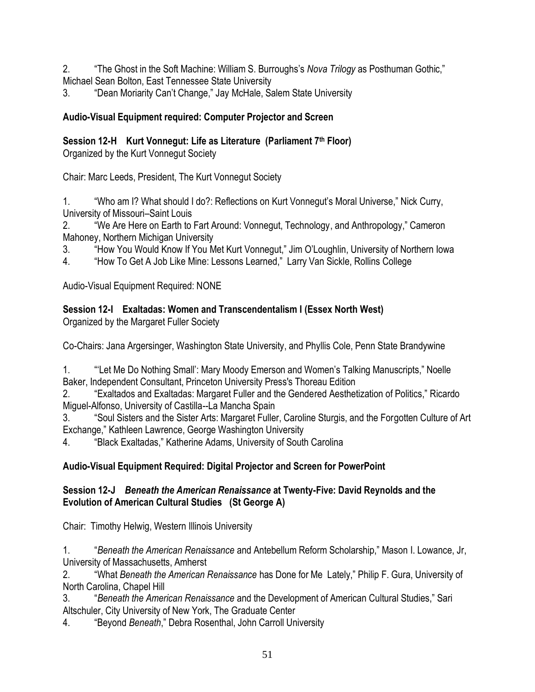2. **The Ghost in the Soft Machine: William S. Burroughs's** *Nova Trilogy* **as Posthuman Gothic,"** Michael Sean Bolton, East Tennessee State University

3. **The State Moriarity Can't Change," Jay McHale, Salem State University** 

### **Audio-Visual Equipment required: Computer Projector and Screen**

**Session 12-H Kurt Vonnegut: Life as Literature (Parliament 7th Floor)**

Organized by the Kurt Vonnegut Society

Chair: Marc Leeds, President, The Kurt Vonnegut Society

1. "Who am I? What should I do?: Reflections on Kurt Vonnegut's Moral Universe," Nick Curry, University of Missouri–Saint Louis

2. "We Are Here on Earth to Fart Around: Vonnegut, Technology, and Anthropology," Cameron Mahoney, Northern Michigan University

3. "How You Would Know If You Met Kurt Vonnegut," Jim O'Loughlin, University of Northern Iowa

4. "How To Get A Job Like Mine: Lessons Learned," Larry Van Sickle, Rollins College

Audio-Visual Equipment Required: NONE

# **Session 12-I Exaltadas: Women and Transcendentalism I (Essex North West)**

Organized by the Margaret Fuller Society

Co-Chairs: Jana Argersinger, Washington State University, and Phyllis Cole, Penn State Brandywine

1. **A "Let Me Do Nothing Small**": Mary Moody Emerson and Women's Talking Manuscripts," Noelle Baker, Independent Consultant, Princeton University Press's Thoreau Edition

2. **Exaltados and Exaltadas: Margaret Fuller and the Gendered Aesthetization of Politics," Ricardo** Miguel-Alfonso, University of Castilla--La Mancha Spain

3. "Soul Sisters and the Sister Arts: Margaret Fuller, Caroline Sturgis, and the Forgotten Culture of Art Exchange," Kathleen Lawrence, George Washington University

4. "Black Exaltadas," Katherine Adams, University of South Carolina

# **Audio-Visual Equipment Required: Digital Projector and Screen for PowerPoint**

#### **Session 12-J** *Beneath the American Renaissance* **at Twenty-Five: David Reynolds and the Evolution of American Cultural Studies (St George A)**

Chair: Timothy Helwig, Western Illinois University

1. ―*Beneath the American Renaissance* and Antebellum Reform Scholarship,‖ Mason I. Lowance, Jr, University of Massachusetts, Amherst

2. "What *Beneath the American Renaissance* has Done for Me Lately," Philip F. Gura, University of North Carolina, Chapel Hill

3. *Beneath the American Renaissance* and the Development of American Cultural Studies," Sari Altschuler, City University of New York, The Graduate Center

4. *"Beyond Beneath," Debra Rosenthal, John Carroll University*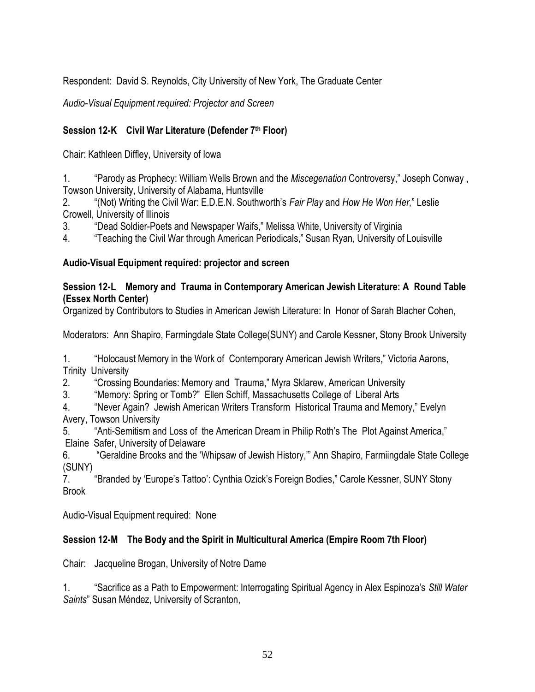Respondent: David S. Reynolds, City University of New York, The Graduate Center

*Audio-Visual Equipment required: Projector and Screen*

### **Session 12-K Civil War Literature (Defender 7th Floor)**

Chair: Kathleen Diffley, University of Iowa

1. **The Parody as Prophecy: William Wells Brown and the** *Miscegenation* **Controversy," Joseph Conway,** Towson University, University of Alabama, Huntsville

2. ―(Not) Writing the Civil War: E.D.E.N. Southworth's *Fair Play* and *How He Won Her,*‖ Leslie Crowell, University of Illinois

3. 
"Dead Soldier-Poets and Newspaper Waifs," Melissa White, University of Virginia

4. **Teaching the Civil War through American Periodicals,** "Susan Ryan, University of Louisville

#### **Audio-Visual Equipment required: projector and screen**

#### **Session 12-L Memory and Trauma in Contemporary American Jewish Literature: A Round Table (Essex North Center)**

Organized by Contributors to Studies in American Jewish Literature: In Honor of Sarah Blacher Cohen,

Moderators: Ann Shapiro, Farmingdale State College(SUNY) and Carole Kessner, Stony Brook University

1. "Holocaust Memory in the Work of Contemporary American Jewish Writers," Victoria Aarons, Trinity University

2. "Crossing Boundaries: Memory and Trauma," Myra Sklarew, American University

3. "Memory: Spring or Tomb?" Ellen Schiff, Massachusetts College of Liberal Arts

4. "Never Again? Jewish American Writers Transform Historical Trauma and Memory," Evelyn Avery, Towson University

5. "Anti-Semitism and Loss of the American Dream in Philip Roth's The Plot Against America," Elaine Safer, University of Delaware

6. **The "Geraldine Brooks and the 'Whipsaw of Jewish History," Ann Shapiro, Farmiingdale State College** (SUNY)

7. **The "Branded by 'Europe's Tattoo': Cynthia Ozick's Foreign Bodies," Carole Kessner, SUNY Stony** Brook

Audio-Visual Equipment required: None

#### **Session 12-M The Body and the Spirit in Multicultural America (Empire Room 7th Floor)**

Chair: Jacqueline Brogan, University of Notre Dame

1. ―Sacrifice as a Path to Empowerment: Interrogating Spiritual Agency in Alex Espinoza's *Still Water Saints*‖ Susan Méndez, University of Scranton,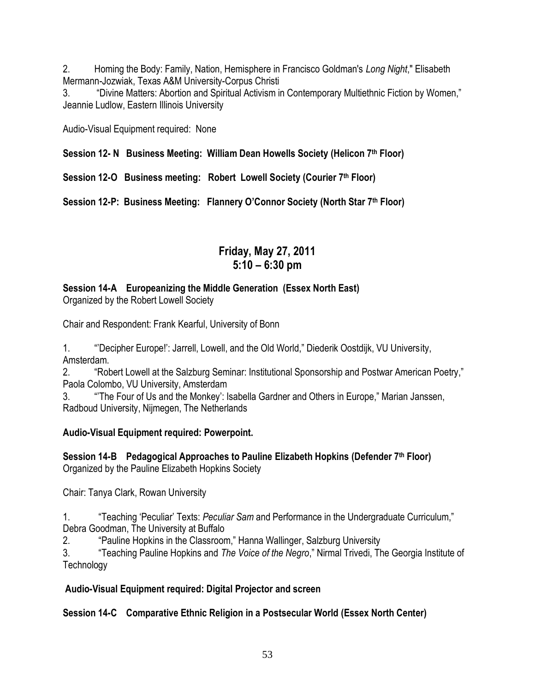2. Homing the Body: Family, Nation, Hemisphere in Francisco Goldman's *Long Night*," Elisabeth Mermann-Jozwiak, Texas A&M University-Corpus Christi

3. "Divine Matters: Abortion and Spiritual Activism in Contemporary Multiethnic Fiction by Women," Jeannie Ludlow, Eastern Illinois University

Audio-Visual Equipment required: None

**Session 12- N Business Meeting: William Dean Howells Society (Helicon 7th Floor)**

**Session 12-O Business meeting: Robert Lowell Society (Courier 7th Floor)**

**Session 12-P: Business Meeting: Flannery O'Connor Society (North Star 7th Floor)**

# **Friday, May 27, 2011 5:10 – 6:30 pm**

# **Session 14-A Europeanizing the Middle Generation (Essex North East)**

Organized by the Robert Lowell Society

Chair and Respondent: Frank Kearful, University of Bonn

1. ""Decipher Europe!": Jarrell, Lowell, and the Old World," Diederik Oostdijk, VU University, Amsterdam.

2. "Robert Lowell at the Salzburg Seminar: Institutional Sponsorship and Postwar American Poetry," Paola Colombo, VU University, Amsterdam

3. "The Four of Us and the Monkey': Isabella Gardner and Others in Europe," Marian Janssen, Radboud University, Nijmegen, The Netherlands

# **Audio-Visual Equipment required: Powerpoint.**

**Session 14-B Pedagogical Approaches to Pauline Elizabeth Hopkins (Defender 7th Floor)** Organized by the Pauline Elizabeth Hopkins Society

Chair: Tanya Clark, Rowan University

1. **The "Teaching 'Peculiar' Texts:** *Peculiar Sam* **and Performance in the Undergraduate Curriculum,"** Debra Goodman, The University at Buffalo

2. **The Pauline Hopkins in the Classroom,**" Hanna Wallinger, Salzburg University

3. ―Teaching Pauline Hopkins and *The Voice of the Negro*,‖ Nirmal Trivedi, The Georgia Institute of **Technology** 

# **Audio-Visual Equipment required: Digital Projector and screen**

# **Session 14-C Comparative Ethnic Religion in a Postsecular World (Essex North Center)**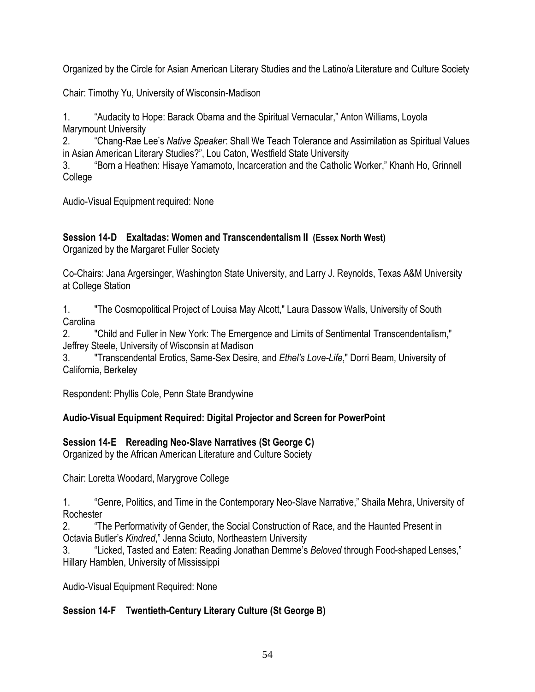Organized by the Circle for Asian American Literary Studies and the Latino/a Literature and Culture Society

Chair: Timothy Yu, University of Wisconsin-Madison

1. "Audacity to Hope: Barack Obama and the Spiritual Vernacular," Anton Williams, Loyola Marymount University

2. ―Chang-Rae Lee's *Native Speaker*: Shall We Teach Tolerance and Assimilation as Spiritual Values in Asian American Literary Studies?", Lou Caton, Westfield State University

3. "Born a Heathen: Hisaye Yamamoto, Incarceration and the Catholic Worker," Khanh Ho, Grinnell College

Audio-Visual Equipment required: None

# **Session 14-D Exaltadas: Women and Transcendentalism II (Essex North West)**

Organized by the Margaret Fuller Society

Co-Chairs: Jana Argersinger, Washington State University, and Larry J. Reynolds, Texas A&M University at College Station

1. "The Cosmopolitical Project of Louisa May Alcott," Laura Dassow Walls, University of South Carolina

2. "Child and Fuller in New York: The Emergence and Limits of Sentimental Transcendentalism," Jeffrey Steele, University of Wisconsin at Madison

3. "Transcendental Erotics, Same-Sex Desire, and *Ethel's Love-Life*," Dorri Beam, University of California, Berkeley

Respondent: Phyllis Cole, Penn State Brandywine

#### **Audio-Visual Equipment Required: Digital Projector and Screen for PowerPoint**

#### **Session 14-E Rereading Neo-Slave Narratives (St George C)**

Organized by the African American Literature and Culture Society

Chair: Loretta Woodard, Marygrove College

1. **Access 4. Access** <sup>"</sup>Genre, Politics, and Time in the Contemporary Neo-Slave Narrative," Shaila Mehra, University of **Rochester** 

2. ―The Performativity of Gender, the Social Construction of Race, and the Haunted Present in Octavia Butler's *Kindred*," Jenna Sciuto, Northeastern University

3. "Licked, Tasted and Eaten: Reading Jonathan Demme's *Beloved* through Food-shaped Lenses," Hillary Hamblen, University of Mississippi

Audio-Visual Equipment Required: None

#### **Session 14-F Twentieth-Century Literary Culture (St George B)**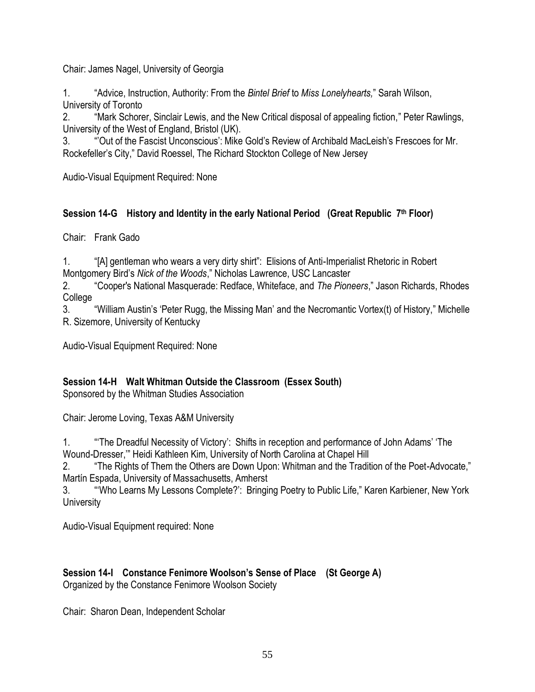Chair: James Nagel, University of Georgia

1. ―Advice, Instruction, Authority: From the *Bintel Brief* to *Miss Lonelyhearts,*‖ Sarah Wilson, University of Toronto

2. "Mark Schorer, Sinclair Lewis, and the New Critical disposal of appealing fiction," Peter Rawlings, University of the West of England, Bristol (UK).

3. ―'Out of the Fascist Unconscious': Mike Gold's Review of Archibald MacLeish's Frescoes for Mr. Rockefeller's City," David Roessel, The Richard Stockton College of New Jersev

Audio-Visual Equipment Required: None

#### **Session 14-G History and Identity in the early National Period (Great Republic 7 th Floor)**

Chair: Frank Gado

1. "[A] gentleman who wears a very dirty shirt": Elisions of Anti-Imperialist Rhetoric in Robert Montgomery Bird's Nick of the Woods," Nicholas Lawrence, USC Lancaster

2. ―Cooper's National Masquerade: Redface, Whiteface, and *The Pioneers*,‖ Jason Richards, Rhodes College

3. "William Austin's 'Peter Rugg, the Missing Man' and the Necromantic Vortex(t) of History," Michelle R. Sizemore, University of Kentucky

Audio-Visual Equipment Required: None

#### **Session 14-H Walt Whitman Outside the Classroom (Essex South)**

Sponsored by the Whitman Studies Association

Chair: Jerome Loving, Texas A&M University

1. **The Dreadful Necessity of Victory**: Shifts in reception and performance of John Adams' The Wound-Dresser," Heidi Kathleen Kim, University of North Carolina at Chapel Hill

2. **The Rights of Them the Others are Down Upon: Whitman and the Tradition of the Poet-Advocate,"** Martín Espada, University of Massachusetts, Amherst

3. "Who Learns My Lessons Complete?': Bringing Poetry to Public Life," Karen Karbiener, New York **University** 

Audio-Visual Equipment required: None

#### **Session 14-I Constance Fenimore Woolson's Sense of Place (St George A)**  Organized by the Constance Fenimore Woolson Society

Chair: Sharon Dean, Independent Scholar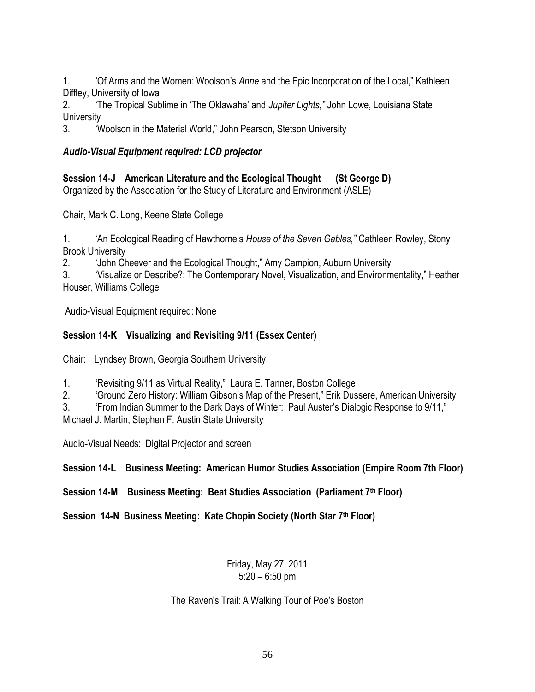1. **The Step Arms and the Women: Woolson's** *Anne* **and the Epic Incorporation of the Local," Kathleen** Diffley, University of Iowa

2. ―The Tropical Sublime in ‗The Oklawaha' and *Jupiter Lights,"* John Lowe, Louisiana State **University** 

3. "Woolson in the Material World," John Pearson, Stetson University

#### *Audio-Visual Equipment required: LCD projector*

**Session 14-J American Literature and the Ecological Thought (St George D)**  Organized by the Association for the Study of Literature and Environment (ASLE)

Chair, Mark C. Long, Keene State College

1. ―An Ecological Reading of Hawthorne's *House of the Seven Gables,"* Cathleen Rowley, Stony Brook University

2. "John Cheever and the Ecological Thought," Amy Campion, Auburn University

3. "Visualize or Describe?: The Contemporary Novel, Visualization, and Environmentality," Heather Houser, Williams College

Audio-Visual Equipment required: None

### **Session 14-K Visualizing and Revisiting 9/11 (Essex Center)**

Chair: Lyndsey Brown, Georgia Southern University

1. **The Step of the Victual Agaily,** Laura E. Tanner, Boston College

2. "Ground Zero History: William Gibson's Map of the Present," Erik Dussere, American University

3. "From Indian Summer to the Dark Days of Winter: Paul Auster's Dialogic Response to 9/11,"

Michael J. Martin, Stephen F. Austin State University

Audio-Visual Needs: Digital Projector and screen

**Session 14-L Business Meeting: American Humor Studies Association (Empire Room 7th Floor)**

**Session 14-M Business Meeting: Beat Studies Association (Parliament 7th Floor)**

**Session 14-N Business Meeting: Kate Chopin Society (North Star 7th Floor)**

#### Friday, May 27, 2011 5:20 – 6:50 pm

The Raven's Trail: A Walking Tour of Poe's Boston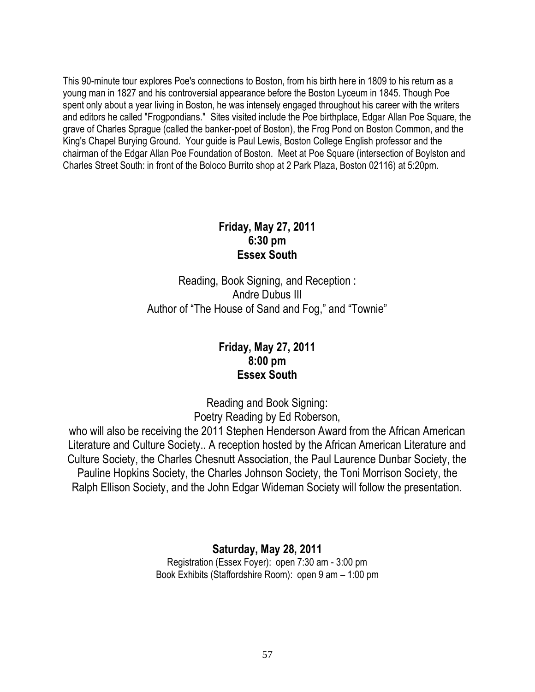This 90-minute tour explores Poe's connections to Boston, from his birth here in 1809 to his return as a young man in 1827 and his controversial appearance before the Boston Lyceum in 1845. Though Poe spent only about a year living in Boston, he was intensely engaged throughout his career with the writers and editors he called "Frogpondians." Sites visited include the Poe birthplace, Edgar Allan Poe Square, the grave of Charles Sprague (called the banker-poet of Boston), the Frog Pond on Boston Common, and the King's Chapel Burying Ground. Your guide is Paul Lewis, Boston College English professor and the chairman of the Edgar Allan Poe Foundation of Boston. Meet at Poe Square (intersection of Boylston and Charles Street South: in front of the Boloco Burrito shop at 2 Park Plaza, Boston 02116) at 5:20pm.

# **Friday, May 27, 2011 6:30 pm Essex South**

Reading, Book Signing, and Reception : Andre Dubus III Author of "The House of Sand and Fog," and "Townie"

# **Friday, May 27, 2011 8:00 pm Essex South**

Reading and Book Signing: Poetry Reading by Ed Roberson,

who will also be receiving the 2011 Stephen Henderson Award from the African American Literature and Culture Society.. A reception hosted by the African American Literature and Culture Society, the Charles Chesnutt Association, the Paul Laurence Dunbar Society, the Pauline Hopkins Society, the Charles Johnson Society, the Toni Morrison Society, the Ralph Ellison Society, and the John Edgar Wideman Society will follow the presentation.

> **Saturday, May 28, 2011** Registration (Essex Foyer): open 7:30 am - 3:00 pm Book Exhibits (Staffordshire Room): open 9 am – 1:00 pm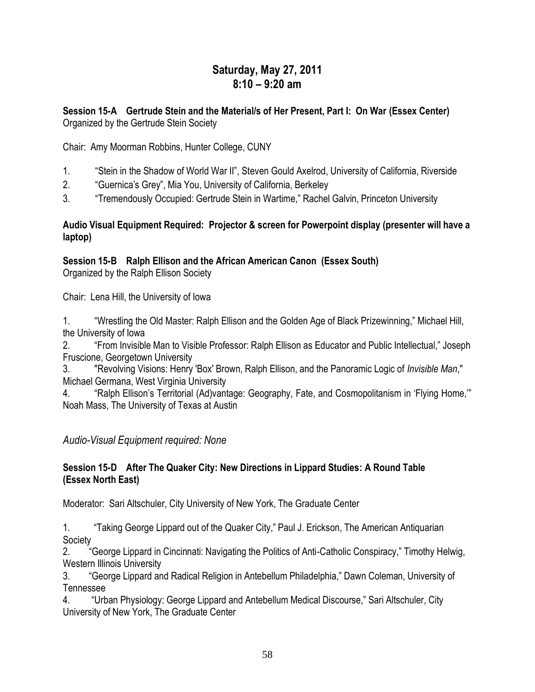# **Saturday, May 27, 2011 8:10 – 9:20 am**

#### **Session 15-A Gertrude Stein and the Material/s of Her Present, Part I: On War (Essex Center)** Organized by the Gertrude Stein Society

Chair: Amy Moorman Robbins, Hunter College, CUNY

- 1. "Stein in the Shadow of World War II", Steven Gould Axelrod, University of California, Riverside
- 2. 
"Guernica's Grey", Mia You, University of California, Berkeley
- 3. 
"Tremendously Occupied: Gertrude Stein in Wartime," Rachel Galvin, Princeton University

#### **Audio Visual Equipment Required: Projector & screen for Powerpoint display (presenter will have a laptop)**

# **Session 15-B Ralph Ellison and the African American Canon (Essex South)**

Organized by the Ralph Ellison Society

Chair: Lena Hill, the University of Iowa

1. "Wrestling the Old Master: Ralph Ellison and the Golden Age of Black Prizewinning," Michael Hill, the University of Iowa

2. "From Invisible Man to Visible Professor: Ralph Ellison as Educator and Public Intellectual," Joseph Fruscione, Georgetown University

3. "Revolving Visions: Henry 'Box' Brown, Ralph Ellison, and the Panoramic Logic of *Invisible Man*," Michael Germana, West Virginia University

4. "Ralph Ellison's Territorial (Ad)vantage: Geography, Fate, and Cosmopolitanism in 'Flying Home," Noah Mass, The University of Texas at Austin

# *Audio-Visual Equipment required: None*

#### **Session 15-D After The Quaker City: New Directions in Lippard Studies: A Round Table (Essex North East)**

Moderator: Sari Altschuler, City University of New York, The Graduate Center

1. **Taking George Lippard out of the Quaker City,**" Paul J. Erickson, The American Antiquarian Society

2. "George Lippard in Cincinnati: Navigating the Politics of Anti-Catholic Conspiracy," Timothy Helwig, Western Illinois University

3. "George Lippard and Radical Religion in Antebellum Philadelphia," Dawn Coleman, University of Tennessee

4. ―Urban Physiology: George Lippard and Antebellum Medical Discourse,‖ Sari Altschuler, City University of New York, The Graduate Center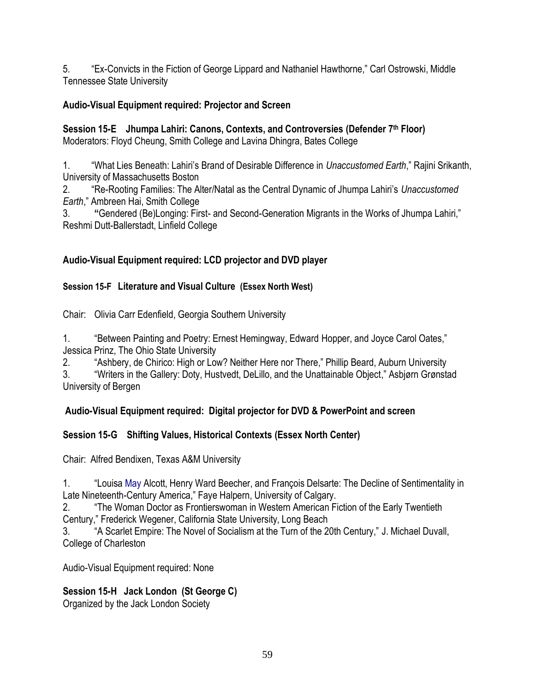5. **Ex-Convicts in the Fiction of George Lippard and Nathaniel Hawthorne,**" Carl Ostrowski, Middle Tennessee State University

#### **Audio-Visual Equipment required: Projector and Screen**

**Session 15-E Jhumpa Lahiri: Canons, Contexts, and Controversies (Defender 7th Floor)** Moderators: Floyd Cheung, Smith College and Lavina Dhingra, Bates College

1. ―What Lies Beneath: Lahiri's Brand of Desirable Difference in *Unaccustomed Earth*,‖ Rajini Srikanth, University of Massachusetts Boston

2. ―Re-Rooting Families: The Alter/Natal as the Central Dynamic of Jhumpa Lahiri's *Unaccustomed Earth*," Ambreen Hai, Smith College

3. **<b>ACC** "Gendered (Be)Longing: First- and Second-Generation Migrants in the Works of Jhumpa Lahiri," Reshmi Dutt-Ballerstadt, Linfield College

# **Audio-Visual Equipment required: LCD projector and DVD player**

### **Session 15-F Literature and Visual Culture (Essex North West)**

Chair: Olivia Carr Edenfield, Georgia Southern University

1. "Between Painting and Poetry: Ernest Hemingway, Edward Hopper, and Joyce Carol Oates," Jessica Prinz, The Ohio State University

2. "Ashbery, de Chirico: High or Low? Neither Here nor There," Phillip Beard, Auburn University

3. "Writers in the Gallery: Doty, Hustvedt, DeLillo, and the Unattainable Object," Asbjørn Grønstad University of Bergen

# **Audio-Visual Equipment required: Digital projector for DVD & PowerPoint and screen**

# **Session 15-G Shifting Values, Historical Contexts (Essex North Center)**

Chair: Alfred Bendixen, Texas A&M University

1. ―Louisa May Alcott, Henry Ward Beecher, and François Delsarte: The Decline of Sentimentality in Late Nineteenth-Century America," Faye Halpern, University of Calgary.

2. ―The Woman Doctor as Frontierswoman in Western American Fiction of the Early Twentieth Century," Frederick Wegener, California State University, Long Beach

3. "A Scarlet Empire: The Novel of Socialism at the Turn of the 20th Century," J. Michael Duvall, College of Charleston

Audio-Visual Equipment required: None

# **Session 15-H Jack London (St George C)**

Organized by the Jack London Society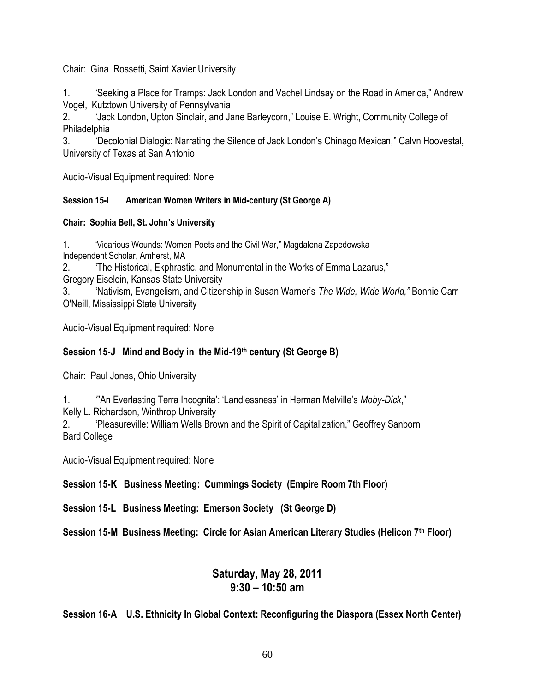Chair: Gina Rossetti, Saint Xavier University

1. Seeking a Place for Tramps: Jack London and Vachel Lindsay on the Road in America," Andrew Vogel, Kutztown University of Pennsylvania

2. "Jack London, Upton Sinclair, and Jane Barleycorn," Louise E. Wright, Community College of Philadelphia

3. "Decolonial Dialogic: Narrating the Silence of Jack London's Chinago Mexican," Calvn Hoovestal, University of Texas at San Antonio

Audio-Visual Equipment required: None

#### **Session 15-I American Women Writers in Mid-century (St George A)**

#### **Chair: Sophia Bell, St. John's University**

1. "Vicarious Wounds: Women Poets and the Civil War," Magdalena Zapedowska Independent Scholar, Amherst, MA

2. **The Historical, Ekphrastic, and Monumental in the Works of Emma Lazarus,"** 

Gregory Eiselein, Kansas State University

3. ―Nativism, Evangelism, and Citizenship in Susan Warner's *The Wide, Wide World,"* Bonnie Carr O'Neill, Mississippi State University

Audio-Visual Equipment required: None

#### **Session 15-J Mind and Body in the Mid-19th century (St George B)**

Chair: Paul Jones, Ohio University

1. **An Everlasting Terra Incognita': 'Landlessness' in Herman Melville's** *Moby-Dick***,"** 

Kelly L. Richardson, Winthrop University

2. "Pleasureville: William Wells Brown and the Spirit of Capitalization," Geoffrey Sanborn Bard College

Audio-Visual Equipment required: None

#### **Session 15-K Business Meeting: Cummings Society (Empire Room 7th Floor)**

**Session 15-L Business Meeting: Emerson Society (St George D)**

**Session 15-M Business Meeting: Circle for Asian American Literary Studies (Helicon 7th Floor)**

# **Saturday, May 28, 2011 9:30 – 10:50 am**

**Session 16-A U.S. Ethnicity In Global Context: Reconfiguring the Diaspora (Essex North Center)**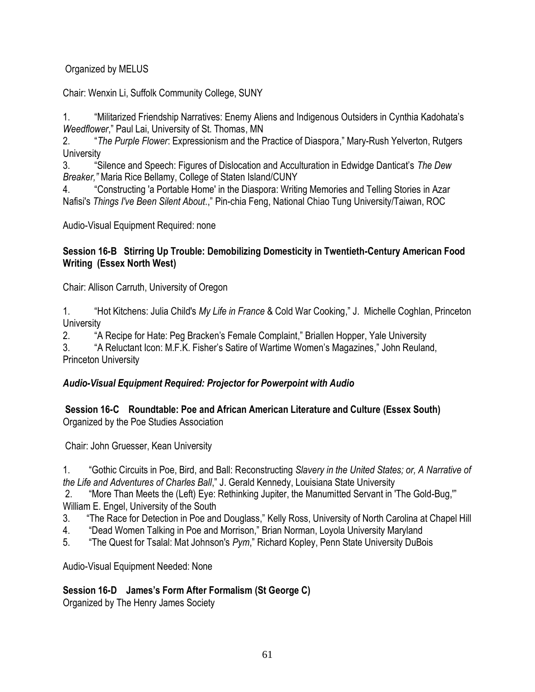### Organized by MELUS

Chair: Wenxin Li, Suffolk Community College, SUNY

1. ―Militarized Friendship Narratives: Enemy Aliens and Indigenous Outsiders in Cynthia Kadohata's *Weedflower*," Paul Lai, University of St. Thomas, MN

2. ―*The Purple Flower*: Expressionism and the Practice of Diaspora,‖ Mary-Rush Yelverton, Rutgers **University** 

3. ―Silence and Speech: Figures of Dislocation and Acculturation in Edwidge Danticat's *The Dew Breaker,"* Maria Rice Bellamy, College of Staten Island/CUNY

4. ―Constructing 'a Portable Home' in the Diaspora: Writing Memories and Telling Stories in Azar Nafisi's Things I've Been Silent About.," Pin-chia Feng, National Chiao Tung University/Taiwan, ROC

Audio-Visual Equipment Required: none

#### **Session 16-B Stirring Up Trouble: Demobilizing Domesticity in Twentieth-Century American Food Writing (Essex North West)**

Chair: Allison Carruth, University of Oregon

1. ―Hot Kitchens: Julia Child's *My Life in France* & Cold War Cooking,‖ J. Michelle Coghlan, Princeton **University** 

2. **A Recipe for Hate: Peg Bracken's Female Complaint,**" Briallen Hopper, Yale University

3. "A Reluctant Icon: M.F.K. Fisher's Satire of Wartime Women's Magazines," John Reuland, Princeton University

# *Audio-Visual Equipment Required: Projector for Powerpoint with Audio*

#### **Session 16-C Roundtable: Poe and African American Literature and Culture (Essex South)** Organized by the Poe Studies Association

Chair: John Gruesser, Kean University

1. ―Gothic Circuits in Poe, Bird, and Ball: Reconstructing *Slavery in the United States; or, A Narrative of the Life and Adventures of Charles Ball*,‖ J. Gerald Kennedy, Louisiana State University

2. "More Than Meets the (Left) Eye: Rethinking Jupiter, the Manumitted Servant in 'The Gold-Bug," William E. Engel, University of the South

- 3. "The Race for Detection in Poe and Douglass," Kelly Ross, University of North Carolina at Chapel Hill
- 4. 
"Dead Women Talking in Poe and Morrison," Brian Norman, Loyola University Maryland
- 5. "The Quest for Tsalal: Mat Johnson's *Pym*," Richard Kopley, Penn State University DuBois

Audio-Visual Equipment Needed: None

**Session 16-D James's Form After Formalism (St George C)**

Organized by The Henry James Society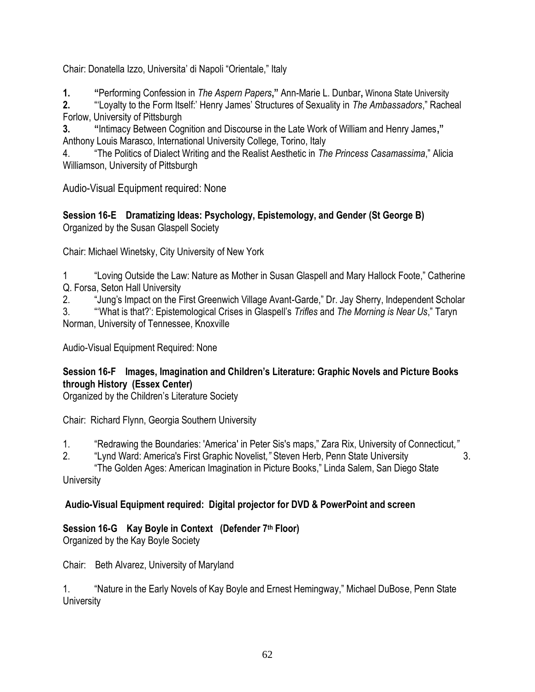Chair: Donatella Izzo, Universita' di Napoli "Orientale," Italy

**1. ―**Performing Confession in *The Aspern Papers***,‖** Ann-Marie L. Dunbar**,** Winona State University

**2.** ―‗Loyalty to the Form Itself:' Henry James' Structures of Sexuality in *The Ambassadors*,‖ Racheal Forlow, University of Pittsburgh

**3. <b>**  "Intimacy Between Cognition and Discourse in the Late Work of William and Henry James," Anthony Louis Marasco, International University College, Torino, Italy

4. **The Politics of Dialect Writing and the Realist Aesthetic in The Princess Casamassima," Alicia** Williamson, University of Pittsburgh

Audio-Visual Equipment required: None

**Session 16-E Dramatizing Ideas: Psychology, Epistemology, and Gender (St George B)** Organized by the Susan Glaspell Society

Chair: Michael Winetsky, City University of New York

1 "Loving Outside the Law: Nature as Mother in Susan Glaspell and Mary Hallock Foote," Catherine Q. Forsa, Seton Hall University

2. "Jung's Impact on the First Greenwich Village Avant-Garde," Dr. Jay Sherry, Independent Scholar

3. ―‗What is that?': Epistemological Crises in Glaspell's *Trifles* and *The Morning is Near Us*,‖ Taryn Norman, University of Tennessee, Knoxville

Audio-Visual Equipment Required: None

# **Session 16-F Images, Imagination and Children's Literature: Graphic Novels and Picture Books through History (Essex Center)**

Organized by the Children's Literature Society

Chair: Richard Flynn, Georgia Southern University

1. ―Redrawing the Boundaries: 'America' in Peter Sis's maps,‖ Zara Rix, University of Connecticut*,"* 

2. ―Lynd Ward: America's First Graphic Novelist*,"* Steven Herb, Penn State University 3.

―The Golden Ages: American Imagination in Picture Books,‖ Linda Salem, San Diego State **University** 

# **Audio-Visual Equipment required: Digital projector for DVD & PowerPoint and screen**

# **Session 16-G Kay Boyle in Context (Defender 7th Floor)**

Organized by the Kay Boyle Society

Chair: Beth Alvarez, University of Maryland

1. "Nature in the Early Novels of Kay Boyle and Ernest Hemingway," Michael DuBose, Penn State **University**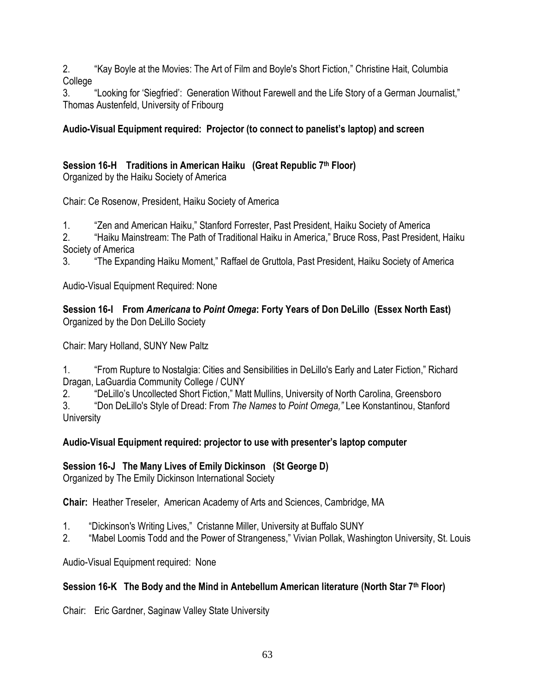2. **The Stephen Stephen Stephen Stephen Stephen Stephen Stephen Stephen Stephen Stephen Stephen Stephen Stephen Stephen Stephen Stephen Stephen Stephen Stephen Stephen Stephen Stephen Stephen Stephen Stephen Stephen Stephe** College

3. "Looking for 'Siegfried': Generation Without Farewell and the Life Story of a German Journalist," Thomas Austenfeld, University of Fribourg

# **Audio-Visual Equipment required: Projector (to connect to panelist's laptop) and screen**

#### **Session 16-H Traditions in American Haiku (Great Republic 7 th Floor)** Organized by the Haiku Society of America

Chair: Ce Rosenow, President, Haiku Society of America

1. **The Stand American Haiku,**" Stanford Forrester, Past President, Haiku Society of America

2. "Haiku Mainstream: The Path of Traditional Haiku in America," Bruce Ross, Past President, Haiku Society of America

3. **The Expanding Haiku Moment,**" Raffael de Gruttola, Past President, Haiku Society of America

Audio-Visual Equipment Required: None

#### **Session 16-I From** *Americana* **to** *Point Omega***: Forty Years of Don DeLillo (Essex North East)** Organized by the Don DeLillo Society

Chair: Mary Holland, SUNY New Paltz

1. "From Rupture to Nostalgia: Cities and Sensibilities in DeLillo's Early and Later Fiction," Richard Dragan, LaGuardia Community College / CUNY

2. "DeLillo's Uncollected Short Fiction," Matt Mullins, University of North Carolina, Greensboro

3. ―Don DeLillo's Style of Dread: From *The Names* to *Point Omega,"* Lee Konstantinou, Stanford **University** 

# **Audio-Visual Equipment required: projector to use with presenter's laptop computer**

# **Session 16-J The Many Lives of Emily Dickinson (St George D)**

Organized by The Emily Dickinson International Society

**Chair:** Heather Treseler, American Academy of Arts and Sciences, Cambridge, MA

- 1. "Dickinson's Writing Lives," Cristanne Miller, University at Buffalo SUNY
- 2. "Mabel Loomis Todd and the Power of Strangeness," Vivian Pollak, Washington University, St. Louis

Audio-Visual Equipment required: None

# **Session 16-K The Body and the Mind in Antebellum American literature (North Star 7th Floor)**

Chair: Eric Gardner, Saginaw Valley State University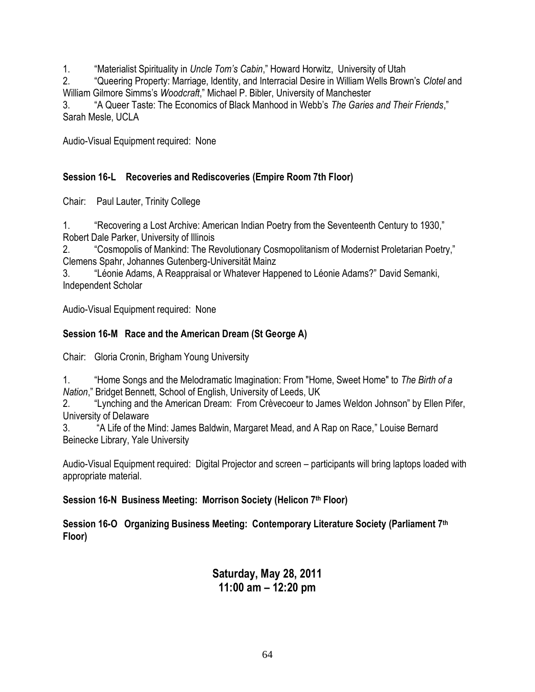1. **Materialist Spirituality in** *Uncle Tom's Cabin*," Howard Horwitz, University of Utah

2. ―Queering Property: Marriage, Identity, and Interracial Desire in William Wells Brown's *Clotel* and William Gilmore Simms's *Woodcraft*," Michael P. Bibler, University of Manchester

3. "A Queer Taste: The Economics of Black Manhood in Webb's *The Garies and Their Friends*," Sarah Mesle, UCLA

Audio-Visual Equipment required: None

#### **Session 16-L Recoveries and Rediscoveries (Empire Room 7th Floor)**

Chair: Paul Lauter, Trinity College

1. **The "Recovering a Lost Archive: American Indian Poetry from the Seventeenth Century to 1930,"** Robert Dale Parker, University of Illinois

2. **Cosmopolis of Mankind: The Revolutionary Cosmopolitanism of Modernist Proletarian Poetry,"** Clemens Spahr, Johannes Gutenberg-Universität Mainz

3. ―Léonie Adams, A Reappraisal or Whatever Happened to Léonie Adams?‖ David Semanki, Independent Scholar

Audio-Visual Equipment required: None

### **Session 16-M Race and the American Dream (St George A)**

Chair: Gloria Cronin, Brigham Young University

1. **A "Home Songs and the Melodramatic Imagination: From "Home, Sweet Home" to** *The Birth of a Nation*," Bridget Bennett, School of English, University of Leeds, UK

2. "Lynching and the American Dream: From Crèvecoeur to James Weldon Johnson" by Ellen Pifer, University of Delaware

3. "A Life of the Mind: James Baldwin, Margaret Mead, and A Rap on Race," Louise Bernard Beinecke Library, Yale University

Audio-Visual Equipment required: Digital Projector and screen – participants will bring laptops loaded with appropriate material.

#### **Session 16-N Business Meeting: Morrison Society (Helicon 7th Floor)**

**Session 16-O Organizing Business Meeting: Contemporary Literature Society (Parliament 7th Floor)**

# **Saturday, May 28, 2011 11:00 am – 12:20 pm**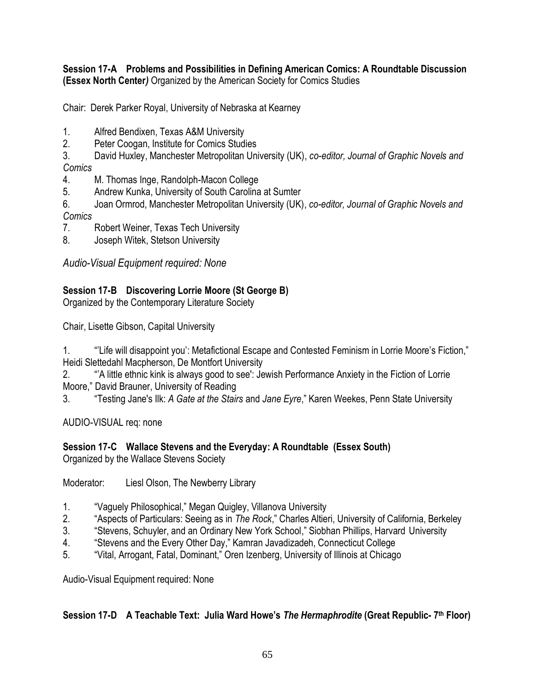#### **Session 17-A Problems and Possibilities in Defining American Comics: A Roundtable Discussion (Essex North Center***)* Organized by the American Society for Comics Studies

Chair: Derek Parker Royal, University of Nebraska at Kearney

- 1. Alfred Bendixen, Texas A&M University
- 2. Peter Coogan, Institute for Comics Studies
- 3. David Huxley, Manchester Metropolitan University (UK), *co-editor, Journal of Graphic Novels and Comics*
- 4. M. Thomas Inge, Randolph-Macon College
- 5. Andrew Kunka, University of South Carolina at Sumter
- 6. Joan Ormrod, Manchester Metropolitan University (UK), *co-editor, Journal of Graphic Novels and Comics*
- 7. Robert Weiner, Texas Tech University
- 8. Joseph Witek, Stetson University

*Audio-Visual Equipment required: None*

# **Session 17-B Discovering Lorrie Moore (St George B)**

Organized by the Contemporary Literature Society

Chair, Lisette Gibson, Capital University

1. ""Life will disappoint you': Metafictional Escape and Contested Feminism in Lorrie Moore's Fiction," Heidi Slettedahl Macpherson, De Montfort University

2. ―'A little ethnic kink is always good to see': Jewish Performance Anxiety in the Fiction of Lorrie Moore," David Brauner, University of Reading

3. ―Testing Jane's Ilk: *A Gate at the Stairs* and *Jane Eyre*,‖ Karen Weekes, Penn State University

AUDIO-VISUAL req: none

# **Session 17-C Wallace Stevens and the Everyday: A Roundtable (Essex South)**

Organized by the Wallace Stevens Society

Moderator: Liesl Olson, The Newberry Library

- 1. "Vaguely Philosophical," Megan Quigley, Villanova University
- 2. **Aspects of Particulars: Seeing as in** *The Rock***,**" Charles Altieri, University of California, Berkeley **2.**
- 3. 
"Stevens, Schuyler, and an Ordinary New York School," Siobhan Phillips, Harvard University
- 4. 
"Stevens and the Every Other Day," Kamran Javadizadeh, Connecticut College
- 5. "Vital, Arrogant, Fatal, Dominant," Oren Izenberg, University of Illinois at Chicago

Audio-Visual Equipment required: None

# **Session 17-D A Teachable Text: Julia Ward Howe's** *The Hermaphrodite* **(Great Republic- 7 th Floor)**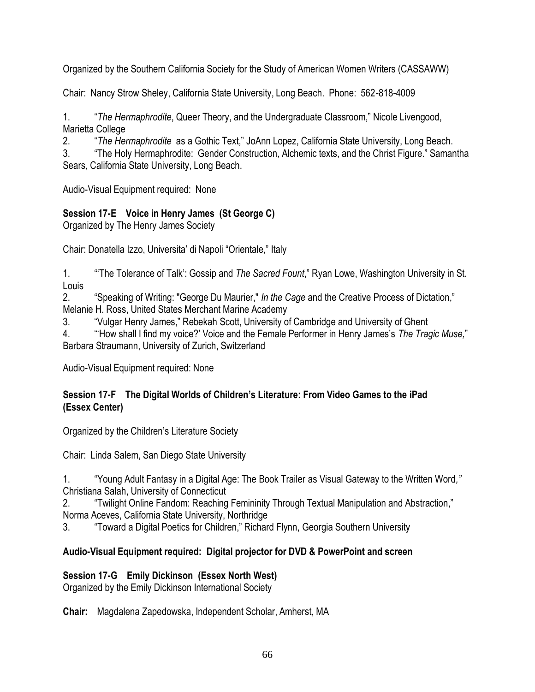Organized by the Southern California Society for the Study of American Women Writers (CASSAWW)

Chair: Nancy Strow Sheley, California State University, Long Beach. Phone: 562-818-4009

1. ―*The Hermaphrodite*, Queer Theory, and the Undergraduate Classroom,‖ Nicole Livengood, Marietta College

2. *The Hermaphrodite* as a Gothic Text," JoAnn Lopez, California State University, Long Beach.

3. 
"The Holy Hermaphrodite: Gender Construction, Alchemic texts, and the Christ Figure." Samantha Sears, California State University, Long Beach.

Audio-Visual Equipment required: None

# **Session 17-E Voice in Henry James (St George C)**

Organized by The Henry James Society

Chair: Donatella Izzo, Universita' di Napoli "Orientale," Italy

1. **<sup>"The Tolerance of Talk': Gossip and The Sacred Fount," Ryan Lowe, Washington University in St.**</sup> Louis

2. "Speaking of Writing: "George Du Maurier," *In the Cage* and the Creative Process of Dictation," Melanie H. Ross, United States Merchant Marine Academy

3. "Vulgar Henry James," Rebekah Scott, University of Cambridge and University of Ghent

4. ―‗How shall I find my voice?' Voice and the Female Performer in Henry James's *The Tragic Muse,*‖ Barbara Straumann, University of Zurich, Switzerland

Audio-Visual Equipment required: None

#### **Session 17-F The Digital Worlds of Children's Literature: From Video Games to the iPad (Essex Center)**

Organized by the Children's Literature Society

Chair: Linda Salem, San Diego State University

1. ―Young Adult Fantasy in a Digital Age: The Book Trailer as Visual Gateway to the Written Word*,"*  Christiana Salah, University of Connecticut

2. ―Twilight Online Fandom: Reaching Femininity Through Textual Manipulation and Abstraction,‖ Norma Aceves, California State University, Northridge

3. "Toward a Digital Poetics for Children," Richard Flynn, Georgia Southern University

# **Audio-Visual Equipment required: Digital projector for DVD & PowerPoint and screen**

# **Session 17-G Emily Dickinson (Essex North West)**

Organized by the Emily Dickinson International Society

**Chair:** Magdalena Zapedowska, Independent Scholar, Amherst, MA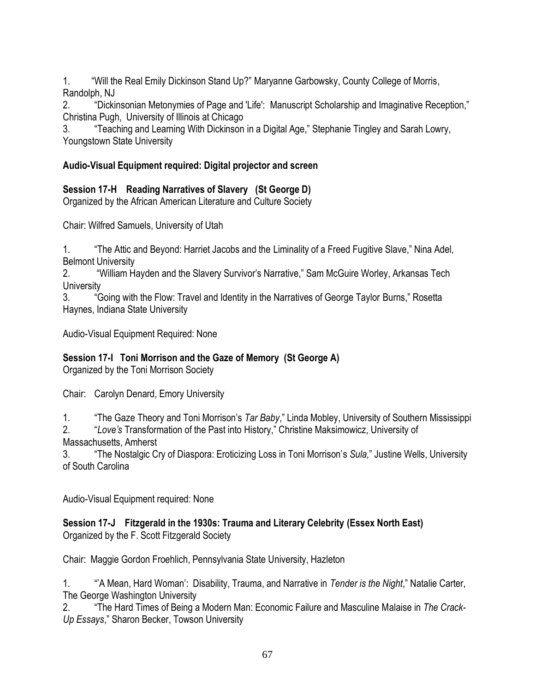1. "Will the Real Emily Dickinson Stand Up?" Maryanne Garbowsky, County College of Morris, Randolph, NJ

2. "Dickinsonian Metonymies of Page and 'Life': Manuscript Scholarship and Imaginative Reception," Christina Pugh, University of Illinois at Chicago

3. **Teaching and Learning With Dickinson in a Digital Age," Stephanie Tingley and Sarah Lowry,** Youngstown State University

### **Audio-Visual Equipment required: Digital projector and screen**

# **Session 17-H Reading Narratives of Slavery (St George D)**

Organized by the African American Literature and Culture Society

Chair: Wilfred Samuels, University of Utah

1. **The Attic and Beyond: Harriet Jacobs and the Liminality of a Freed Fugitive Slave," Nina Adel,** Belmont University

2. "William Hayden and the Slavery Survivor's Narrative," Sam McGuire Worley, Arkansas Tech **University** 

3. "Going with the Flow: Travel and Identity in the Narratives of George Taylor Burns," Rosetta Haynes, Indiana State University

Audio-Visual Equipment Required: None

# **Session 17-I Toni Morrison and the Gaze of Memory (St George A)**

Organized by the Toni Morrison Society

Chair: Carolyn Denard, Emory University

1. **The Gaze Theory and Toni Morrison's** *Tar Baby***,**" Linda Mobley, University of Southern Mississippi

2. ―*Love's* Transformation of the Past into History,‖ Christine Maksimowicz, University of Massachusetts, Amherst

3. ―The Nostalgic Cry of Diaspora: Eroticizing Loss in Toni Morrison's *Sula,*‖ Justine Wells, University of South Carolina

Audio-Visual Equipment required: None

#### **Session 17-J Fitzgerald in the 1930s: Trauma and Literary Celebrity (Essex North East)** Organized by the F. Scott Fitzgerald Society

Chair: Maggie Gordon Froehlich, Pennsylvania State University, Hazleton

1. ―'A Mean, Hard Woman': Disability, Trauma, and Narrative in *Tender is the Night*,‖ Natalie Carter, The George Washington University

2. ―The Hard Times of Being a Modern Man: Economic Failure and Masculine Malaise in *The Crack-*Up Essays," Sharon Becker, Towson University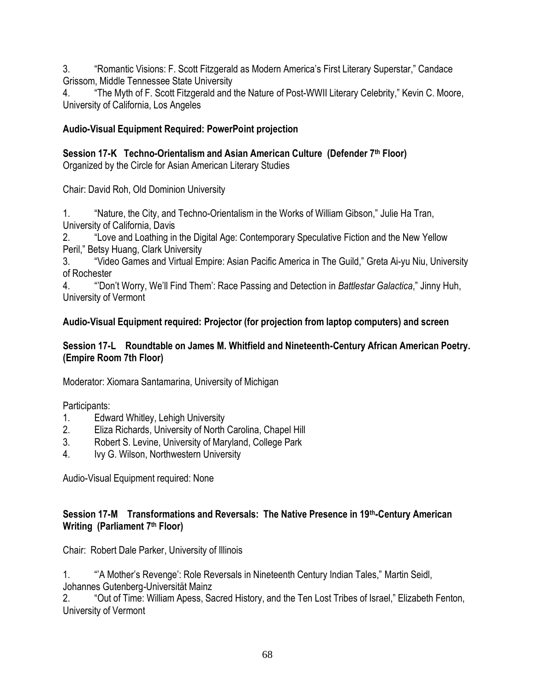3. **Example 3.** The Memantic Visions: F. Scott Fitzgerald as Modern America's First Literary Superstar," Candace Grissom, Middle Tennessee State University

4. The Myth of F. Scott Fitzgerald and the Nature of Post-WWII Literary Celebrity," Kevin C. Moore, University of California, Los Angeles

### **Audio-Visual Equipment Required: PowerPoint projection**

**Session 17-K Techno-Orientalism and Asian American Culture (Defender 7th Floor)**

Organized by the Circle for Asian American Literary Studies

Chair: David Roh, Old Dominion University

1. "Nature, the City, and Techno-Orientalism in the Works of William Gibson," Julie Ha Tran, University of California, Davis

2. ―Love and Loathing in the Digital Age: Contemporary Speculative Fiction and the New Yellow Peril," Betsy Huang, Clark University

3. "Video Games and Virtual Empire: Asian Pacific America in The Guild," Greta Ai-yu Niu, University of Rochester

4. ―'Don't Worry, We'll Find Them': Race Passing and Detection in *Battlestar Galactica*,‖ Jinny Huh, University of Vermont

### **Audio-Visual Equipment required: Projector (for projection from laptop computers) and screen**

#### **Session 17-L Roundtable on James M. Whitfield and Nineteenth-Century African American Poetry. (Empire Room 7th Floor)**

Moderator: Xiomara Santamarina, University of Michigan

Participants:

- 1. Edward Whitley, Lehigh University
- 2. Eliza Richards, University of North Carolina, Chapel Hill
- 3. Robert S. Levine, University of Maryland, College Park
- 4. Ivy G. Wilson, Northwestern University

Audio-Visual Equipment required: None

#### **Session 17-M Transformations and Reversals: The Native Presence in 19th-Century American Writing (Parliament 7th Floor)**

Chair: Robert Dale Parker, University of Illinois

1. ―'A Mother's Revenge': Role Reversals in Nineteenth Century Indian Tales,‖ Martin Seidl, Johannes Gutenberg-Universität Mainz

2. "Out of Time: William Apess, Sacred History, and the Ten Lost Tribes of Israel," Elizabeth Fenton, University of Vermont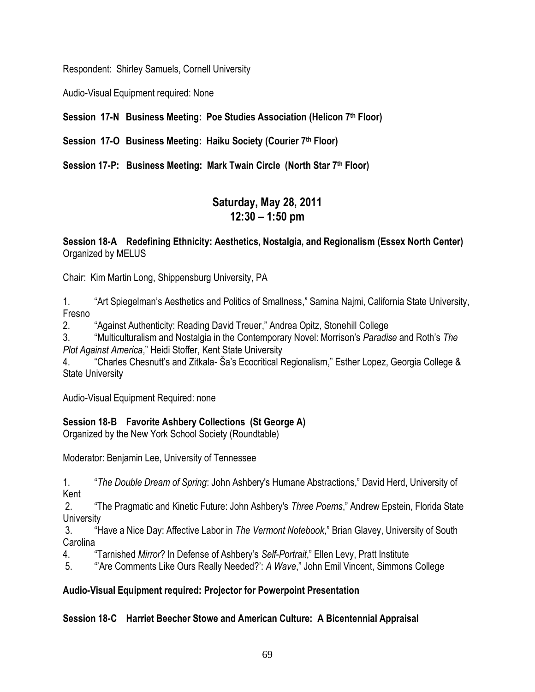Respondent: Shirley Samuels, Cornell University

Audio-Visual Equipment required: None

**Session 17-N Business Meeting: Poe Studies Association (Helicon 7th Floor)**

**Session 17-O Business Meeting: Haiku Society (Courier 7th Floor)**

**Session 17-P: Business Meeting: Mark Twain Circle (North Star 7th Floor)**

# **Saturday, May 28, 2011 12:30 – 1:50 pm**

**Session 18-A Redefining Ethnicity: Aesthetics, Nostalgia, and Regionalism (Essex North Center)** Organized by MELUS

Chair: Kim Martin Long, Shippensburg University, PA

1. "Art Spiegelman's Aesthetics and Politics of Smallness," Samina Najmi, California State University, Fresno

2. **Against Authenticity: Reading David Treuer,**" Andrea Opitz, Stonehill College

3. ―Multiculturalism and Nostalgia in the Contemporary Novel: Morrison's *Paradise* and Roth's *The* **Plot Against America," Heidi Stoffer, Kent State University** 

"Charles Chesnutt's and Zitkala- Ša's Ecocritical Regionalism," Esther Lopez, Georgia College & State University

Audio-Visual Equipment Required: none

# **Session 18-B Favorite Ashbery Collections (St George A)**

Organized by the New York School Society (Roundtable)

Moderator: Benjamin Lee, University of Tennessee

1. ―*The Double Dream of Spring*: John Ashbery's Humane Abstractions,‖ David Herd, University of Kent

2. **The Pragmatic and Kinetic Future: John Ashbery's** *Three Poems*," Andrew Epstein, Florida State **University** 

3. ―Have a Nice Day: Affective Labor in *The Vermont Notebook*,‖ Brian Glavey, University of South Carolina

4. **Tarnished** *Mirror***?** In Defense of Ashbery's *Self-Portrait*," Ellen Levy, Pratt Institute

5. **Are Comments Like Ours Really Needed?**': *A Wave*," John Emil Vincent, Simmons College

# **Audio-Visual Equipment required: Projector for Powerpoint Presentation**

# **Session 18-C Harriet Beecher Stowe and American Culture: A Bicentennial Appraisal**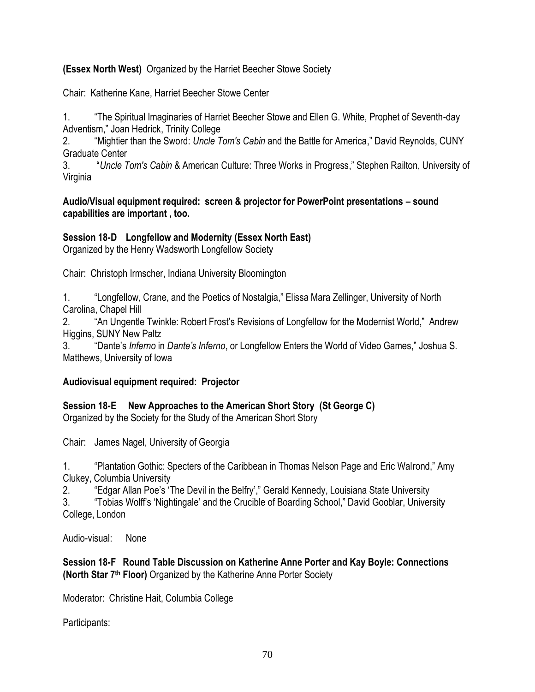#### **(Essex North West)** Organized by the Harriet Beecher Stowe Society

Chair: Katherine Kane, Harriet Beecher Stowe Center

1. ―The Spiritual Imaginaries of Harriet Beecher Stowe and Ellen G. White, Prophet of Seventh-day Adventism," Joan Hedrick, Trinity College

2. "Mightier than the Sword: *Uncle Tom's Cabin* and the Battle for America," David Reynolds, CUNY Graduate Center

3. ―*Uncle Tom's Cabin* & American Culture: Three Works in Progress,‖ Stephen Railton, University of Virginia

#### **Audio/Visual equipment required: screen & projector for PowerPoint presentations – sound capabilities are important , too.**

#### **Session 18-D Longfellow and Modernity (Essex North East)**

Organized by the Henry Wadsworth Longfellow Society

Chair: Christoph Irmscher, Indiana University Bloomington

1. **Longfellow, Crane, and the Poetics of Nostalgia,**" Elissa Mara Zellinger, University of North Carolina, Chapel Hill

2. 
"An Ungentle Twinkle: Robert Frost's Revisions of Longfellow for the Modernist World," Andrew Higgins, SUNY New Paltz

3. 
"Dante's *Inferno* in *Dante's Inferno*, or Longfellow Enters the World of Video Games," Joshua S. Matthews, University of Iowa

#### **Audiovisual equipment required: Projector**

**Session 18-E New Approaches to the American Short Story (St George C)**

Organized by the Society for the Study of the American Short Story

Chair: James Nagel, University of Georgia

1. "Plantation Gothic: Specters of the Caribbean in Thomas Nelson Page and Eric Walrond," Amy Clukey, Columbia University

2. "Edgar Allan Poe's 'The Devil in the Belfry'," Gerald Kennedy, Louisiana State University

3. "Tobias Wolff's 'Nightingale' and the Crucible of Boarding School," David Gooblar, University College, London

Audio-visual: None

**Session 18-F Round Table Discussion on Katherine Anne Porter and Kay Boyle: Connections (North Star 7th Floor)** Organized by the Katherine Anne Porter Society

Moderator: Christine Hait, Columbia College

Participants: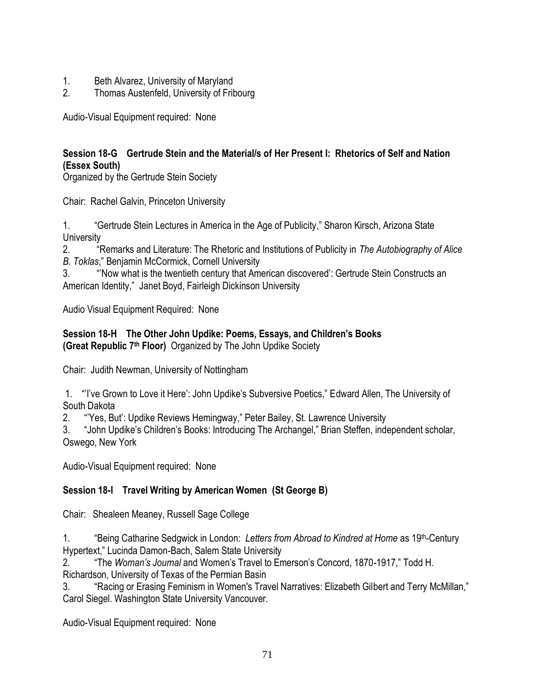- 1. Beth Alvarez, University of Maryland
- 2. Thomas Austenfeld, University of Fribourg

Audio-Visual Equipment required: None

# **Session 18-G Gertrude Stein and the Material/s of Her Present I: Rhetorics of Self and Nation (Essex South)**

Organized by the Gertrude Stein Society

Chair: Rachel Galvin, Princeton University

1. **Accept 1.** Asset Gertrude Stein Lectures in America in the Age of Publicity," Sharon Kirsch, Arizona State **University** 

2. ―Remarks and Literature: The Rhetoric and Institutions of Publicity in *The Autobiography of Alice*  **B. Toklas," Benjamin McCormick, Cornell University** 

3. ―'Now what is the twentieth century that American discovered': Gertrude Stein Constructs an American Identity," Janet Boyd, Fairleigh Dickinson University

Audio Visual Equipment Required: None

#### **Session 18-H The Other John Updike: Poems, Essays, and Children's Books (Great Republic 7th Floor)** Organized by The John Updike Society

Chair: Judith Newman, University of Nottingham

1. "I've Grown to Love it Here': John Updike's Subversive Poetics," Edward Allen, The University of South Dakota

2. "Yes, But': Updike Reviews Hemingway," Peter Bailey, St. Lawrence University

3. "John Updike's Children's Books: Introducing The Archangel," Brian Steffen, independent scholar, Oswego, New York

Audio-Visual Equipment required: None

# **Session 18-I Travel Writing by American Women (St George B)**

Chair: Shealeen Meaney, Russell Sage College

1. ―Being Catharine Sedgwick in London: *Letters from Abroad to Kindred at Home* as 19th-Century Hypertext," Lucinda Damon-Bach, Salem State University

2. "The *Woman's Journal* and Women's Travel to Emerson's Concord, 1870-1917," Todd H.

Richardson, University of Texas of the Permian Basin

3. "Racing or Erasing Feminism in Women's Travel Narratives: Elizabeth Gilbert and Terry McMillan," Carol Siegel. Washington State University Vancouver.

Audio-Visual Equipment required: None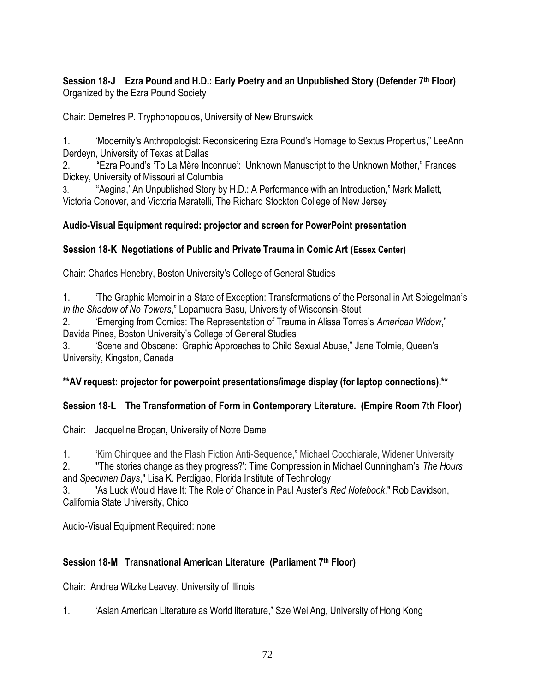#### **Session 18-J Ezra Pound and H.D.: Early Poetry and an Unpublished Story (Defender 7th Floor)** Organized by the Ezra Pound Society

Chair: Demetres P. Tryphonopoulos, University of New Brunswick

1. **Example 2.** Thomage to Sextus Propologist: Reconsidering Ezra Pound's Homage to Sextus Propertius," LeeAnn Derdeyn, University of Texas at Dallas

2. **Ezra Pound's 'To La Mère Inconnue': Unknown Manuscript to the Unknown Mother," Frances** Dickey, University of Missouri at Columbia

3. **"**"Aegina,' An Unpublished Story by H.D.: A Performance with an Introduction," Mark Mallett, Victoria Conover, and Victoria Maratelli, The Richard Stockton College of New Jersey

### **Audio-Visual Equipment required: projector and screen for PowerPoint presentation**

#### **Session 18-K Negotiations of Public and Private Trauma in Comic Art (Essex Center)**

Chair: Charles Henebry, Boston University's College of General Studies

1. ―The Graphic Memoir in a State of Exception: Transformations of the Personal in Art Spiegelman's *In the Shadow of No Towers*,‖ Lopamudra Basu, University of Wisconsin-Stout

2. *Commerging from Comics: The Representation of Trauma in Alissa Torres's American Widow,***"** Davida Pines, Boston University's College of General Studies

3. 
Scene and Obscene: Graphic Approaches to Child Sexual Abuse," Jane Tolmie, Queen's University, Kingston, Canada

#### **\*\*AV request: projector for powerpoint presentations/image display (for laptop connections).\*\***

# **Session 18-L The Transformation of Form in Contemporary Literature. (Empire Room 7th Floor)**

Chair: Jacqueline Brogan, University of Notre Dame

1. "Kim Chinquee and the Flash Fiction Anti-Sequence," Michael Cocchiarale, Widener University

2. "'The stories change as they progress?': Time Compression in Michael Cunningham's *The Hours* and *Specimen Days*," Lisa K. Perdigao, Florida Institute of Technology

3. "As Luck Would Have It: The Role of Chance in Paul Auster's *Red Notebook*." Rob Davidson, California State University, Chico

Audio-Visual Equipment Required: none

# **Session 18-M Transnational American Literature (Parliament 7th Floor)**

Chair: Andrea Witzke Leavey, University of Illinois

1. "Asian American Literature as World literature," Sze Wei Ang, University of Hong Kong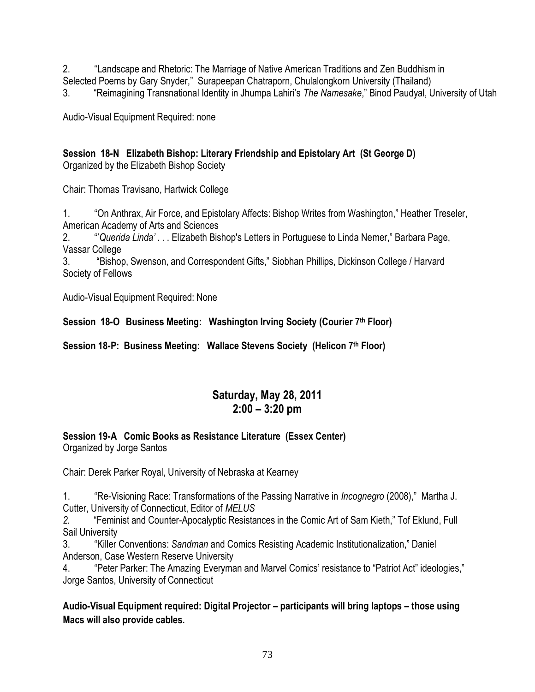2. ―Landscape and Rhetoric: The Marriage of Native American Traditions and Zen Buddhism in Selected Poems by Gary Snyder," Surapeepan Chatraporn, Chulalongkorn University (Thailand)

3. ―Reimagining Transnational Identity in Jhumpa Lahiri's *The Namesake*,‖ Binod Paudyal, University of Utah

Audio-Visual Equipment Required: none

## **Session 18-N Elizabeth Bishop: Literary Friendship and Epistolary Art (St George D)**

Organized by the Elizabeth Bishop Society

Chair: Thomas Travisano, Hartwick College

1. 
"On Anthrax, Air Force, and Epistolary Affects: Bishop Writes from Washington," Heather Treseler, American Academy of Arts and Sciences

2. ―'*Querida Linda'* . . . Elizabeth Bishop's Letters in Portuguese to Linda Nemer,‖ Barbara Page, Vassar College

3. **ABISHOP, Swenson, and Correspondent Gifts,**" Siobhan Phillips, Dickinson College / Harvard Society of Fellows

Audio-Visual Equipment Required: None

**Session 18-O Business Meeting: Washington Irving Society (Courier 7th Floor)**

**Session 18-P: Business Meeting: Wallace Stevens Society (Helicon 7th Floor)**

# **Saturday, May 28, 2011 2:00 – 3:20 pm**

# **Session 19-A Comic Books as Resistance Literature (Essex Center)**

Organized by Jorge Santos

Chair: Derek Parker Royal, University of Nebraska at Kearney

1. "Re-Visioning Race: Transformations of the Passing Narrative in *Incognegro* (2008)," Martha J. Cutter, University of Connecticut, Editor of *MELUS* 

*2.* ―Feminist and Counter-Apocalyptic Resistances in the Comic Art of Sam Kieth,‖ Tof Eklund, Full Sail University

3. "Killer Conventions: Sandman and Comics Resisting Academic Institutionalization," Daniel Anderson, Case Western Reserve University

4. **The Parker: The Amazing Everyman and Marvel Comics' resistance to "Patriot Act" ideologies,"** Jorge Santos, University of Connecticut

**Audio-Visual Equipment required: Digital Projector – participants will bring laptops – those using Macs will also provide cables.**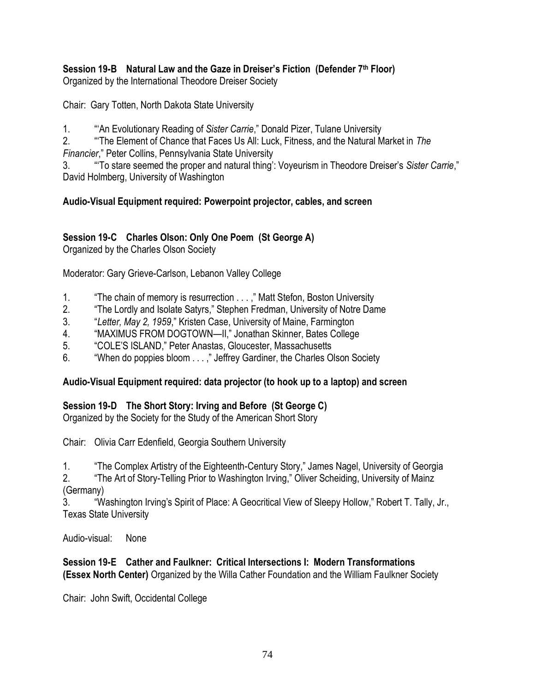# **Session 19-B Natural Law and the Gaze in Dreiser's Fiction (Defender 7th Floor)**

Organized by the International Theodore Dreiser Society

Chair: Gary Totten, North Dakota State University

1. **<sup>"An Evolutionary Reading of Sister Carrie**," Donald Pizer, Tulane University</sup>

2. ―‗The Element of Chance that Faces Us All: Luck, Fitness, and the Natural Market in *The Financier*,‖ Peter Collins, Pennsylvania State University

3. ―‗To stare seemed the proper and natural thing': Voyeurism in Theodore Dreiser's *Sister Carrie*,‖ David Holmberg, University of Washington

## **Audio-Visual Equipment required: Powerpoint projector, cables, and screen**

## **Session 19-C Charles Olson: Only One Poem (St George A)**

Organized by the Charles Olson Society

Moderator: Gary Grieve-Carlson, Lebanon Valley College

- 1. The chain of memory is resurrection . . . ," Matt Stefon, Boston University
- 2. The Lordly and Isolate Satyrs," Stephen Fredman, University of Notre Dame
- 3. ―*Letter, May 2, 1959*,‖ Kristen Case, University of Maine, Farmington
- 4. 
"MAXIMUS FROM DOGTOWN—II," Jonathan Skinner, Bates College
- 5. "COLE'S ISLAND," Peter Anastas, Gloucester, Massachusetts
- 6. ―When do poppies bloom . . . ,‖ Jeffrey Gardiner, the Charles Olson Society

## **Audio-Visual Equipment required: data projector (to hook up to a laptop) and screen**

## **Session 19-D The Short Story: Irving and Before (St George C)**

Organized by the Society for the Study of the American Short Story

Chair: Olivia Carr Edenfield, Georgia Southern University

1. **The Complex Artistry of the Eighteenth-Century Story,**" James Nagel, University of Georgia

2. The Art of Story-Telling Prior to Washington Irving," Oliver Scheiding, University of Mainz (Germany)

3. ―Washington Irving's Spirit of Place: A Geocritical View of Sleepy Hollow,‖ Robert T. Tally, Jr., Texas State University

Audio-visual: None

### **Session 19-E Cather and Faulkner: Critical Intersections I: Modern Transformations (Essex North Center)** Organized by the Willa Cather Foundation and the William Faulkner Society

Chair: John Swift, Occidental College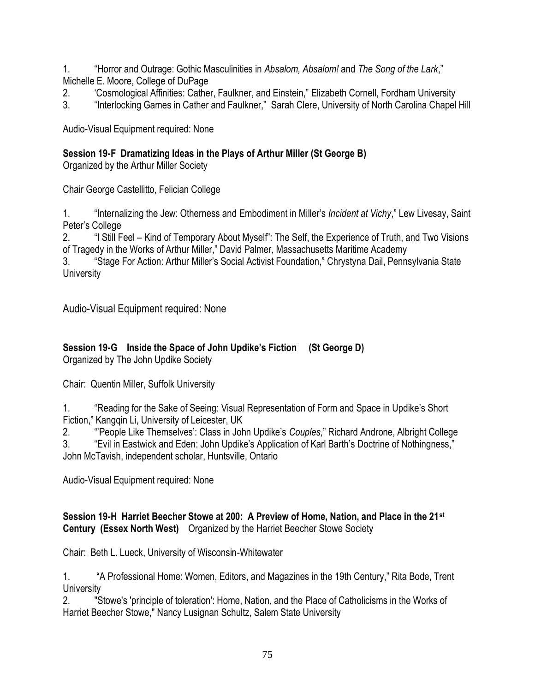1. ―Horror and Outrage: Gothic Masculinities in *Absalom, Absalom!* and *The Song of the Lark*,‖ Michelle E. Moore, College of DuPage

2. <sup>(</sup>Cosmological Affinities: Cather, Faulkner, and Einstein," Elizabeth Cornell, Fordham University

3. "Interlocking Games in Cather and Faulkner," Sarah Clere, University of North Carolina Chapel Hill

Audio-Visual Equipment required: None

**Session 19-F Dramatizing Ideas in the Plays of Arthur Miller (St George B)**

Organized by the Arthur Miller Society

Chair George Castellitto, Felician College

1. ―Internalizing the Jew: Otherness and Embodiment in Miller's *Incident at Vichy*,‖ Lew Livesay, Saint Peter's College

2. "I Still Feel – Kind of Temporary About Myself": The Self, the Experience of Truth, and Two Visions of Tragedy in the Works of Arthur Miller," David Palmer, Massachusetts Maritime Academy

3. 
"Stage For Action: Arthur Miller's Social Activist Foundation," Chrystyna Dail, Pennsylvania State **University** 

Audio-Visual Equipment required: None

# **Session 19-G Inside the Space of John Updike's Fiction (St George D)**

Organized by The John Updike Society

Chair: Quentin Miller, Suffolk University

1. "Reading for the Sake of Seeing: Visual Representation of Form and Space in Updike's Short Fiction," Kangqin Li, University of Leicester, UK

2. ―'People Like Themselves': Class in John Updike's *Couples,*‖ Richard Androne, Albright College

3. "Evil in Eastwick and Eden: John Updike's Application of Karl Barth's Doctrine of Nothingness," John McTavish, independent scholar, Huntsville, Ontario

Audio-Visual Equipment required: None

### **Session 19-H Harriet Beecher Stowe at 200: A Preview of Home, Nation, and Place in the 21st Century (Essex North West)** Organized by the Harriet Beecher Stowe Society

Chair: Beth L. Lueck, University of Wisconsin-Whitewater

1. **An Audity 1. A Professional Home: Women, Editors, and Magazines in the 19th Century," Rita Bode, Trent University** 

2. "Stowe's 'principle of toleration': Home, Nation, and the Place of Catholicisms in the Works of Harriet Beecher Stowe," Nancy Lusignan Schultz, Salem State University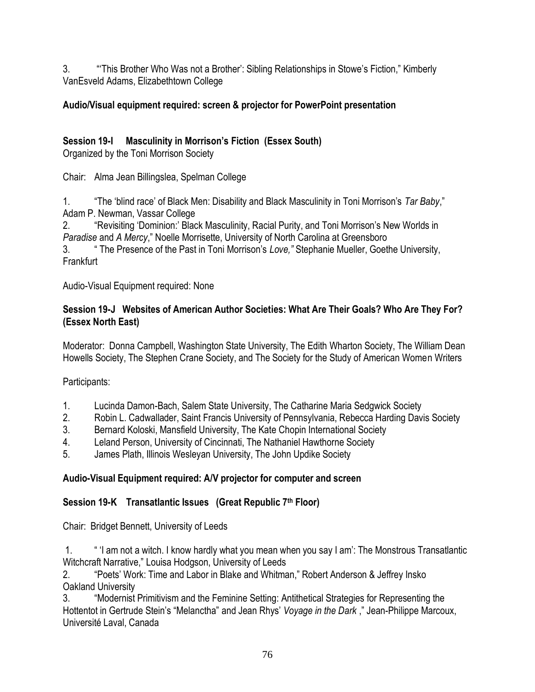3. **This Brother Who Was not a Brother': Sibling Relationships in Stowe's Fiction," Kimberly** VanEsveld Adams, Elizabethtown College

## **Audio/Visual equipment required: screen & projector for PowerPoint presentation**

## **Session 19-I Masculinity in Morrison's Fiction (Essex South)**

Organized by the Toni Morrison Society

Chair: Alma Jean Billingslea, Spelman College

1. ―The ‗blind race' of Black Men: Disability and Black Masculinity in Toni Morrison's *Tar Baby*,‖ Adam P. Newman, Vassar College

2. "Revisiting 'Dominion:' Black Masculinity, Racial Purity, and Toni Morrison's New Worlds in **Paradise and A Mercy," Noelle Morrisette, University of North Carolina at Greensboro** 

3. ― The Presence of the Past in Toni Morrison's *Love,"* Stephanie Mueller, Goethe University, Frankfurt

Audio-Visual Equipment required: None

### **Session 19-J Websites of American Author Societies: What Are Their Goals? Who Are They For? (Essex North East)**

Moderator: Donna Campbell, Washington State University, The Edith Wharton Society, The William Dean Howells Society, The Stephen Crane Society, and The Society for the Study of American Women Writers

Participants:

- 1. Lucinda Damon-Bach, Salem State University, The Catharine Maria Sedgwick Society
- 2. Robin L. Cadwallader, Saint Francis University of Pennsylvania, Rebecca Harding Davis Society
- 3. Bernard Koloski, Mansfield University, The Kate Chopin International Society
- 4. Leland Person, University of Cincinnati, The Nathaniel Hawthorne Society
- 5. James Plath, Illinois Wesleyan University, The John Updike Society

## **Audio-Visual Equipment required: A/V projector for computer and screen**

## **Session 19-K Transatlantic Issues (Great Republic 7th Floor)**

Chair: Bridget Bennett, University of Leeds

1. ― ‗I am not a witch. I know hardly what you mean when you say I am': The Monstrous Transatlantic Witchcraft Narrative," Louisa Hodgson, University of Leeds

2. "Poets' Work: Time and Labor in Blake and Whitman," Robert Anderson & Jeffrey Insko Oakland University

3. "Modernist Primitivism and the Feminine Setting: Antithetical Strategies for Representing the Hottentot in Gertrude Stein's "Melanctha" and Jean Rhys' *Voyage in the Dark*, "Jean-Philippe Marcoux, Université Laval, Canada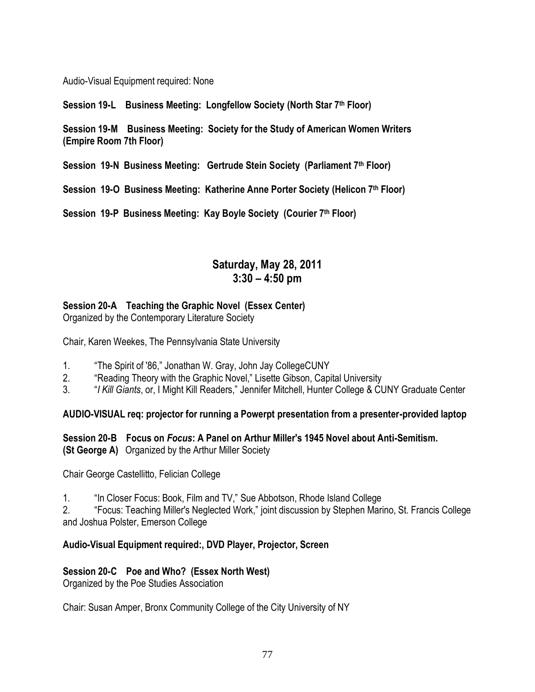Audio-Visual Equipment required: None

**Session 19-L Business Meeting: Longfellow Society (North Star 7th Floor)**

**Session 19-M Business Meeting: Society for the Study of American Women Writers (Empire Room 7th Floor)**

**Session 19-N Business Meeting: Gertrude Stein Society (Parliament 7th Floor)**

**Session 19-O Business Meeting: Katherine Anne Porter Society (Helicon 7th Floor)**

**Session 19-P Business Meeting: Kay Boyle Society (Courier 7th Floor)**

## **Saturday, May 28, 2011 3:30 – 4:50 pm**

### **Session 20-A Teaching the Graphic Novel (Essex Center)**

Organized by the Contemporary Literature Society

Chair, Karen Weekes, The Pennsylvania State University

- 1. The Spirit of '86," Jonathan W. Gray, John Jay CollegeCUNY
- 2. "Reading Theory with the Graphic Novel," Lisette Gibson, Capital University
- 3. **I All Figures**, Gr. 1 Might Kill Readers," Jennifer Mitchell, Hunter College & CUNY Graduate Center

**AUDIO-VISUAL req: projector for running a Powerpt presentation from a presenter-provided laptop**

#### **Session 20-B Focus on** *Focus***: A Panel on Arthur Miller's 1945 Novel about Anti-Semitism. (St George A)** Organized by the Arthur Miller Society

Chair George Castellitto, Felician College

1. "In Closer Focus: Book, Film and TV," Sue Abbotson, Rhode Island College

2. **The Focus: Teaching Miller's Neglected Work,**" joint discussion by Stephen Marino, St. Francis College and Joshua Polster, Emerson College

#### **Audio-Visual Equipment required:, DVD Player, Projector, Screen**

#### **Session 20-C Poe and Who? (Essex North West)**

Organized by the Poe Studies Association

Chair: Susan Amper, Bronx Community College of the City University of NY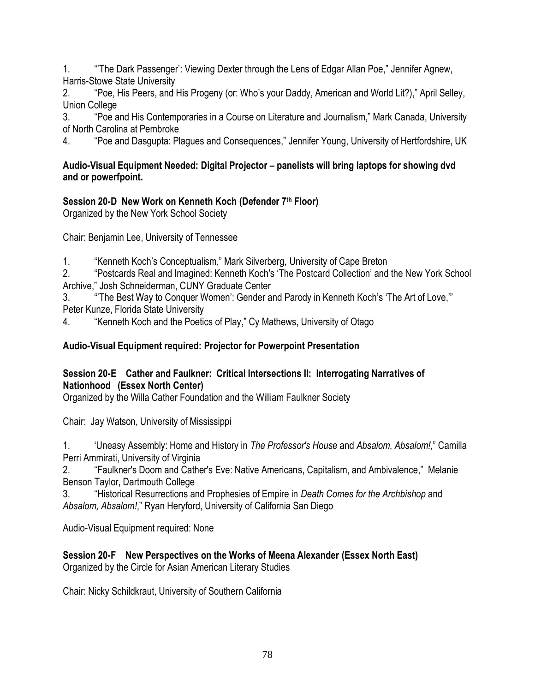1. **The Dark Passenger': Viewing Dexter through the Lens of Edgar Allan Poe," Jennifer Agnew,** Harris-Stowe State University

2. ―Poe, His Peers, and His Progeny (or: Who's your Daddy, American and World Lit?),‖ April Selley, Union College

3. "Poe and His Contemporaries in a Course on Literature and Journalism," Mark Canada, University of North Carolina at Pembroke

4. "Poe and Dasgupta: Plagues and Consequences," Jennifer Young, University of Hertfordshire, UK

### **Audio-Visual Equipment Needed: Digital Projector – panelists will bring laptops for showing dvd and or powerfpoint.**

## **Session 20-D New Work on Kenneth Koch (Defender 7th Floor)**

Organized by the New York School Society

Chair: Benjamin Lee, University of Tennessee

1. "Kenneth Koch's Conceptualism," Mark Silverberg, University of Cape Breton

2. ―Postcards Real and Imagined: Kenneth Koch's ‗The Postcard Collection' and the New York School Archive," Josh Schneiderman, CUNY Graduate Center

3. "The Best Way to Conquer Women': Gender and Parody in Kenneth Koch's 'The Art of Love," Peter Kunze, Florida State University

4. "Kenneth Koch and the Poetics of Play," Cy Mathews, University of Otago

## **Audio-Visual Equipment required: Projector for Powerpoint Presentation**

## **Session 20-E Cather and Faulkner: Critical Intersections II: Interrogating Narratives of Nationhood (Essex North Center)**

Organized by the Willa Cather Foundation and the William Faulkner Society

Chair: Jay Watson, University of Mississippi

1. ‗Uneasy Assembly: Home and History in *The Professor's House* and *Absalom, Absalom!,*‖ Camilla Perri Ammirati, University of Virginia

2. **The Faulkner's Doom and Cather's Eve: Native Americans, Capitalism, and Ambivalence," Melanie** Benson Taylor, Dartmouth College

3. ―Historical Resurrections and Prophesies of Empire in *Death Comes for the Archbishop* and Absalom, Absalom!," Ryan Heryford, University of California San Diego

Audio-Visual Equipment required: None

### **Session 20-F New Perspectives on the Works of Meena Alexander (Essex North East)** Organized by the Circle for Asian American Literary Studies

Chair: Nicky Schildkraut, University of Southern California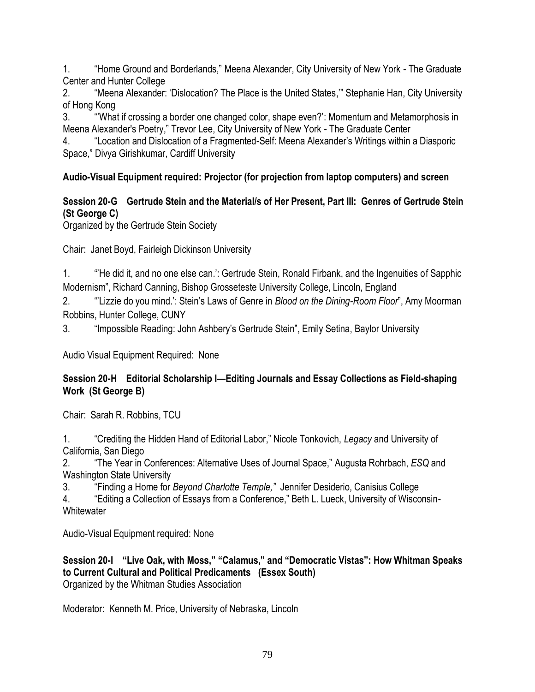1. "Home Ground and Borderlands," Meena Alexander, City University of New York - The Graduate Center and Hunter College

2. "Meena Alexander: 'Dislocation? The Place is the United States," Stephanie Han, City University of Hong Kong

3. ―'What if crossing a border one changed color, shape even?': Momentum and Metamorphosis in Meena Alexander's Poetry," Trevor Lee, City University of New York - The Graduate Center

4. ―Location and Dislocation of a Fragmented-Self: Meena Alexander's Writings within a Diasporic Space," Divya Girishkumar, Cardiff University

## **Audio-Visual Equipment required: Projector (for projection from laptop computers) and screen**

## **Session 20-G Gertrude Stein and the Material/s of Her Present, Part III: Genres of Gertrude Stein (St George C)**

Organized by the Gertrude Stein Society

Chair: Janet Boyd, Fairleigh Dickinson University

1. "He did it, and no one else can.': Gertrude Stein, Ronald Firbank, and the Ingenuities of Sapphic Modernism", Richard Canning, Bishop Grosseteste University College, Lincoln, England

2. ―'Lizzie do you mind.': Stein's Laws of Genre in *Blood on the Dining-Room Floor*‖, Amy Moorman Robbins, Hunter College, CUNY

3. "Impossible Reading: John Ashbery's Gertrude Stein", Emily Setina, Baylor University

Audio Visual Equipment Required: None

### **Session 20-H Editorial Scholarship I—Editing Journals and Essay Collections as Field-shaping Work (St George B)**

Chair: Sarah R. Robbins, TCU

1. ―Crediting the Hidden Hand of Editorial Labor,‖ Nicole Tonkovich, *Legacy* and University of California, San Diego

2. ―The Year in Conferences: Alternative Uses of Journal Space,‖ Augusta Rohrbach, *ESQ* and Washington State University

3. ―Finding a Home for *Beyond Charlotte Temple,"* Jennifer Desiderio, Canisius College

4. **Editing a Collection of Essays from a Conference,**" Beth L. Lueck, University of Wisconsin-**Whitewater** 

Audio-Visual Equipment required: None

**Session 20-I** "Live Oak, with Moss," "Calamus," and "Democratic Vistas": How Whitman Speaks **to Current Cultural and Political Predicaments (Essex South)** Organized by the Whitman Studies Association

Moderator: Kenneth M. Price, University of Nebraska, Lincoln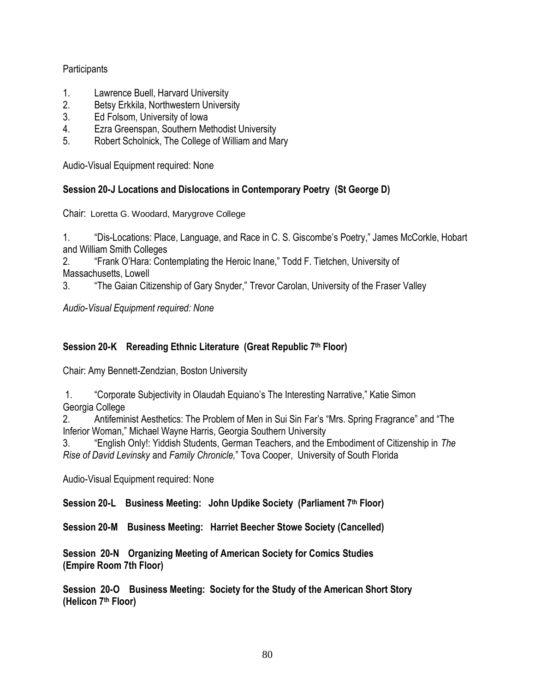### **Participants**

- 1. Lawrence Buell, Harvard University
- 2. Betsy Erkkila, Northwestern University
- 3. Ed Folsom, University of Iowa
- 4. Ezra Greenspan, Southern Methodist University
- 5. Robert Scholnick, The College of William and Mary

Audio-Visual Equipment required: None

### **Session 20-J Locations and Dislocations in Contemporary Poetry (St George D)**

Chair: Loretta G. Woodard, Marygrove College

1. 
"Dis-Locations: Place, Language, and Race in C. S. Giscombe's Poetry," James McCorkle, Hobart and William Smith Colleges

2. **Frank O'Hara: Contemplating the Heroic Inane," Todd F. Tietchen, University of** Massachusetts, Lowell

3. **The Gaian Citizenship of Gary Snyder,**" Trevor Carolan, University of the Fraser Valley

*Audio-Visual Equipment required: None*

### **Session 20-K Rereading Ethnic Literature (Great Republic 7th Floor)**

Chair: Amy Bennett-Zendzian, Boston University

1. "Corporate Subjectivity in Olaudah Equiano's The Interesting Narrative," Katie Simon Georgia College

2. Antifeminist Aesthetics: The Problem of Men in Sui Sin Far's "Mrs. Spring Fragrance" and "The Inferior Woman," Michael Wayne Harris, Georgia Southern University

3. ―English Only!: Yiddish Students, German Teachers, and the Embodiment of Citizenship in *The Rise of David Levinsky* and *Family Chronicle,*‖ Tova Cooper, University of South Florida

Audio-Visual Equipment required: None

**Session 20-L Business Meeting: John Updike Society (Parliament 7th Floor)**

**Session 20-M Business Meeting: Harriet Beecher Stowe Society (Cancelled)**

**Session 20-N Organizing Meeting of American Society for Comics Studies (Empire Room 7th Floor)**

**Session 20-O Business Meeting: Society for the Study of the American Short Story (Helicon 7th Floor)**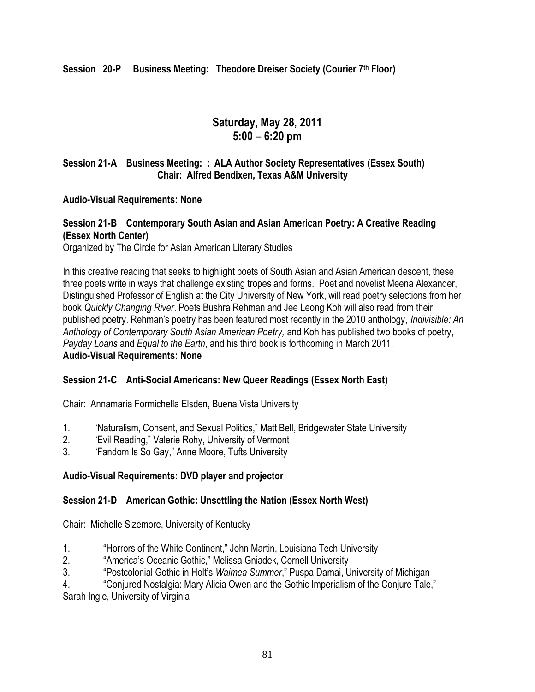**Session 20-P Business Meeting: Theodore Dreiser Society (Courier 7th Floor)**

## **Saturday, May 28, 2011 5:00 – 6:20 pm**

### **Session 21-A Business Meeting: : ALA Author Society Representatives (Essex South) Chair: Alfred Bendixen, Texas A&M University**

#### **Audio-Visual Requirements: None**

### **Session 21-B Contemporary South Asian and Asian American Poetry: A Creative Reading (Essex North Center)**

Organized by The Circle for Asian American Literary Studies

In this creative reading that seeks to highlight poets of South Asian and Asian American descent, these three poets write in ways that challenge existing tropes and forms. Poet and novelist Meena Alexander, Distinguished Professor of English at the City University of New York, will read poetry selections from her book *Quickly Changing River*. Poets Bushra Rehman and Jee Leong Koh will also read from their published poetry. Rehman's poetry has been featured most recently in the 2010 anthology*, Indivisible: An Anthology of Contemporary South Asian American Poetry,* and Koh has published two books of poetry, *Payday Loans* and *Equal to the Earth*, and his third book is forthcoming in March 2011. **Audio-Visual Requirements: None**

#### **Session 21-C Anti-Social Americans: New Queer Readings (Essex North East)**

Chair: Annamaria Formichella Elsden, Buena Vista University

- 1. "Naturalism, Consent, and Sexual Politics," Matt Bell, Bridgewater State University
- 2. **Evil Reading," Valerie Rohy, University of Vermont**
- 3. **The Handom Is So Gay," Anne Moore, Tufts University**

### **Audio-Visual Requirements: DVD player and projector**

### **Session 21-D American Gothic: Unsettling the Nation (Essex North West)**

Chair: Michelle Sizemore, University of Kentucky

- 1. **A Horrors of the White Continent,**" John Martin, Louisiana Tech University
- 2. **America's Oceanic Gothic,**" Melissa Gniadek, Cornell University
- 3. ―Postcolonial Gothic in Holt's *Waimea Summer*,‖ Puspa Damai, University of Michigan

4. **Conjured Nostalgia: Mary Alicia Owen and the Gothic Imperialism of the Conjure Tale,"** 

Sarah Ingle, University of Virginia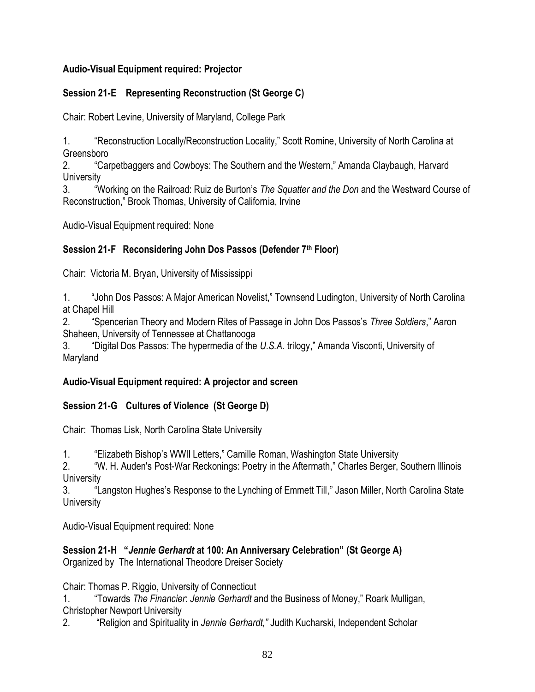## **Audio-Visual Equipment required: Projector**

## **Session 21-E Representing Reconstruction (St George C)**

Chair: Robert Levine, University of Maryland, College Park

1. **The Seconstruction Locally/Reconstruction Locality,**" Scott Romine, University of North Carolina at Greensboro

2. ―Carpetbaggers and Cowboys: The Southern and the Western,‖ Amanda Claybaugh, Harvard **University** 

3. ―Working on the Railroad: Ruiz de Burton's *The Squatter and the Don* and the Westward Course of Reconstruction," Brook Thomas, University of California, Irvine

Audio-Visual Equipment required: None

## **Session 21-F Reconsidering John Dos Passos (Defender 7th Floor)**

Chair: Victoria M. Bryan, University of Mississippi

1. "John Dos Passos: A Major American Novelist," Townsend Ludington, University of North Carolina at Chapel Hill

2. ―Spencerian Theory and Modern Rites of Passage in John Dos Passos's *Three Soldiers*,‖ Aaron Shaheen, University of Tennessee at Chattanooga

3. "Digital Dos Passos: The hypermedia of the U.S.A. trilogy," Amanda Visconti, University of Maryland

## **Audio-Visual Equipment required: A projector and screen**

## **Session 21-G Cultures of Violence (St George D)**

Chair: Thomas Lisk, North Carolina State University

1. **Elizabeth Bishop's WWII Letters,**" Camille Roman, Washington State University

2. "W. H. Auden's Post-War Reckonings: Poetry in the Aftermath," Charles Berger, Southern Illinois **University** 

3. 
"Langston Hughes's Response to the Lynching of Emmett Till," Jason Miller, North Carolina State **University** 

Audio-Visual Equipment required: None

**Session 21-H ―***Jennie Gerhardt* **at 100: An Anniversary Celebration‖ (St George A)**

Organized by The International Theodore Dreiser Society

Chair: Thomas P. Riggio, University of Connecticut

1. ―Towards *The Financier*: *Jennie Gerhardt* and the Business of Money,‖ Roark Mulligan, Christopher Newport University

2. **ARE ADIS 10 And Spirituality in Jennie Gerhardt," Judith Kucharski, Independent Scholar**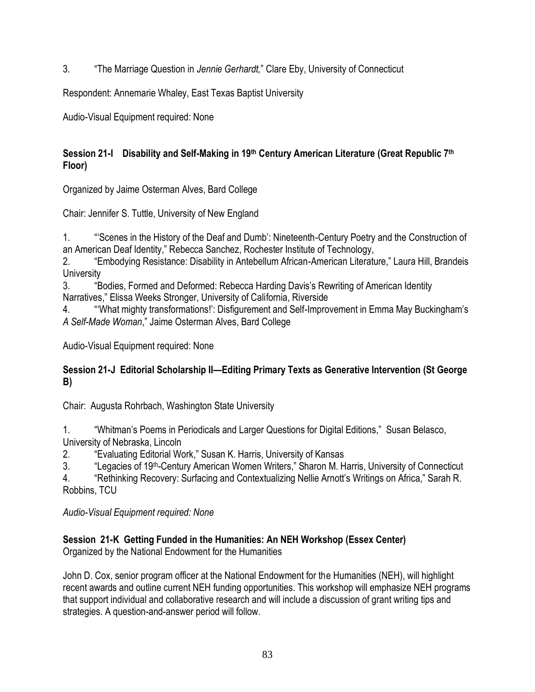3. ―The Marriage Question in *Jennie Gerhardt,*‖ Clare Eby, University of Connecticut

Respondent: Annemarie Whaley, East Texas Baptist University

Audio-Visual Equipment required: None

## **Session 21-I Disability and Self-Making in 19th Century American Literature (Great Republic 7th Floor)**

Organized by Jaime Osterman Alves, Bard College

Chair: Jennifer S. Tuttle, University of New England

1. ―‗Scenes in the History of the Deaf and Dumb': Nineteenth-Century Poetry and the Construction of an American Deaf Identity," Rebecca Sanchez, Rochester Institute of Technology,

2. **The Embodying Resistance: Disability in Antebellum African-American Literature," Laura Hill, Brandeis University** 

3. "Bodies, Formed and Deformed: Rebecca Harding Davis's Rewriting of American Identity Narratives," Elissa Weeks Stronger, University of California, Riverside

4. ―‗What mighty transformations!': Disfigurement and Self-Improvement in Emma May Buckingham's *A Self-Made Woman*,‖ Jaime Osterman Alves, Bard College

Audio-Visual Equipment required: None

### **Session 21-J Editorial Scholarship II—Editing Primary Texts as Generative Intervention (St George B)**

Chair: Augusta Rohrbach, Washington State University

1. ―Whitman's Poems in Periodicals and Larger Questions for Digital Editions,‖ Susan Belasco, University of Nebraska, Lincoln

2. "Evaluating Editorial Work," Susan K. Harris, University of Kansas

3. **The Human State of 19th-Century American Women Writers,**" Sharon M. Harris, University of Connecticut

4. "Rethinking Recovery: Surfacing and Contextualizing Nellie Arnott's Writings on Africa," Sarah R. Robbins, TCU

*Audio-Visual Equipment required: None*

## **Session 21-K Getting Funded in the Humanities: An NEH Workshop (Essex Center)**

Organized by the National Endowment for the Humanities

John D. Cox, senior program officer at the National Endowment for the Humanities (NEH), will highlight recent awards and outline current NEH funding opportunities. This workshop will emphasize NEH programs that support individual and collaborative research and will include a discussion of grant writing tips and strategies. A question-and-answer period will follow.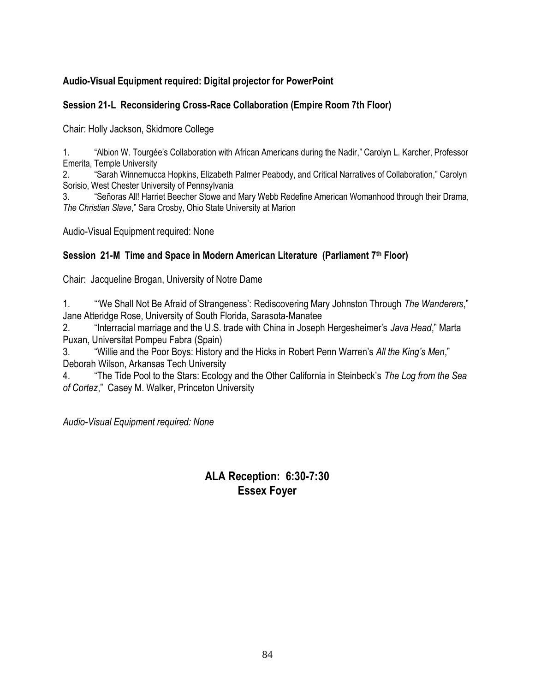## **Audio-Visual Equipment required: Digital projector for PowerPoint**

### **Session 21-L Reconsidering Cross-Race Collaboration (Empire Room 7th Floor)**

Chair: Holly Jackson, Skidmore College

1. "Albion W. Tourgée's Collaboration with African Americans during the Nadir," Carolyn L. Karcher, Professor Emerita, Temple University

2. 
"Sarah Winnemucca Hopkins, Elizabeth Palmer Peabody, and Critical Narratives of Collaboration," Carolyn Sorisio, West Chester University of Pennsylvania

3. ―Señoras All! Harriet Beecher Stowe and Mary Webb Redefine American Womanhood through their Drama, **The Christian Slave," Sara Crosby, Ohio State University at Marion** 

Audio-Visual Equipment required: None

### **Session 21-M Time and Space in Modern American Literature (Parliament 7th Floor)**

Chair: Jacqueline Brogan, University of Notre Dame

1. ―‗We Shall Not Be Afraid of Strangeness': Rediscovering Mary Johnston Through *The Wanderers*,‖ Jane Atteridge Rose, University of South Florida, Sarasota-Manatee

2. ―Interracial marriage and the U.S. trade with China in Joseph Hergesheimer's *Java Head*,‖ Marta Puxan, Universitat Pompeu Fabra (Spain)

3. ―Willie and the Poor Boys: History and the Hicks in Robert Penn Warren's *All the King's Men*,‖ Deborah Wilson, Arkansas Tech University

4. ―The Tide Pool to the Stars: Ecology and the Other California in Steinbeck's *The Log from the Sea of Cortez*,‖ Casey M. Walker, Princeton University

*Audio-Visual Equipment required: None*

## **ALA Reception: 6:30-7:30 Essex Foyer**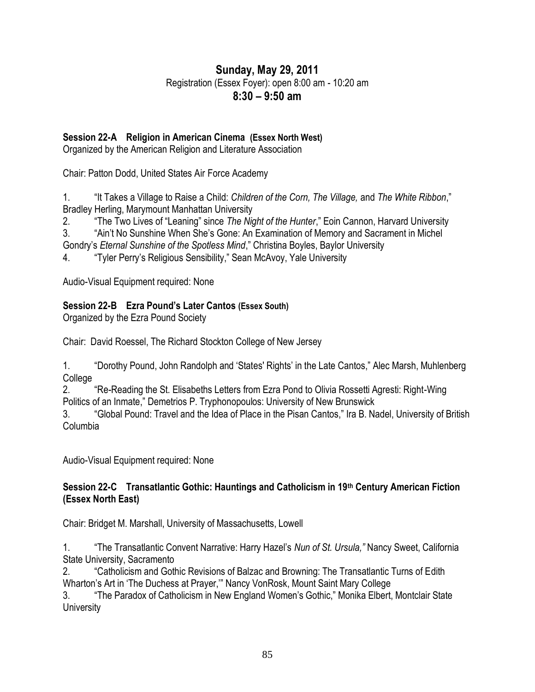# **Sunday, May 29, 2011**

Registration (Essex Foyer): open 8:00 am - 10:20 am

**8:30 – 9:50 am**

## **Session 22-A Religion in American Cinema (Essex North West)**

Organized by the American Religion and Literature Association

Chair: Patton Dodd, United States Air Force Academy

1. ―It Takes a Village to Raise a Child: *Children of the Corn, The Village,* and *The White Ribbon*,‖ Bradley Herling, Marymount Manhattan University

2. **The Two Lives of "Leaning" since** *The Night of the Hunter*," Eoin Cannon, Harvard University 3. "Ain't No Sunshine When She's Gone: An Examination of Memory and Sacrament in Michel

Gondry's *Eternal Sunshine of the Spotless Mind*," Christina Boyles, Baylor University

4. "Tyler Perry's Religious Sensibility," Sean McAvoy, Yale University

Audio-Visual Equipment required: None

### **Session 22-B Ezra Pound's Later Cantos (Essex South)**

Organized by the Ezra Pound Society

Chair: David Roessel, The Richard Stockton College of New Jersey

1. "Dorothy Pound, John Randolph and 'States' Rights' in the Late Cantos," Alec Marsh, Muhlenberg College

2. ―Re-Reading the St. Elisabeths Letters from Ezra Pond to Olivia Rossetti Agresti: Right-Wing Politics of an Inmate," Demetrios P. Tryphonopoulos: University of New Brunswick

3. "Global Pound: Travel and the Idea of Place in the Pisan Cantos," Ira B. Nadel, University of British Columbia

Audio-Visual Equipment required: None

### **Session 22-C Transatlantic Gothic: Hauntings and Catholicism in 19th Century American Fiction (Essex North East)**

Chair: Bridget M. Marshall, University of Massachusetts, Lowell

1. ―The Transatlantic Convent Narrative: Harry Hazel's *Nun of St. Ursula,"* Nancy Sweet, California State University, Sacramento

2. ―Catholicism and Gothic Revisions of Balzac and Browning: The Transatlantic Turns of Edith Wharton's Art in 'The Duchess at Prayer," Nancy VonRosk, Mount Saint Mary College

3. **The Paradox of Catholicism in New England Women's Gothic," Monika Elbert, Montclair State University**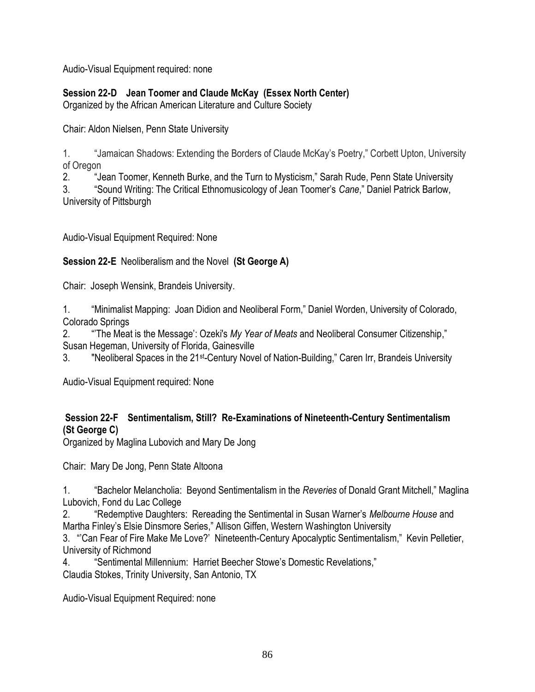Audio-Visual Equipment required: none

## **Session 22-D Jean Toomer and Claude McKay (Essex North Center)**

Organized by the African American Literature and Culture Society

Chair: Aldon Nielsen, Penn State University

1. **Aumaican Shadows: Extending the Borders of Claude McKay's Poetry," Corbett Upton, University** of Oregon

2. **Augmen Toomer, Kenneth Burke, and the Turn to Mysticism,**" Sarah Rude, Penn State University 3. ―Sound Writing: The Critical Ethnomusicology of Jean Toomer's *Cane*,‖ Daniel Patrick Barlow, University of Pittsburgh

Audio-Visual Equipment Required: None

**Session 22-E** Neoliberalism and the Novel **(St George A)**

Chair: Joseph Wensink, Brandeis University.

1. "Minimalist Mapping: Joan Didion and Neoliberal Form," Daniel Worden, University of Colorado, Colorado Springs

2. **The Meat is the Message': Ozeki's** *My Year of Meats* **and Neoliberal Consumer Citizenship,"** Susan Hegeman, University of Florida, Gainesville

3. "Neoliberal Spaces in the 21<sup>st</sup>-Century Novel of Nation-Building," Caren Irr, Brandeis University

Audio-Visual Equipment required: None

## **Session 22-F Sentimentalism, Still? Re-Examinations of Nineteenth-Century Sentimentalism (St George C)**

Organized by Maglina Lubovich and Mary De Jong

Chair: Mary De Jong, Penn State Altoona

1. **Absolute Channism Channism Sentimentalism** in the *Reveries* of Donald Grant Mitchell," Maglina Lubovich, Fond du Lac College

2. ―Redemptive Daughters: Rereading the Sentimental in Susan Warner's *Melbourne House* and Martha Finley's Elsie Dinsmore Series," Allison Giffen, Western Washington University

3. "Can Fear of Fire Make Me Love?' Nineteenth-Century Apocalyptic Sentimentalism," Kevin Pelletier, University of Richmond

4. **Sentimental Millennium: Harriet Beecher Stowe's Domestic Revelations,"** Claudia Stokes, Trinity University, San Antonio, TX

Audio-Visual Equipment Required: none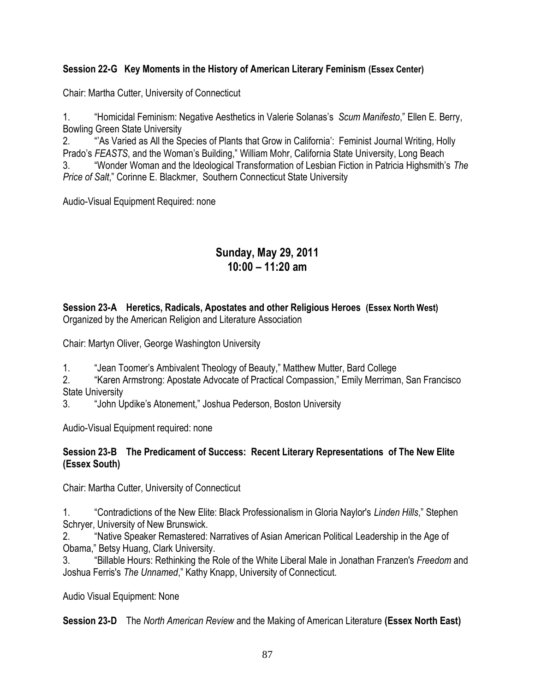### **Session 22-G Key Moments in the History of American Literary Feminism (Essex Center)**

Chair: Martha Cutter, University of Connecticut

1. ―Homicidal Feminism: Negative Aesthetics in Valerie Solanas's *Scum Manifesto*,‖ Ellen E. Berry, Bowling Green State University

2. ―'As Varied as All the Species of Plants that Grow in California': Feminist Journal Writing, Holly Prado's FEASTS, and the Woman's Building," William Mohr, California State University, Long Beach 3. ―Wonder Woman and the Ideological Transformation of Lesbian Fiction in Patricia Highsmith's *The Price of Salt,* Corinne E. Blackmer, Southern Connecticut State University

Audio-Visual Equipment Required: none

## **Sunday, May 29, 2011 10:00 – 11:20 am**

**Session 23-A Heretics, Radicals, Apostates and other Religious Heroes (Essex North West)** Organized by the American Religion and Literature Association

Chair: Martyn Oliver, George Washington University

1. 
"Jean Toomer's Ambivalent Theology of Beauty," Matthew Mutter, Bard College

2. "Karen Armstrong: Apostate Advocate of Practical Compassion," Emily Merriman, San Francisco State University

3. "John Updike's Atonement," Joshua Pederson, Boston University

Audio-Visual Equipment required: none

#### **Session 23-B The Predicament of Success: Recent Literary Representations of The New Elite (Essex South)**

Chair: Martha Cutter, University of Connecticut

1. ―Contradictions of the New Elite: Black Professionalism in Gloria Naylor's *Linden Hills*,‖ Stephen Schryer, University of New Brunswick.

2. "Native Speaker Remastered: Narratives of Asian American Political Leadership in the Age of Obama," Betsy Huang, Clark University.

3. ―Billable Hours: Rethinking the Role of the White Liberal Male in Jonathan Franzen's *Freedom* and Joshua Ferris's *The Unnamed*," Kathy Knapp, University of Connecticut.

Audio Visual Equipment: None

**Session 23-D** The *North American Review* and the Making of American Literature **(Essex North East)**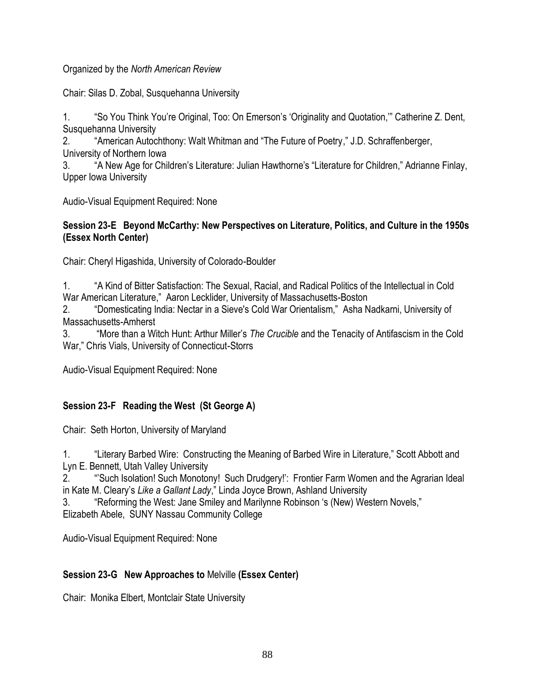Organized by the *North American Review*

Chair: Silas D. Zobal, Susquehanna University

1. "So You Think You're Original, Too: On Emerson's 'Originality and Quotation," Catherine Z. Dent, Susquehanna University

2. 
"American Autochthony: Walt Whitman and "The Future of Poetry," J.D. Schraffenberger, University of Northern Iowa

3. "A New Age for Children's Literature: Julian Hawthorne's "Literature for Children," Adrianne Finlay, Upper Iowa University

Audio-Visual Equipment Required: None

#### **Session 23-E Beyond McCarthy: New Perspectives on Literature, Politics, and Culture in the 1950s (Essex North Center)**

Chair: Cheryl Higashida, University of Colorado-Boulder

1. ―A Kind of Bitter Satisfaction: The Sexual, Racial, and Radical Politics of the Intellectual in Cold War American Literature," Aaron Lecklider, University of Massachusetts-Boston

2. 
"Domesticating India: Nectar in a Sieve's Cold War Orientalism," Asha Nadkarni, University of Massachusetts-Amherst

3. ―More than a Witch Hunt: Arthur Miller's *The Crucible* and the Tenacity of Antifascism in the Cold War," Chris Vials, University of Connecticut-Storrs

Audio-Visual Equipment Required: None

### **Session 23-F Reading the West (St George A)**

Chair: Seth Horton, University of Maryland

1. ―Literary Barbed Wire: Constructing the Meaning of Barbed Wire in Literature,‖ Scott Abbott and Lyn E. Bennett, Utah Valley University

2. ―'Such Isolation! Such Monotony! Such Drudgery!': Frontier Farm Women and the Agrarian Ideal in Kate M. Cleary's *Like a Gallant Lady*," Linda Joyce Brown, Ashland University

3. **The Step in the Step Smiley and Marilynne Robinson 's (New) Western Novels,"** Step 2014. Elizabeth Abele, SUNY Nassau Community College

Audio-Visual Equipment Required: None

### **Session 23-G New Approaches to** Melville **(Essex Center)**

Chair: Monika Elbert, Montclair State University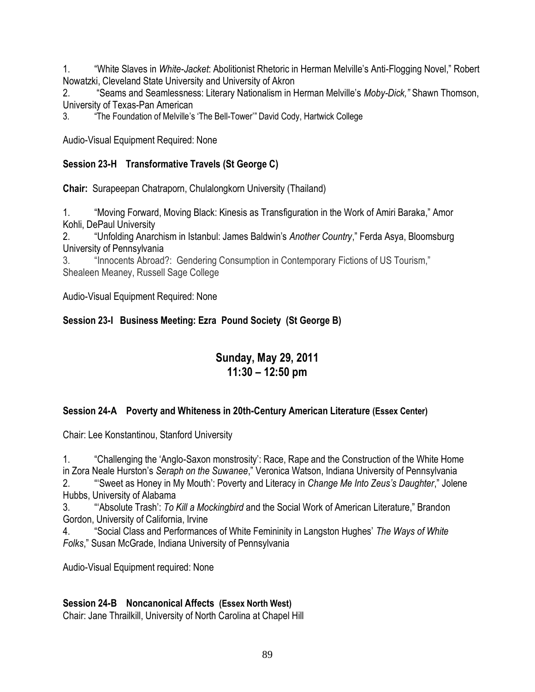1. ―White Slaves in *White-Jacket*: Abolitionist Rhetoric in Herman Melville's Anti-Flogging Novel,‖ Robert Nowatzki, Cleveland State University and University of Akron

2. ―Seams and Seamlessness: Literary Nationalism in Herman Melville's *Moby-Dick,"* Shawn Thomson, University of Texas-Pan American

3. 
"The Foundation of Melville's 'The Bell-Tower'" David Cody, Hartwick College

Audio-Visual Equipment Required: None

### **Session 23-H Transformative Travels (St George C)**

**Chair:** Surapeepan Chatraporn, Chulalongkorn University (Thailand)

1. "Woving Forward, Moving Black: Kinesis as Transfiguration in the Work of Amiri Baraka," Amor Kohli, DePaul University

2. ―Unfolding Anarchism in Istanbul: James Baldwin's *Another Country*,‖ Ferda Asya, Bloomsburg University of Pennsylvania

3. 
"Innocents Abroad?: Gendering Consumption in Contemporary Fictions of US Tourism," Shealeen Meaney, Russell Sage College

Audio-Visual Equipment Required: None

## **Session 23-I Business Meeting: Ezra Pound Society (St George B)**

# **Sunday, May 29, 2011 11:30 – 12:50 pm**

### **Session 24-A Poverty and Whiteness in 20th-Century American Literature (Essex Center)**

Chair: Lee Konstantinou, Stanford University

1. ―Challenging the ‗Anglo-Saxon monstrosity': Race, Rape and the Construction of the White Home in Zora Neale Hurston's *Seraph on the Suwanee*," Veronica Watson, Indiana University of Pennsylvania 2. ―‗Sweet as Honey in My Mouth': Poverty and Literacy in *Change Me Into Zeus's Daughter*,‖ Jolene

Hubbs, University of Alabama

3. ―‗Absolute Trash': *To Kill a Mockingbird* and the Social Work of American Literature,‖ Brandon Gordon, University of California, Irvine

4. ―Social Class and Performances of White Femininity in Langston Hughes' *The Ways of White*  Folks," Susan McGrade, Indiana University of Pennsylvania

Audio-Visual Equipment required: None

### **Session 24-B Noncanonical Affects (Essex North West)**

Chair: Jane Thrailkill, University of North Carolina at Chapel Hill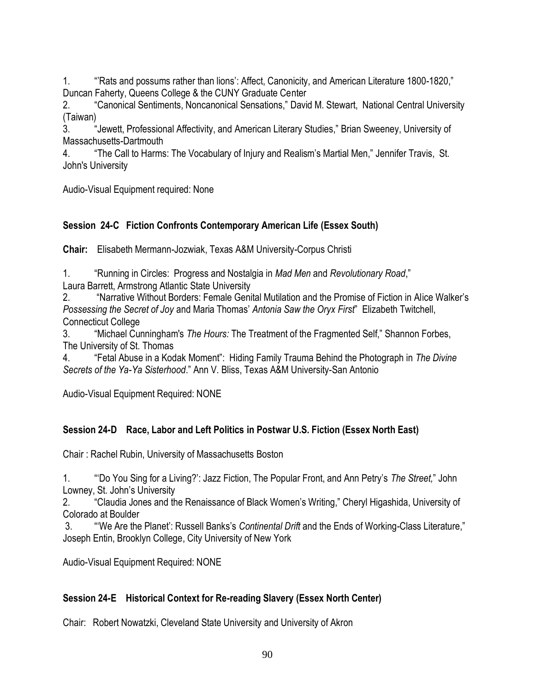1. ""Rats and possums rather than lions': Affect, Canonicity, and American Literature 1800-1820," Duncan Faherty, Queens College & the CUNY Graduate Center

2. "Canonical Sentiments, Noncanonical Sensations," David M. Stewart, National Central University (Taiwan)

3. 
"Jewett, Professional Affectivity, and American Literary Studies," Brian Sweeney, University of Massachusetts-Dartmouth

4. The Call to Harms: The Vocabulary of Injury and Realism's Martial Men," Jennifer Travis, St. John's University

Audio-Visual Equipment required: None

## **Session 24-C Fiction Confronts Contemporary American Life (Essex South)**

**Chair:** Elisabeth Mermann-Jozwiak, Texas A&M University-Corpus Christi

1. **And Alter Theories: Progress and Nostalgia in** *Mad Men* **and** *Revolutionary Road***,"** Laura Barrett, Armstrong Atlantic State University

2. ―Narrative Without Borders: Female Genital Mutilation and the Promise of Fiction in Alice Walker's

*Possessing the Secret of Joy and Maria Thomas' Antonia Saw the Oryx First*" Elizabeth Twitchell, Connecticut College

3. "Michael Cunningham's *The Hours:* The Treatment of the Fragmented Self," Shannon Forbes, The University of St. Thomas

4. ―Fetal Abuse in a Kodak Moment‖: Hiding Family Trauma Behind the Photograph in *The Divine Secrets of the Ya-Ya Sisterhood*.‖ Ann V. Bliss, Texas A&M University-San Antonio

Audio-Visual Equipment Required: NONE

### **Session 24-D Race, Labor and Left Politics in Postwar U.S. Fiction (Essex North East)**

Chair : Rachel Rubin, University of Massachusetts Boston

1. ―‗Do You Sing for a Living?': Jazz Fiction, The Popular Front, and Ann Petry's *The Street,*‖ John Lowney, St. John's University

2. "Claudia Jones and the Renaissance of Black Women's Writing," Cheryl Higashida, University of Colorado at Boulder

3. **<sup>"We Are the Planet': Russell Banks's** *Continental Drift* **and the Ends of Working-Class Literature,"**</sup> Joseph Entin, Brooklyn College, City University of New York

Audio-Visual Equipment Required: NONE

### **Session 24-E Historical Context for Re-reading Slavery (Essex North Center)**

Chair: Robert Nowatzki, Cleveland State University and University of Akron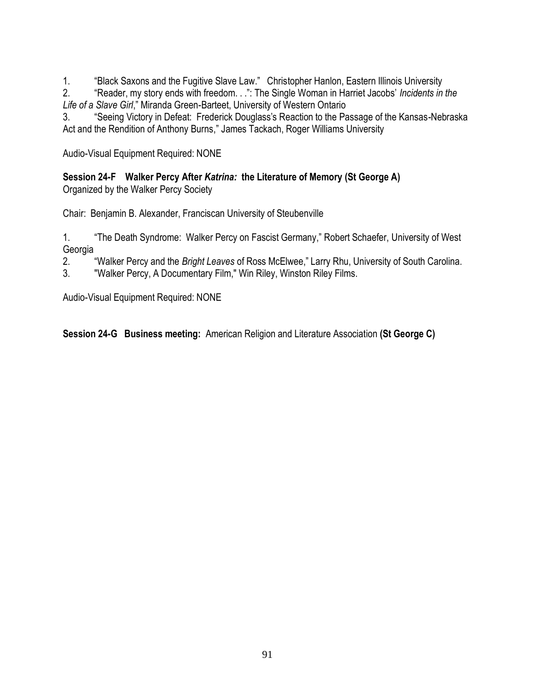1. "Black Saxons and the Fugitive Slave Law." Christopher Hanlon, Eastern Illinois University

2. "Reader, my story ends with freedom. . .": The Single Woman in Harriet Jacobs' *Incidents in the* Life of a Slave Girl," Miranda Green-Barteet, University of Western Ontario

3. "Seeing Victory in Defeat: Frederick Douglass's Reaction to the Passage of the Kansas-Nebraska Act and the Rendition of Anthony Burns," James Tackach, Roger Williams University

Audio-Visual Equipment Required: NONE

**Session 24-F Walker Percy After** *Katrina:* **the Literature of Memory (St George A)** Organized by the Walker Percy Society

Chair: Benjamin B. Alexander, Franciscan University of Steubenville

1. The Death Syndrome: Walker Percy on Fascist Germany," Robert Schaefer, University of West Georgia

2. ―Walker Percy and the *Bright Leaves* of Ross McElwee,‖ Larry Rhu, University of South Carolina.

3. "Walker Percy, A Documentary Film," Win Riley, Winston Riley Films.

Audio-Visual Equipment Required: NONE

**Session 24-G Business meeting:** American Religion and Literature Association **(St George C)**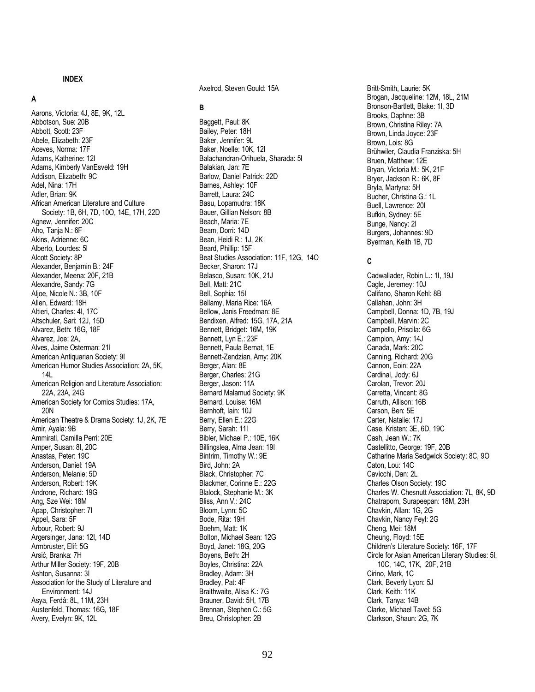#### **INDEX**

#### **A**

Aarons, Victoria: 4J, 8E, 9K, 12L Abbotson, Sue: 20B Abbott, Scott: 23F Abele, Elizabeth: 23F Aceves, Norma: 17F Adams, Katherine: 12I Adams, Kimberly VanEsveld: 19H Addison, Elizabeth: 9C Adel, Nina: 17H Adler, Brian: 9K African American Literature and Culture Society: 1B, 6H, 7D, 10O, 14E, 17H, 22D Agnew, Jennifer: 20C Aho, Tanja N.: 6F Akins, Adrienne: 6C Alberto, Lourdes: 5I Alcott Society: 8P Alexander, Benjamin B.: 24F Alexander, Meena: 20F, 21B Alexandre, Sandy: 7G Aljoe, Nicole N.: 3B, 10F Allen, Edward: 18H Altieri, Charles: 4I, 17C Altschuler, Sari: 12J, 15D Alvarez, Beth: 16G, 18F Alvarez, Joe: 2A, Alves, Jaime Osterman: 21I American Antiquarian Society: 9I American Humor Studies Association: 2A, 5K, 14L American Religion and Literature Association: 22A, 23A, 24G American Society for Comics Studies: 17A, 20N American Theatre & Drama Society: 1J, 2K, 7E Amir, Ayala: 9B Ammirati, Camilla Perri: 20E Amper, Susan: 8I, 20C Anastas, Peter: 19C Anderson, Daniel: 19A Anderson, Melanie: 5D Anderson, Robert: 19K Androne, Richard: 19G Ang, Sze Wei: 18M Apap, Christopher: 7I Appel, Sara: 5F Arbour, Robert: 9J Argersinger, Jana: 12I, 14D Armbruster, Elif: 5G Arsić, Branka: 7H Arthur Miller Society: 19F, 20B Ashton, Susanna: 3I Association for the Study of Literature and Environment: 14J Asya, Ferdâ: 8L, 11M, 23H Austenfeld, Thomas: 16G, 18F Avery, Evelyn: 9K, 12L

Axelrod, Steven Gould: 15A

#### **B**

Baggett, Paul: 8K Bailey, Peter: 18H Baker, Jennifer: 9L Baker, Noelle: 10K, 12I Balachandran-Orihuela, Sharada: 5I Balakian, Jan: 7E Barlow, Daniel Patrick: 22D Barnes, Ashley: 10F Barrett, Laura: 24C Basu, Lopamudra: 18K Bauer, Gillian Nelson: 8B Beach, Maria: 7E Beam, Dorri: 14D Bean, Heidi R.: 1J, 2K Beard, Phillip: 15F Beat Studies Association: 11F, 12G, 14O Becker, Sharon: 17J Belasco, Susan: 10K, 21J Bell, Matt: 21C Bell, Sophia: 15I Bellamy, Maria Rice: 16A Bellow, Janis Freedman: 8E Bendixen, Alfred: 15G, 17A, 21A Bennett, Bridget: 16M, 19K Bennett, Lyn E.: 23F Bennett, Paula Bernat, 1E Bennett-Zendzian, Amy: 20K Berger, Alan: 8E Berger, Charles: 21G Berger, Jason: 11A Bernard Malamud Society: 9K Bernard, Louise: 16M Bernhoft, Iain: 10J Berry, Ellen E.: 22G Berry, Sarah: 11I Bibler, Michael P.: 10E, 16K Billingslea, Alma Jean: 19I Bintrim, Timothy W.: 9E Bird, John: 2A Black, Christopher: 7C Blackmer, Corinne E.: 22G Blalock, Stephanie M.: 3K Bliss, Ann V.: 24C Bloom, Lynn: 5C Bode, Rita: 19H Boehm, Matt: 1K Bolton, Michael Sean: 12G Boyd, Janet: 18G, 20G Boyens, Beth: 2H Boyles, Christina: 22A Bradley, Adam: 3H Bradley, Pat: 4F Braithwaite, Alisa K.: 7G Brauner, David: 5H, 17B Brennan, Stephen C.: 5G Breu, Christopher: 2B

Britt-Smith, Laurie: 5K Brogan, Jacqueline: 12M, 18L, 21M Bronson-Bartlett, Blake: 1I, 3D Brooks, Daphne: 3B Brown, Christina Riley: 7A Brown, Linda Joyce: 23F Brown, Lois: 8G Brühwiler, Claudia Franziska: 5H Bruen, Matthew: 12E Bryan, Victoria M.: 5K, 21F Bryer, Jackson R.: 6K, 8F Bryla, Martyna: 5H Bucher, Christina G.: 1L Buell, Lawrence: 20I Bufkin, Sydney: 5E Bunge, Nancy: 2I Burgers, Johannes: 9D Byerman, Keith 1B, 7D

#### **C**

Cadwallader, Robin L.: 1I, 19J Cagle, Jeremey: 10J Califano, Sharon Kehl: 8B Callahan, John: 3H Campbell, Donna: 1D, 7B, 19J Campbell, Marvin: 2C Campello, Priscila: 6G Campion, Amy: 14J Canada, Mark: 20C Canning, Richard: 20G Cannon, Eoin: 22A Cardinal, Jody: 6J Carolan, Trevor: 20J Carretta, Vincent: 8G Carruth, Allison: 16B Carson, Ben: 5E Carter, Natalie: 17J Case, Kristen: 3E, 6D, 19C Cash, Jean W.: 7K Castellitto, George: 19F, 20B Catharine Maria Sedgwick Society: 8C, 9O Caton, Lou: 14C Cavicchi, Dan: 2L Charles Olson Society: 19C Charles W. Chesnutt Association: 7L, 8K, 9D Chatraporn, Surapeepan: 18M, 23H Chavkin, Allan: 1G, 2G Chavkin, Nancy Feyl: 2G Cheng, Mei: 18M Cheung, Floyd: 15E Children's Literature Society: 16F, 17F Circle for Asian American Literary Studies: 5I, 10C, 14C, 17K, 20F, 21B Cirino, Mark, 1C Clark, Beverly Lyon: 5J Clark, Keith: 11K Clark, Tanya: 14B Clarke, Michael Tavel: 5G Clarkson, Shaun: 2G, 7K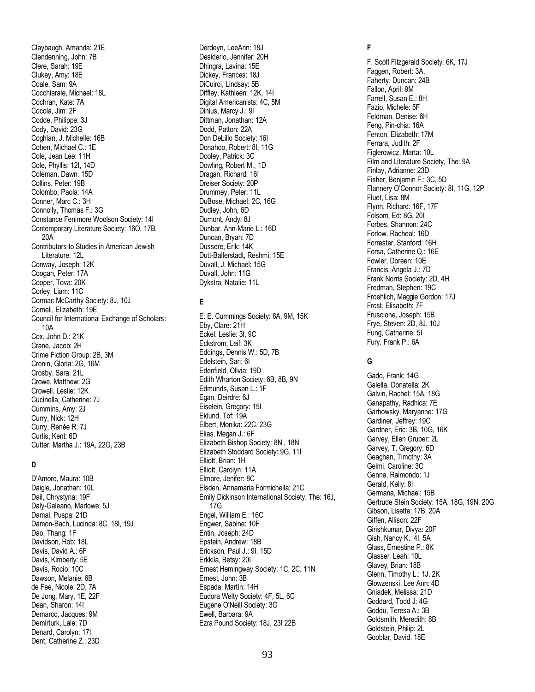Claybaugh, Amanda: 21E Clendenning, John: 7B Clere, Sarah: 19E Clukey, Amy: 18E Coale, Sam: 9A Cocchiarale, Michael: 18L Cochran, Kate: 7A Cocola, Jim: 2F Codde, Philippe: 3J Cody, David: 23G Coghlan, J. Michelle: 16B Cohen, Michael C.: 1E Cole, Jean Lee: 11H Cole, Phyllis: 12I, 14D Coleman, Dawn: 15D Collins, Peter: 19B Colombo, Paola: 14A Conner, Marc C.: 3H Connolly, Thomas F.: 3G Constance Fenimore Woolson Society: 14I Contemporary Literature Society: 16O, 17B, 20A Contributors to Studies in American Jewish Literature: 12L Conway, Joseph: 12K Coogan, Peter: 17A Cooper, Tova: 20K Corley, Liam: 11C Cormac McCarthy Society: 8J, 10J Cornell, Elizabeth: 19E Council for International Exchange of Scholars: 10A Cox, John D.: 21K Crane, Jacob: 2H Crime Fiction Group: 2B, 3M Cronin, Gloria: 2G, 16M Crosby, Sara: 21L Crowe, Matthew: 2G Crowell, Leslie: 12K Cucinella, Catherine: 7J Cummins, Amy: 2J Curry, Nick: 12H Curry, Renée R: 7J Curtis, Kent: 6D Cutter, Martha J.: 19A, 22G, 23B

#### **D**

D'Amore, Maura: 10B Daigle, Jonathan: 10L Dail, Chrystyna: 19F Daly-Galeano, Marlowe: 5J Damai, Puspa: 21D Damon-Bach, Lucinda: 8C, 18I, 19J Dao, Thang: 1F Davidson, Rob: 18L Davis, David A.: 6F Davis, Kimberly: 5E Davis, Rocío: 10C Dawson, Melanie: 6B de Fee, Nicole: 2D, 7A De Jong, Mary, 1E, 22F Dean, Sharon: 14I Demarcq, Jacques: 9M Demirturk, Lale: 7D Denard, Carolyn: 17I Dent, Catherine Z.: 23D

Derdeyn, LeeAnn: 18J Desiderio, Jennifer: 20H Dhingra, Lavina: 15E Dickey, Frances: 18J DiCuirci, Lindsay: 5B Diffley, Kathleen: 12K, 14I Digital Americanists: 4C, 5M Dinius, Marcy J.: 9I Dittman, Jonathan: 12A Dodd, Patton: 22A Don DeLillo Society: 16I Donahoo, Robert: 8I, 11G Dooley, Patrick: 3C Dowling, Robert M., 1D Dragan, Richard: 16I Dreiser Society: 20P Drummey, Peter: 11L DuBose, Michael: 2C, 16G Dudley, John, 6D Dumont, Andy: 8J Dunbar, Ann-Marie L.: 16D Duncan, Bryan: 7D Dussere, Erik: 14K Dutt-Ballerstadt, Reshmi: 15E Duvall, J. Michael: 15G Duvall, John: 11G Dykstra, Natalie: 11L

#### **E**

E. E. Cummings Society: 8A, 9M, 15K Eby, Clare: 21H Eckel, Leslie: 3I, 9C Eckstrom, Leif: 3K Eddings, Dennis W.: 5D, 7B Edelstein, Sari: 6I Edenfield, Olivia: 19D Edith Wharton Society: 6B, 8B, 9N Edmunds, Susan L.: 1F Egan, Deirdre: 6J Eiselein, Gregory: 15I Eklund, Tof: 19A Elbert, Monika: 22C, 23G Elias, Megan J.: 6F Elizabeth Bishop Society: 8N , 18N Elizabeth Stoddard Society: 9G, 11I Elliott, Brian: 1H Elliott, Carolyn: 11A Elmore, Jenifer: 8C Elsden, Annamaria Formichella: 21C Emily Dickinson International Society, The: 16J, 17G Engel, William E.: 16C Engwer, Sabine: 10F Entin, Joseph: 24D Epstein, Andrew: 18B Erickson, Paul J.: 9I, 15D Erkkila, Betsy: 20I Ernest Hemingway Society: 1C, 2C, 11N Ernest, John: 3B Espada, Martín: 14H Eudora Welty Society: 4F, 5L, 6C Eugene O'Neill Society: 3G Ewell, Barbara: 9A Ezra Pound Society: 18J, 23I 22B

#### **F**

F. Scott Fitzgerald Society: 6K, 17J Faggen, Robert: 3A, Faherty, Duncan: 24B Fallon, April: 9M Farrell, Susan E.: 8H Fazio, Michele: 5F Feldman, Denise: 6H Feng, Pin-chia: 16A Fenton, Elizabeth: 17M Ferrara, Judith: 2F Figlerowicz, Marta: 10L Film and Literature Society, The: 9A Finlay, Adrianne: 23D Fisher, Benjamin F.: 3C, 5D Flannery O'Connor Society: 8I, 11G, 12P Fluet, Lisa: 8M Flynn, Richard: 16F, 17F Folsom, Ed: 8G, 20I Forbes, Shannon: 24C Forlow, Racheal: 16D Forrester, Stanford: 16H Forsa, Catherine Q.: 16E Fowler, Doreen: 10E Francis, Angela J.: 7D Frank Norris Society: 2D, 4H Fredman, Stephen: 19C Froehlich, Maggie Gordon: 17J Frost, Elisabeth: 7F Fruscione, Joseph: 15B Frye, Steven: 2D, 8J, 10J Fung, Catherine: 5I Fury, Frank P.: 6A

#### **G**

Gado, Frank: 14G Galella, Donatella: 2K Galvin, Rachel: 15A, 18G Ganapathy, Radhica: 7E Garbowsky, Maryanne: 17G Gardiner, Jeffrey: 19C Gardner, Eric: 3B, 10G, 16K Garvey, Ellen Gruber: 2L Garvey, T. Gregory: 6D Geaghan, Timothy: 3A Gelmi, Caroline: 3C Genna, Raimondo: 1J Gerald, Kelly: 8I Germana, Michael: 15B Gertrude Stein Society: 15A, 18G, 19N, 20G Gibson, Lisette: 17B, 20A Giffen, Allison: 22F Girishkumar, Divya: 20F Gish, Nancy K.: 4I, 5A Glass, Ernestine P.: 8K Glasser, Leah: 10L Glavey, Brian: 18B Glenn, Timothy L.: 1J, 2K Glowzenski, Lee Ann: 4D Gniadek, Melissa: 21D Goddard, Todd J: 4G Goddu, Teresa A.: 3B Goldsmith, Meredith: 8B Goldstein, Philip: 2L Gooblar, David: 18E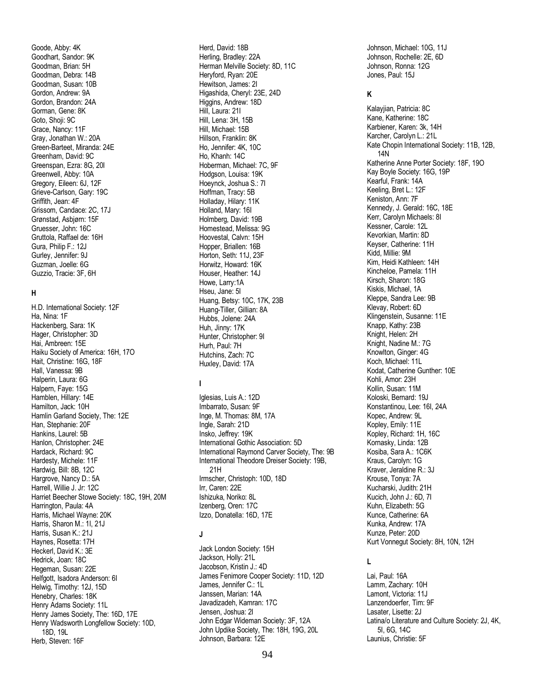Goode, Abby: 4K Goodhart, Sandor: 9K Goodman, Brian: 5H Goodman, Debra: 14B Goodman, Susan: 10B Gordon, Andrew: 9A Gordon, Brandon: 24A Gorman, Gene: 8K Goto, Shoji: 9C Grace, Nancy: 11F Gray, Jonathan W.: 20A Green-Barteet, Miranda: 24E Greenham, David: 9C Greenspan, Ezra: 8G, 20I Greenwell, Abby: 10A Gregory, Eileen: 6J, 12F Grieve-Carlson, Gary: 19C Griffith, Jean: 4F Grissom, Candace: 2C, 17J Grønstad, Asbjørn: 15F Gruesser, John: 16C Gruttola, Raffael de: 16H Gura, Philip F.: 12J Gurley, Jennifer: 9J Guzman, Joelle: 6G Guzzio, Tracie: 3F, 6H

#### **H**

H.D. International Society: 12F Ha, Nina: 1F Hackenberg, Sara: 1K Hager, Christopher: 3D Hai, Ambreen: 15E Haiku Society of America: 16H, 17O Hait, Christine: 16G, 18F Hall, Vanessa: 9B Halperin, Laura: 6G Halpern, Faye: 15G Hamblen, Hillary: 14E Hamilton, Jack: 10H Hamlin Garland Society, The: 12E Han, Stephanie: 20F Hankins, Laurel: 5B Hanlon, Christopher: 24E Hardack, Richard: 9C Hardesty, Michele: 11F Hardwig, Bill: 8B, 12C Hargrove, Nancy D.: 5A Harrell, Willie J. Jr: 12C Harriet Beecher Stowe Society: 18C, 19H, 20M Harrington, Paula: 4A Harris, Michael Wayne: 20K Harris, Sharon M.; 1I, 21J Harris, Susan K.: 21J Haynes, Rosetta: 17H Heckerl, David K.: 3E Hedrick, Joan: 18C Hegeman, Susan: 22E Helfgott, Isadora Anderson: 6I Helwig, Timothy: 12J, 15D Henebry, Charles: 18K Henry Adams Society: 11L Henry James Society, The: 16D, 17E Henry Wadsworth Longfellow Society: 10D, 18D, 19L Herb, Steven: 16F

Herd, David: 18B Herling, Bradley: 22A Herman Melville Society: 8D, 11C Heryford, Ryan: 20E Hewitson, James: 2I Higashida, Cheryl: 23E, 24D Higgins, Andrew: 18D Hill, Laura: 21I Hill, Lena: 3H, 15B Hill, Michael: 15B Hillson, Franklin: 8K Ho, Jennifer: 4K, 10C Ho, Khanh: 14C Hoberman, Michael: 7C, 9F Hodgson, Louisa: 19K Hoeynck, Joshua S.: 7I Hoffman, Tracy: 5B Holladay, Hilary: 11K Holland, Mary: 16I Holmberg, David: 19B Homestead, Melissa: 9G Hoovestal, Calvn: 15H Hopper, Briallen: 16B Horton, Seth: 11J, 23F Horwitz, Howard: 16K Houser, Heather: 14J Howe, Larry:1A Hseu, Jane: 5I Huang, Betsy: 10C, 17K, 23B Huang-Tiller, Gillian: 8A Hubbs, Jolene: 24A Huh, Jinny: 17K Hunter, Christopher: 9I Hurh, Paul: 7H Hutchins, Zach: 7C Huxley, David: 17A

#### **I**

Iglesias, Luis A.: 12D Imbarrato, Susan: 9F Inge, M. Thomas: 8M, 17A Ingle, Sarah: 21D Insko, Jeffrey: 19K International Gothic Association: 5D International Raymond Carver Society, The: 9B International Theodore Dreiser Society: 19B, 21H Irmscher, Christoph: 10D, 18D Irr, Caren: 22E Ishizuka, Noriko: 8L Izenberg, Oren: 17C Izzo, Donatella: 16D, 17E

#### **J**

Jack London Society: 15H Jackson, Holly: 21L Jacobson, Kristin J.: 4D James Fenimore Cooper Society: 11D, 12D James, Jennifer C.: 1L Janssen, Marian: 14A Javadizadeh, Kamran: 17C Jensen, Joshua: 2I John Edgar Wideman Society: 3F, 12A John Updike Society, The: 18H, 19G, 20L Johnson, Barbara: 12E

Johnson, Michael: 10G, 11J Johnson, Rochelle: 2E, 6D Johnson, Ronna: 12G Jones, Paul: 15J

#### **K**

Kalayjian, Patricia: 8C Kane, Katherine: 18C Karbiener, Karen: 3k, 14H Karcher, Carolyn L.: 21L Kate Chopin International Society: 11B, 12B, 14N Katherine Anne Porter Society: 18F, 19O Kay Boyle Society: 16G, 19P Kearful, Frank: 14A Keeling, Bret L.: 12F Keniston, Ann: 7F Kennedy, J. Gerald: 16C, 18E Kerr, Carolyn Michaels: 8I Kessner, Carole: 12L Kevorkian, Martin: 8D Keyser, Catherine: 11H Kidd, Millie: 9M Kim, Heidi Kathleen: 14H Kincheloe, Pamela: 11H Kirsch, Sharon: 18G Kiskis, Michael, 1A Kleppe, Sandra Lee: 9B Klevay, Robert: 6D Klingenstein, Susanne: 11E Knapp, Kathy: 23B Knight, Helen: 2H Knight, Nadine M.: 7G Knowlton, Ginger: 4G Koch, Michael: 11L Kodat, Catherine Gunther: 10E Kohli, Amor: 23H Kollin, Susan: 11M Koloski, Bernard: 19J Konstantinou, Lee: 16I, 24A Kopec, Andrew: 9L Kopley, Emily: 11E Kopley, Richard: 1H, 16C Kornasky, Linda: 12B Kosiba, Sara A.: 1C6K Kraus, Carolyn: 1G Kraver, Jeraldine R.: 3J Krouse, Tonya: 7A Kucharski, Judith: 21H Kucich, John J.: 6D, 7I Kuhn, Elizabeth: 5G Kunce, Catherine: 6A Kunka, Andrew: 17A Kunze, Peter: 20D Kurt Vonnegut Society: 8H, 10N, 12H

#### **L**

Lai, Paul: 16A Lamm, Zachary: 10H Lamont, Victoria: 11J Lanzendoerfer, Tim: 9F Lasater, Lisette: 2J Latina/o Literature and Culture Society: 2J, 4K, 5I, 6G, 14C Launius, Christie: 5F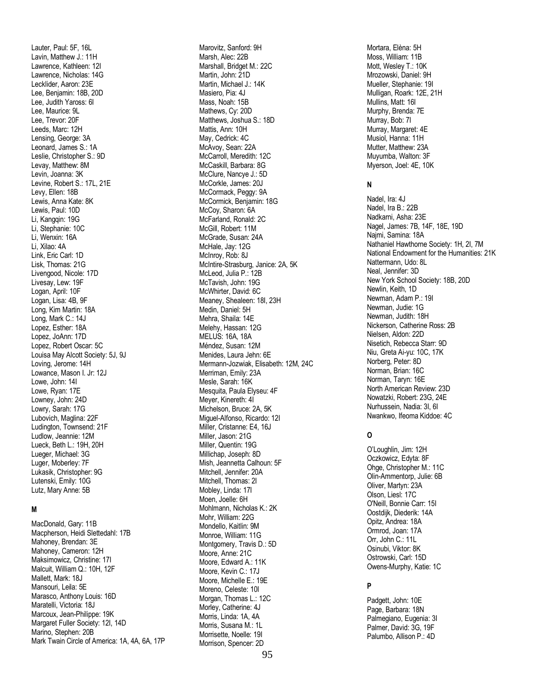Lauter, Paul: 5F, 16L Lavin, Matthew J.: 11H Lawrence, Kathleen: 12I Lawrence, Nicholas: 14G Lecklider, Aaron: 23E Lee, Benjamin: 18B, 20D Lee, Judith Yaross: 6I Lee, Maurice: 9L Lee, Trevor: 20F Leeds, Marc: 12H Lensing, George: 3A Leonard, James S.: 1A Leslie, Christopher S.: 9D Levay, Matthew: 8M Levin, Joanna: 3K Levine, Robert S.: 17L, 21E Levy, Ellen: 18B Lewis, Anna Kate: 8K Lewis, Paul: 10D Li, Kanggin: 19G Li, Stephanie: 10C Li, Wenxin: 16A Li, Xilao: 4A Link, Eric Carl: 1D Lisk, Thomas: 21G Livengood, Nicole: 17D Livesay, Lew: 19F Logan, April: 10F Logan, Lisa: 4B, 9F Long, Kim Martin: 18A Long, Mark C.: 14J Lopez, Esther: 18A Lopez, JoAnn: 17D Lopez, Robert Oscar: 5C Louisa May Alcott Society: 5J, 9J Loving, Jerome: 14H Lowance, Mason I. Jr: 12J Lowe, John: 14I Lowe, Ryan: 17E Lowney, John: 24D Lowry, Sarah: 17G Lubovich, Maglina: 22F Ludington, Townsend: 21F Ludlow, Jeannie: 12M Lueck, Beth L.: 19H, 20H Lueger, Michael: 3G Luger, Moberley: 7F Lukasik, Christopher: 9G Lutenski, Emily: 10G Lutz, Mary Anne: 5B

#### **M**

MacDonald, Gary: 11B Macpherson, Heidi Slettedahl: 17B Mahoney, Brendan: 3E Mahoney, Cameron: 12H Maksimowicz, Christine: 17I Malcuit, William Q.: 10H, 12F Mallett, Mark: 18J Mansouri, Leila: 5E Marasco, Anthony Louis: 16D Maratelli, Victoria: 18J Marcoux, Jean-Philippe: 19K Margaret Fuller Society: 12I, 14D Marino, Stephen: 20B Mark Twain Circle of America: 1A, 4A, 6A, 17P

Marovitz, Sanford: 9H Marsh, Alec: 22B Marshall, Bridget M.: 22C Martin, John: 21D Martin, Michael J.: 14K Masiero, Pia: 4J Mass, Noah: 15B Mathews, Cy: 20D Matthews, Joshua S.: 18D Mattis, Ann: 10H May, Cedrick: 4C McAvoy, Sean: 22A McCarroll, Meredith: 12C McCaskill, Barbara: 8G McClure, Nancye J.: 5D McCorkle, James: 20J McCormack, Peggy: 9A McCormick, Benjamin: 18G McCoy, Sharon: 6A McFarland, Ronald: 2C McGill, Robert: 11M McGrade, Susan: 24A McHale, Jay: 12G McInroy, Rob: 8J McIntire-Strasburg, Janice: 2A, 5K McLeod, Julia P.: 12B McTavish, John: 19G McWhirter, David: 6C Meaney, Shealeen: 18I, 23H Medin, Daniel: 5H Mehra, Shaila: 14E Melehy, Hassan: 12G MELUS: 16A, 18A Méndez, Susan: 12M Menides, Laura Jehn: 6E Mermann-Jozwiak, Elisabeth: 12M, 24C Merriman, Emily: 23A Mesle, Sarah: 16K Mesquita, Paula Elyseu: 4F Meyer, Kinereth: 4I Michelson, Bruce: 2A, 5K Miguel-Alfonso, Ricardo: 12I Miller, Cristanne: E4, 16J Miller, Jason: 21G Miller, Quentin: 19G Millichap, Joseph: 8D Mish, Jeannetta Calhoun: 5F Mitchell, Jennifer: 20A Mitchell, Thomas: 2I Mobley, Linda: 17I Moen, Joelle: 6H Mohlmann, Nicholas K.: 2K Mohr, William: 22G Mondello, Kaitlin: 9M Monroe, William: 11G Montgomery, Travis D.: 5D Moore, Anne: 21C Moore, Edward A.: 11K Moore, Kevin C.: 17J Moore, Michelle E.: 19E Moreno, Celeste: 10I Morgan, Thomas L.: 12C Morley, Catherine: 4J Morris, Linda: 1A, 4A Morris, Susana M.: 1L Morrisette, Noelle: 19I Morrison, Spencer: 2D

Mortara, Elèna: 5H Moss, William: 11B Mott, Wesley T.: 10K Mrozowski, Daniel: 9H Mueller, Stephanie: 19I Mulligan, Roark: 12E, 21H Mullins, Matt: 16I Murphy, Brenda: 7E Murray, Bob: 7I Murray, Margaret: 4E Musiol, Hanna: 11H Mutter, Matthew: 23A Muyumba, Walton: 3F Myerson, Joel: 4E, 10K

#### **N**

Nadel, Ira: 4J Nadel, Ira B.: 22B Nadkarni, Asha: 23E Nagel, James: 7B, 14F, 18E, 19D Najmi, Samina: 18A Nathaniel Hawthorne Society: 1H, 2I, 7M National Endowment for the Humanities: 21K Nattermann, Udo: 8L Neal, Jennifer: 3D New York School Society: 18B, 20D Newlin, Keith, 1D Newman, Adam P.: 19I Newman, Judie: 1G Newman, Judith: 18H Nickerson, Catherine Ross: 2B Nielsen, Aldon: 22D Nisetich, Rebecca Starr: 9D Niu, Greta Ai-yu: 10C, 17K Norberg, Peter: 8D Norman, Brian: 16C Norman, Taryn: 16E North American Review: 23D Nowatzki, Robert: 23G, 24E Nurhussein, Nadia: 3I, 6I Nwankwo, Ifeoma Kiddoe: 4C

#### **O**

O'Loughlin, Jim: 12H Oczkowicz, Edyta: 8F Ohge, Christopher M.: 11C Olin-Ammentorp, Julie: 6B Oliver, Martyn: 23A Olson, Liesl: 17C O'Neill, Bonnie Carr: 15I Oostdijk, Diederik: 14A Opitz, Andrea: 18A Ormrod, Joan: 17A Orr, John C.: 11L Osinubi, Viktor: 8K Ostrowski, Carl: 15D Owens-Murphy, Katie: 1C

#### **P**

Padgett, John: 10E Page, Barbara: 18N Palmegiano, Eugenia: 3I Palmer, David: 3G, 19F Palumbo, Allison P.: 4D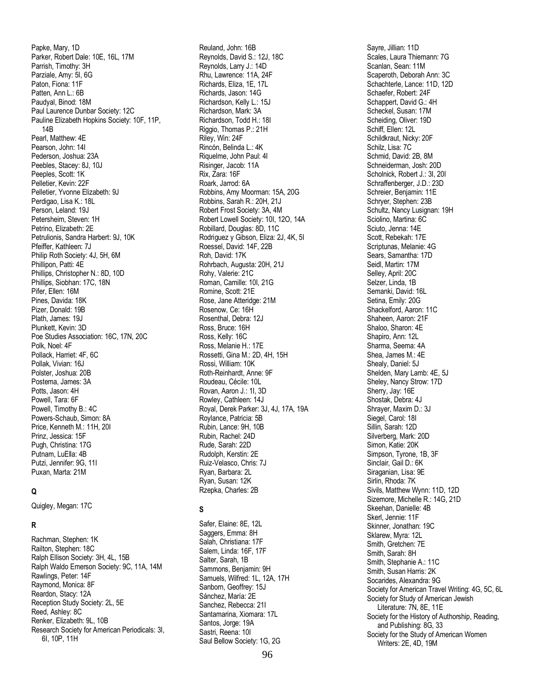Papke, Mary, 1D Parker, Robert Dale: 10E, 16L, 17M Parrish, Timothy: 3H Parziale, Amy: 5I, 6G Paton, Fiona: 11F Patten, Ann L.: 6B Paudyal, Binod: 18M Paul Laurence Dunbar Society: 12C Pauline Elizabeth Hopkins Society: 10F, 11P, 14B Pearl, Matthew: 4E Pearson, John: 14I Pederson, Joshua: 23A Peebles, Stacey: 8J, 10 J Peeples, Scott: 1K Pelletier, Kevin: 22 F Pelletier, Yvonne Elizabeth: 9J Perdigao, Lisa K.: 18L Person, Leland: 19J Petersheim, Steven: 1H Petrino, Elizabeth: 2E Petrulionis, Sandra Harbert: 9J, 10K Pfeiffer, Kathleen: 7J Philip Roth Society: 4J, 5H, 6M Phillipon, Patti: 4E Phillips, Christopher N.: 8D, 10D Phillips, Siobhan: 17C, 18N Pifer, Ellen: 16M Pines, Davida: 18K Pizer, Donald: 19B Plath, James: 19J Plunkett, Kevin: 3D Poe Studies Association: 16C, 17N, 20C Polk, Noel: 4F Pollack, Harriet: 4F, 6C Pollak, Vivian: 16J Polster, Joshua: 20B Postema, James: 3A Potts, Jason: 4H Powell, Tara: 6F Powell, Timothy B.: 4C Powers -Schaub, Simon: 8A Price, Kenneth M.: 11H, 20I Prinz, Jessica: 15F Pugh, Christina: 17G Putnam, LuElla: 4B Putzi, Jennifer: 9G, 11I Puxan, Marta: 21M

#### **Q**

Quigley, Megan: 17C

#### **R**

Rachman, Stephen: 1K Railton, Stephen: 18C Ralph Ellison Society: 3H, 4L, 15B Ralph Waldo Emerson Society: 9C, 11A, 14M Rawlings, Peter: 14F Raymond, Monica: 8F Reardon, Stacy: 12A Reception Study Society: 2L, 5E Reed, Ashley: 8C Renker, Elizabeth: 9L, 10B Research Society for American Periodicals: 3I, 6I, 10P, 11H

Reuland, John: 16B Reynolds, David S.: 12J, 18C Reynolds, Larry J.: 14D Rhu, Lawrence: 11A, 24F Richards, Eliza, 1E, 17L Richards, Jason: 14G Richardson, Kelly L.: 15J Richardson, Mark: 3A Richardson, Todd H.: 18I Riggio, Thomas P.: 21H Riley, Win: 24F Rincón, Belinda L.: 4K Riquelme, John Paul: 4I Risinger, Jacob: 11A Rix, Zara: 16F Roark, Jarrod: 6A Robbins, Amy Moorman: 15A, 20G Robbins, Sarah R.: 20H, 21J Robert Frost Society: 3A, 4M Robert Lowell Society: 10I, 12O, 14A Robillard, Douglas: 8D, 11C Rodriguez y Gibson, Eliza: 2J, 4K, 5I Roessel, David: 14F, 22B Roh, David: 17K Rohrbach, Augusta: 20H, 21J Rohy, Valerie: 21C Roman, Camille: 10I, 21G Romine, Scott: 21E Rose, Jane Atteridge: 21M Rosenow, Ce: 16H Rosenthal, Debra: 12J Ross, Bruce: 16H Ross, Kelly: 16C Ross, Melanie H.: 17E Rossetti, Gina M.: 2D, 4H, 15H Rossi, William: 10K Roth -Reinhardt, Anne: 9F Roudeau, Cécile: 10L Rovan, Aaron J.: 1I, 3D Rowley, Cathleen: 14J Royal, Derek Parker: 3J, 4J, 17A, 19A Roylance, Patricia: 5B Rubin, Lance: 9H, 10B Rubin, Rachel: 24D Rude, Sarah: 22D Rudolph, Kerstin: 2E Ruiz -Velasco, Chris: 7J Ryan, Barbara: 2L Ryan, Susan: 12K Rzepka, Charles: 2B

#### **S**

Safer, Elaine: 8E, 12L Saggers, Emma: 8H Salah, Christiana: 17F Salem, Linda: 16F, 17F Salter, Sarah, 1B Sammons, Benjamin: 9H Samuels, Wilfred: 1L, 12A, 17H Sanborn, Geoffrey: 15J Sánchez, María: 2E Sanchez, Rebecca: 21I Santamarina, Xiomara: 17L Santos, Jorge: 19A Sastri, Reena: 10I Saul Bellow Society: 1G, 2G

Sayre, Jillian: 11D Scales, Laura Thiemann: 7G Scanlan, Sean: 11M Scaperoth, Deborah Ann: 3C Schachterle, Lance: 11D, 12D Schaefer, Robert: 24F Schappert, David G.: 4H Scheckel, Susan: 17M Scheiding, Oliver: 19D Schiff, Ellen: 12L Schildkraut, Nicky: 20F Schilz, Lisa: 7C Schmid, David: 2B, 8M Schneiderman, Josh: 20D Scholnick, Robert J.: 3I, 20I Schraffenberger, J.D.: 23D Schreier, Benjamin: 11E Schryer, Stephen: 23B Schultz, Nancy Lusignan: 19H Sciolino, Martina: 6C Sciuto, Jenna: 14E Scott, Rebekah: 17E Scriptunas, Melanie: 4G Sears, Samantha: 17D Seidl, Martin: 17M Selley, April: 20C Selzer, Linda, 1B Semanki, David: 16L Setina, Emily: 20G Shackelford, Aaron: 11C Shaheen, Aaron: 21F Shaloo, Sharon: 4E Shapiro, Ann: 12L Sharma, Seema: 4A Shea, James M.: 4E Shealy, Daniel: 5J Shelden, Mary Lamb: 4E, 5J Sheley, Nancy Strow: 17D Sherry, Jay: 16E Shostak, Debra: 4J Shrayer, Maxim D.: 3J Siegel, Carol: 18I Sillin, Sarah: 12D Silverberg, Mark: 20D Simon, Katie: 20K Simpson, Tyrone, 1B, 3F Sinclair, Gail D.: 6K Siraganian, Lisa: 9E Sirlin, Rhoda: 7K Sivils, Matthew Wynn: 11D, 12D Sizemore, Michelle R.: 14G, 21D Skeehan, Danielle: 4B Skerl, Jennie: 11F Skinner, Jonathan: 19C Sklarew, Myra: 12L Smith, Gretchen: 7E Smith, Sarah: 8H Smith, Stephanie A.: 11C Smith, Susan Harris: 2K Socarides, Alexandra: 9G Society for American Travel Writing: 4G, 5C, 6L Society for Study of American Jewish Literature: 7N, 8E, 11E Society for the History of Authorship, Reading, and Publishing: 8G, 33 Society for the Study of American Women Writers: 2E, 4D, 19M